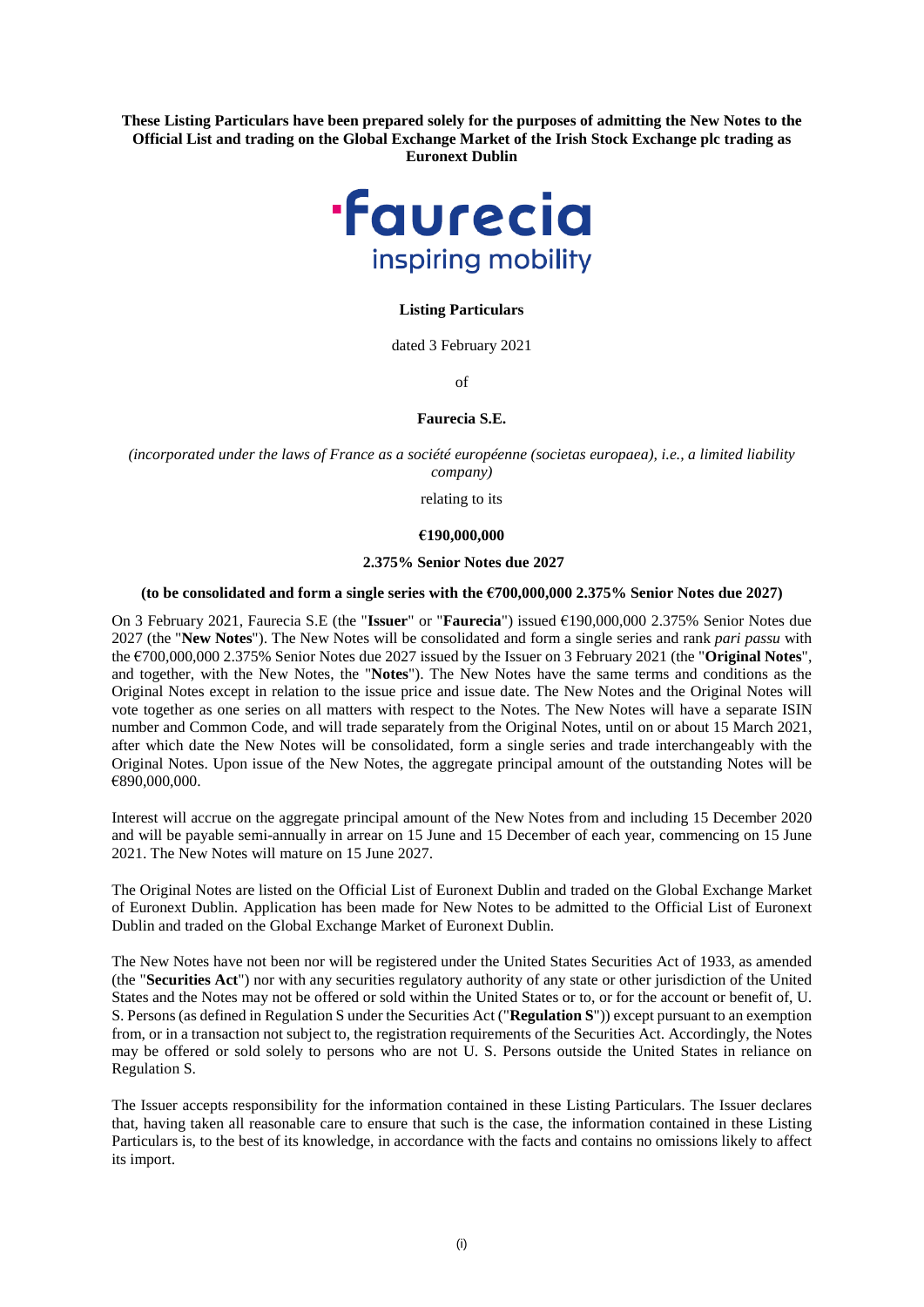**These Listing Particulars have been prepared solely for the purposes of admitting the New Notes to the Official List and trading on the Global Exchange Market of the Irish Stock Exchange plc trading as Euronext Dublin** 



## **Listing Particulars**

dated 3 February 2021

of

# **Faurecia S.E.**

*(incorporated under the laws of France as a société européenne (societas europaea), i.e., a limited liability company)* 

relating to its

#### **€190,000,000**

## **2.375% Senior Notes due 2027**

#### **(to be consolidated and form a single series with the €700,000,000 2.375% Senior Notes due 2027)**

On 3 February 2021, Faurecia S.E (the "**Issuer**" or "**Faurecia**") issued €190,000,000 2.375% Senior Notes due 2027 (the "**New Notes**"). The New Notes will be consolidated and form a single series and rank *pari passu* with the €700,000,000 2.375% Senior Notes due 2027 issued by the Issuer on 3 February 2021 (the "**Original Notes**", and together, with the New Notes, the "**Notes**"). The New Notes have the same terms and conditions as the Original Notes except in relation to the issue price and issue date. The New Notes and the Original Notes will vote together as one series on all matters with respect to the Notes. The New Notes will have a separate ISIN number and Common Code, and will trade separately from the Original Notes, until on or about 15 March 2021, after which date the New Notes will be consolidated, form a single series and trade interchangeably with the Original Notes. Upon issue of the New Notes, the aggregate principal amount of the outstanding Notes will be €890,000,000.

Interest will accrue on the aggregate principal amount of the New Notes from and including 15 December 2020 and will be payable semi-annually in arrear on 15 June and 15 December of each year, commencing on 15 June 2021. The New Notes will mature on 15 June 2027.

The Original Notes are listed on the Official List of Euronext Dublin and traded on the Global Exchange Market of Euronext Dublin. Application has been made for New Notes to be admitted to the Official List of Euronext Dublin and traded on the Global Exchange Market of Euronext Dublin.

The New Notes have not been nor will be registered under the United States Securities Act of 1933, as amended (the "**Securities Act**") nor with any securities regulatory authority of any state or other jurisdiction of the United States and the Notes may not be offered or sold within the United States or to, or for the account or benefit of, U. S. Persons (as defined in Regulation S under the Securities Act ("**Regulation S**")) except pursuant to an exemption from, or in a transaction not subject to, the registration requirements of the Securities Act. Accordingly, the Notes may be offered or sold solely to persons who are not U. S. Persons outside the United States in reliance on Regulation S.

The Issuer accepts responsibility for the information contained in these Listing Particulars. The Issuer declares that, having taken all reasonable care to ensure that such is the case, the information contained in these Listing Particulars is, to the best of its knowledge, in accordance with the facts and contains no omissions likely to affect its import.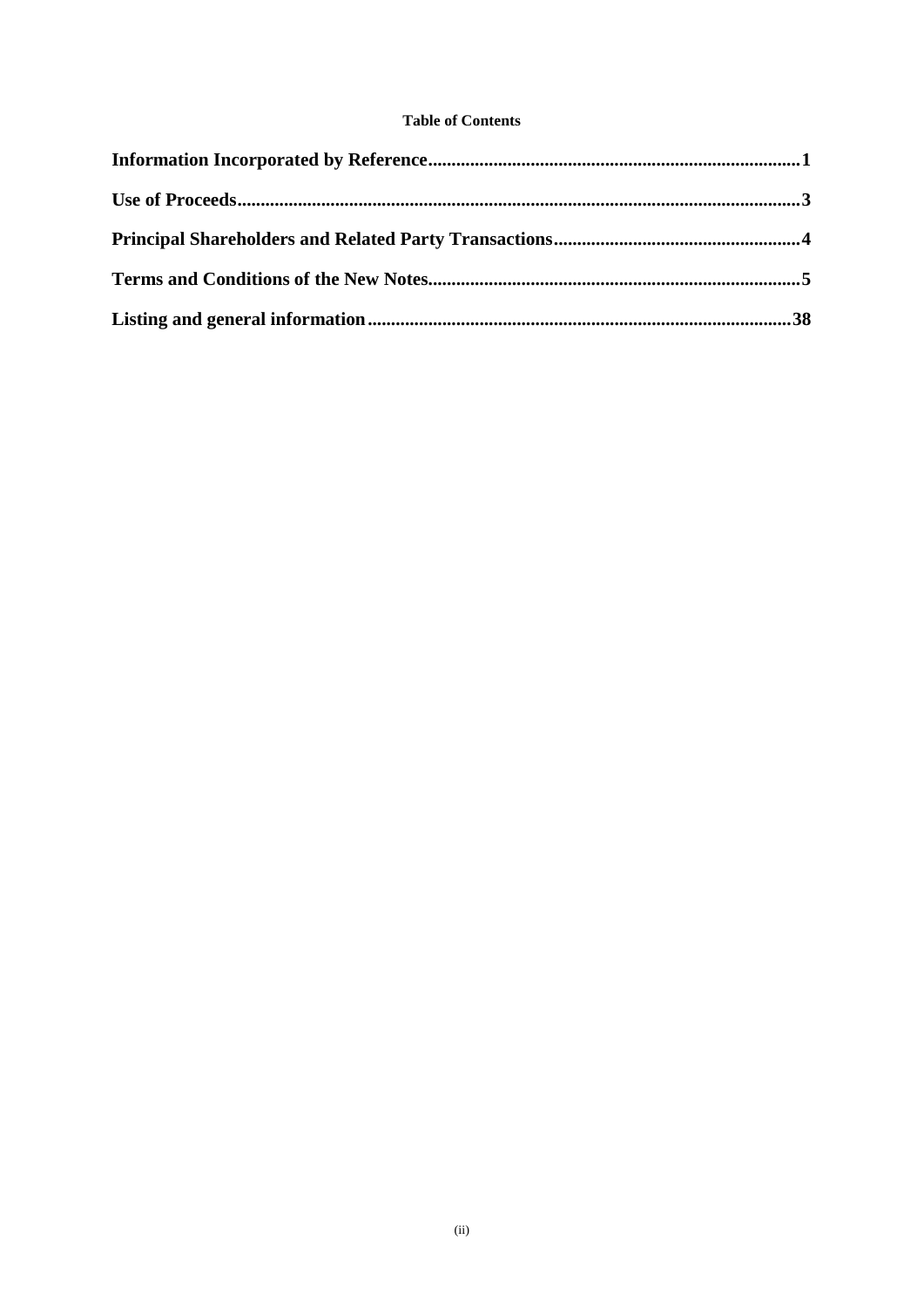# **Table of Contents**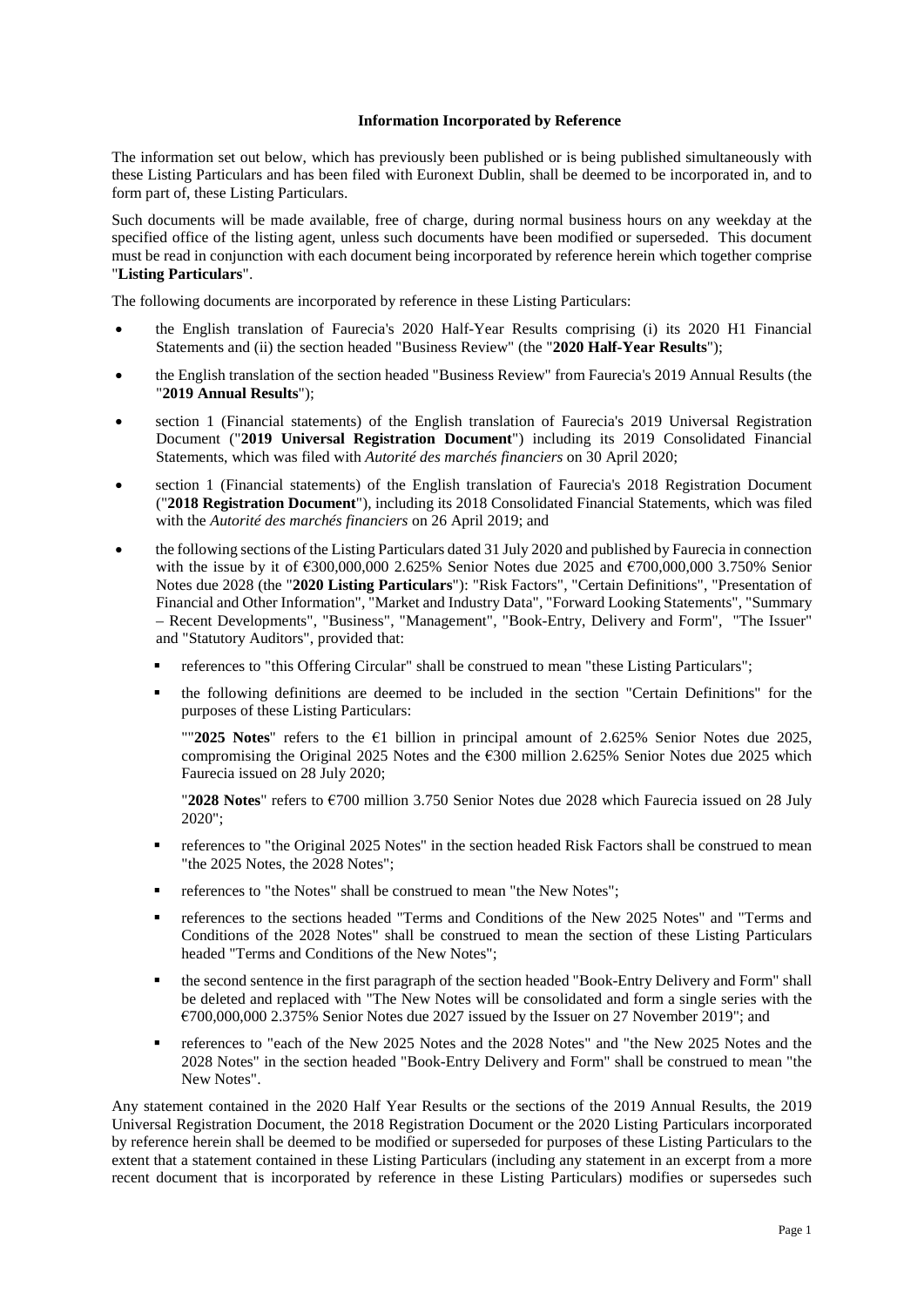## **Information Incorporated by Reference**

<span id="page-2-0"></span>The information set out below, which has previously been published or is being published simultaneously with these Listing Particulars and has been filed with Euronext Dublin, shall be deemed to be incorporated in, and to form part of, these Listing Particulars.

Such documents will be made available, free of charge, during normal business hours on any weekday at the specified office of the listing agent, unless such documents have been modified or superseded. This document must be read in conjunction with each document being incorporated by reference herein which together comprise "**Listing Particulars**".

The following documents are incorporated by reference in these Listing Particulars:

- the English translation of Faurecia's 2020 Half-Year Results comprising (i) its 2020 H1 Financial Statements and (ii) the section headed "Business Review" (the "**2020 Half-Year Results**");
- the English translation of the section headed "Business Review" from Faurecia's 2019 Annual Results (the "**2019 Annual Results**");
- section 1 (Financial statements) of the English translation of Faurecia's 2019 Universal Registration Document ("**2019 Universal Registration Document**") including its 2019 Consolidated Financial Statements, which was filed with *Autorité des marchés financiers* on 30 April 2020;
- section 1 (Financial statements) of the English translation of Faurecia's 2018 Registration Document ("**2018 Registration Document**"), including its 2018 Consolidated Financial Statements, which was filed with the *Autorité des marchés financiers* on 26 April 2019; and
- the following sections of the Listing Particulars dated 31 July 2020 and published by Faurecia in connection with the issue by it of  $6300,000,000$  2.625% Senior Notes due 2025 and  $6700,000,000$  3.750% Senior Notes due 2028 (the "**2020 Listing Particulars**"): "Risk Factors", "Certain Definitions", "Presentation of Financial and Other Information", "Market and Industry Data", "Forward Looking Statements", "Summary – Recent Developments", "Business", "Management", "Book-Entry, Delivery and Form", "The Issuer" and "Statutory Auditors", provided that:
	- references to "this Offering Circular" shall be construed to mean "these Listing Particulars";
	- the following definitions are deemed to be included in the section "Certain Definitions" for the purposes of these Listing Particulars:

""**2025 Notes**" refers to the €1 billion in principal amount of 2.625% Senior Notes due 2025, compromising the Original 2025 Notes and the  $\epsilon$ 300 million 2.625% Senior Notes due 2025 which Faurecia issued on 28 July 2020;

"**2028 Notes**" refers to €700 million 3.750 Senior Notes due 2028 which Faurecia issued on 28 July 2020";

- references to "the Original 2025 Notes" in the section headed Risk Factors shall be construed to mean "the 2025 Notes, the 2028 Notes";
- references to "the Notes" shall be construed to mean "the New Notes";
- references to the sections headed "Terms and Conditions of the New 2025 Notes" and "Terms and Conditions of the 2028 Notes" shall be construed to mean the section of these Listing Particulars headed "Terms and Conditions of the New Notes";
- the second sentence in the first paragraph of the section headed "Book-Entry Delivery and Form" shall be deleted and replaced with "The New Notes will be consolidated and form a single series with the €700,000,000 2.375% Senior Notes due 2027 issued by the Issuer on 27 November 2019"; and
- references to "each of the New 2025 Notes and the 2028 Notes" and "the New 2025 Notes and the 2028 Notes" in the section headed "Book-Entry Delivery and Form" shall be construed to mean "the New Notes".

Any statement contained in the 2020 Half Year Results or the sections of the 2019 Annual Results, the 2019 Universal Registration Document, the 2018 Registration Document or the 2020 Listing Particulars incorporated by reference herein shall be deemed to be modified or superseded for purposes of these Listing Particulars to the extent that a statement contained in these Listing Particulars (including any statement in an excerpt from a more recent document that is incorporated by reference in these Listing Particulars) modifies or supersedes such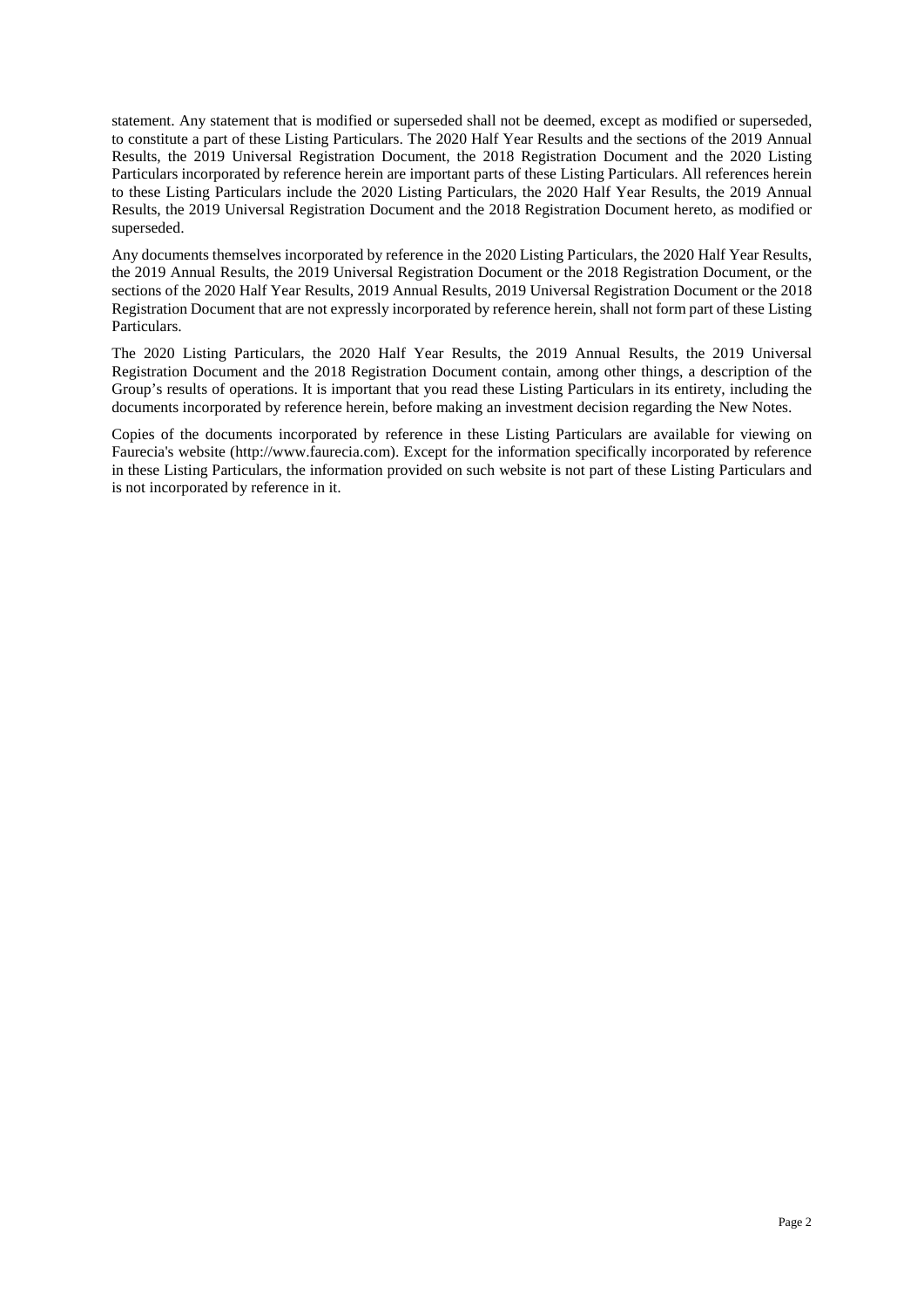statement. Any statement that is modified or superseded shall not be deemed, except as modified or superseded, to constitute a part of these Listing Particulars. The 2020 Half Year Results and the sections of the 2019 Annual Results, the 2019 Universal Registration Document, the 2018 Registration Document and the 2020 Listing Particulars incorporated by reference herein are important parts of these Listing Particulars. All references herein to these Listing Particulars include the 2020 Listing Particulars, the 2020 Half Year Results, the 2019 Annual Results, the 2019 Universal Registration Document and the 2018 Registration Document hereto, as modified or superseded.

Any documents themselves incorporated by reference in the 2020 Listing Particulars, the 2020 Half Year Results, the 2019 Annual Results, the 2019 Universal Registration Document or the 2018 Registration Document, or the sections of the 2020 Half Year Results, 2019 Annual Results, 2019 Universal Registration Document or the 2018 Registration Document that are not expressly incorporated by reference herein, shall not form part of these Listing Particulars.

The 2020 Listing Particulars, the 2020 Half Year Results, the 2019 Annual Results, the 2019 Universal Registration Document and the 2018 Registration Document contain, among other things, a description of the Group's results of operations. It is important that you read these Listing Particulars in its entirety, including the documents incorporated by reference herein, before making an investment decision regarding the New Notes.

Copies of the documents incorporated by reference in these Listing Particulars are available for viewing on Faurecia's website (http://www.faurecia.com). Except for the information specifically incorporated by reference in these Listing Particulars, the information provided on such website is not part of these Listing Particulars and is not incorporated by reference in it.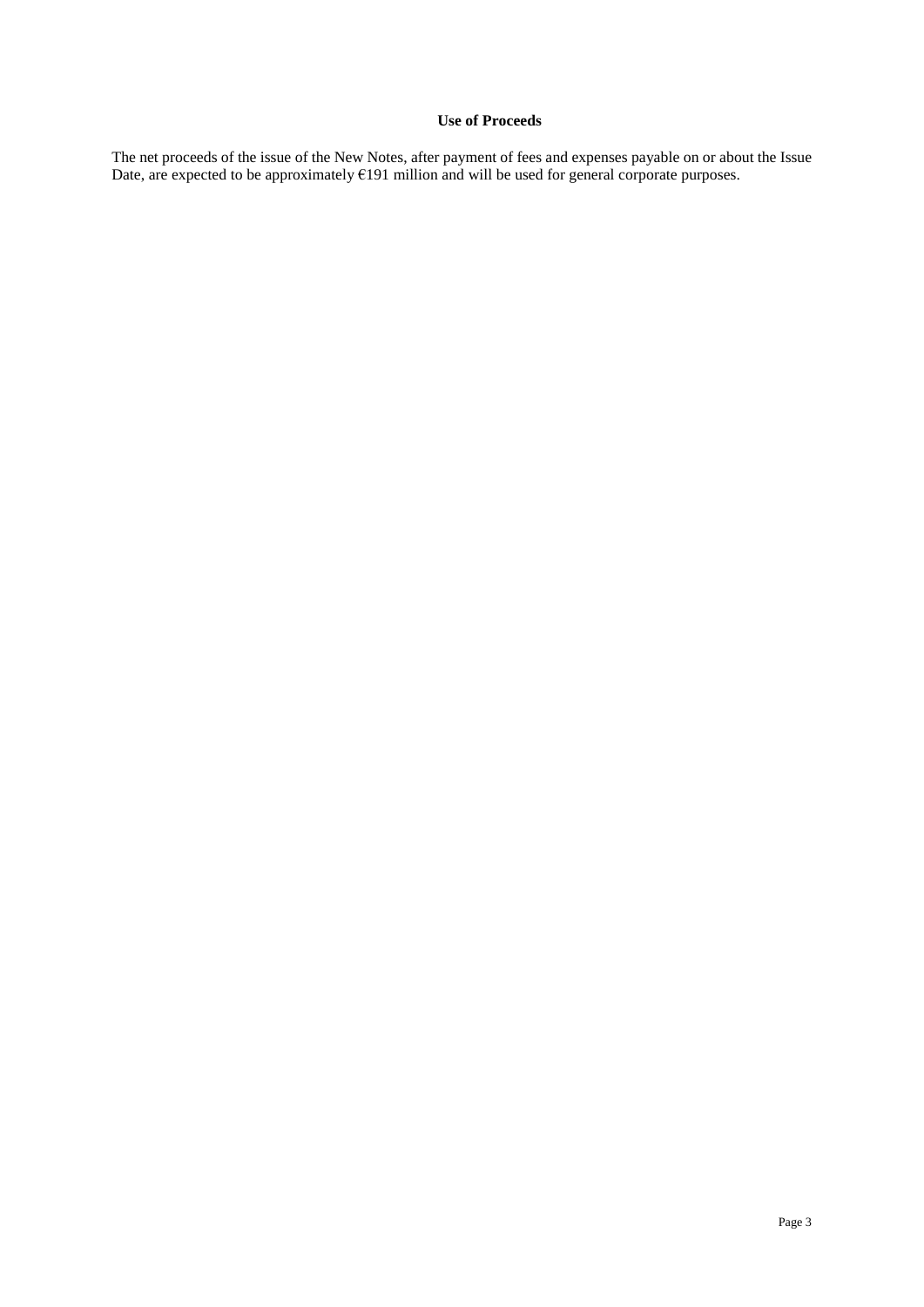# **Use of Proceeds**

<span id="page-4-0"></span>The net proceeds of the issue of the New Notes, after payment of fees and expenses payable on or about the Issue Date, are expected to be approximately  $E191$  million and will be used for general corporate purposes.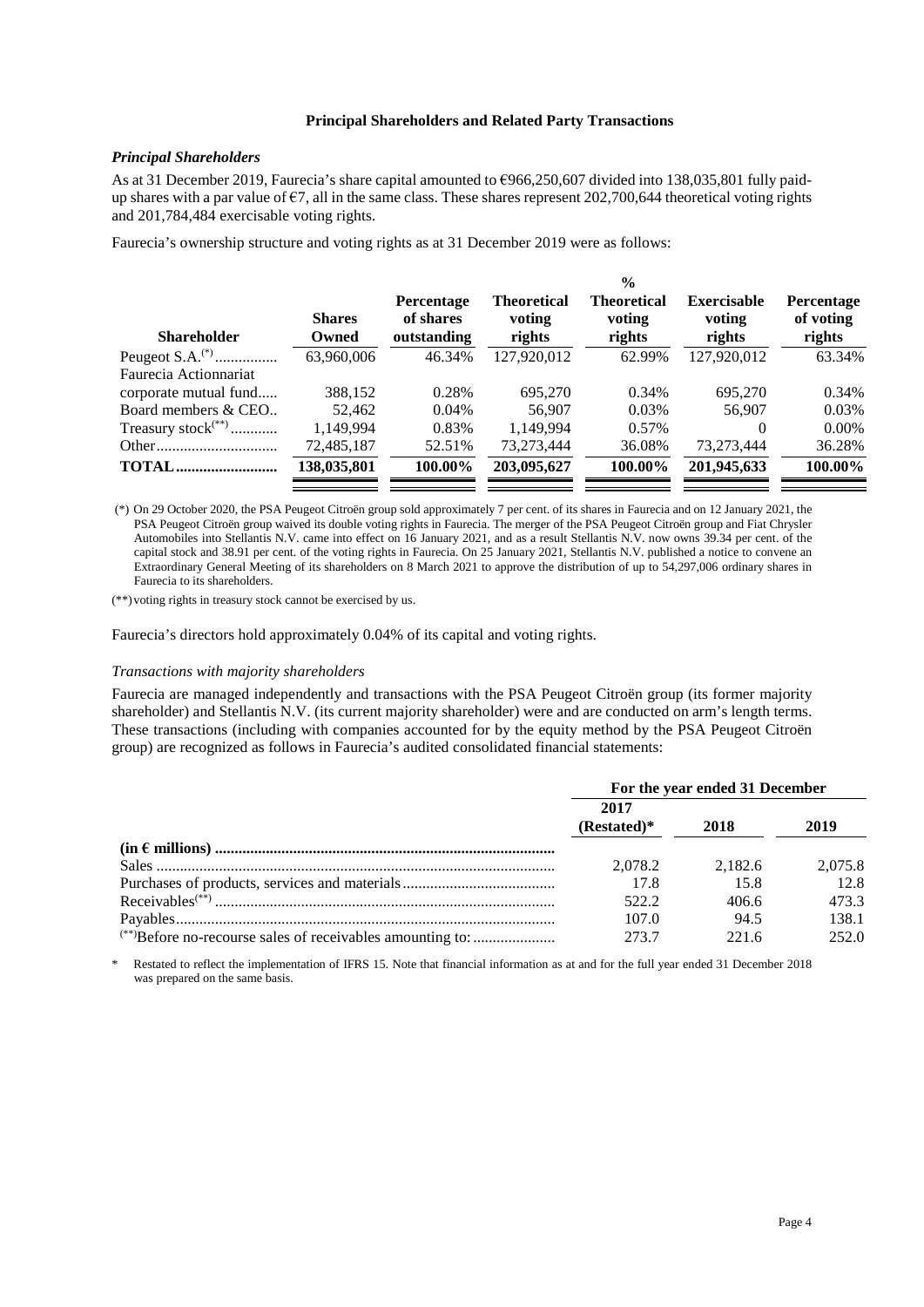#### **Principal Shareholders and Related Party Transactions**

## <span id="page-5-0"></span>*Principal Shareholders*

As at 31 December 2019, Faurecia's share capital amounted to €966,250,607 divided into 138,035,801 fully paidup shares with a par value of  $\epsilon$ 7, all in the same class. These shares represent 202,700,644 theoretical voting rights and 201,784,484 exercisable voting rights.

Faurecia's ownership structure and voting rights as at 31 December 2019 were as follows:

| <b>Shareholder</b>             | <b>Shares</b><br>Owned | <b>Percentage</b><br>of shares<br>outstanding | Theoretical<br>voting<br>rights | Theoretical<br>voting<br>rights | <b>Exercisable</b><br>voting<br>rights | Percentage<br>of voting<br>rights |
|--------------------------------|------------------------|-----------------------------------------------|---------------------------------|---------------------------------|----------------------------------------|-----------------------------------|
|                                | 63,960,006             | 46.34%                                        | 127,920,012                     | 62.99%                          | 127,920,012                            | 63.34%                            |
| Faurecia Actionnariat          |                        |                                               |                                 |                                 |                                        |                                   |
| corporate mutual fund          | 388,152                | 0.28%                                         | 695,270                         | 0.34%                           | 695,270                                | 0.34%                             |
| Board members & CEO            | 52,462                 | $0.04\%$                                      | 56,907                          | 0.03%                           | 56,907                                 | 0.03%                             |
| Treasury stock <sup>(**)</sup> | 1,149,994              | 0.83%                                         | 1.149.994                       | 0.57%                           | $\theta$                               | $0.00\%$                          |
|                                | 72,485,187             | 52.51%                                        | 73.273.444                      | 36.08%                          | 73.273.444                             | 36.28%                            |
| <b>TOTAL</b>                   | 138,035,801            | 100.00%                                       | 203,095,627                     | 100.00%                         | 201,945,633                            | 100.00%                           |
|                                |                        |                                               |                                 |                                 |                                        |                                   |

 (\*) On 29 October 2020, the PSA Peugeot Citroën group sold approximately 7 per cent. of its shares in Faurecia and on 12 January 2021, the PSA Peugeot Citroën group waived its double voting rights in Faurecia. The merger of the PSA Peugeot Citroën group and Fiat Chrysler Automobiles into Stellantis N.V. came into effect on 16 January 2021, and as a result Stellantis N.V. now owns 39.34 per cent. of the capital stock and 38.91 per cent. of the voting rights in Faurecia. On 25 January 2021, Stellantis N.V. published a notice to convene an Extraordinary General Meeting of its shareholders on 8 March 2021 to approve the distribution of up to 54,297,006 ordinary shares in Faurecia to its shareholders.

(\*\*) voting rights in treasury stock cannot be exercised by us.

Faurecia's directors hold approximately 0.04% of its capital and voting rights.

#### *Transactions with majority shareholders*

Faurecia are managed independently and transactions with the PSA Peugeot Citroën group (its former majority shareholder) and Stellantis N.V. (its current majority shareholder) were and are conducted on arm's length terms. These transactions (including with companies accounted for by the equity method by the PSA Peugeot Citroën group) are recognized as follows in Faurecia's audited consolidated financial statements:

|                                                                       | For the year ended 31 December |         |         |
|-----------------------------------------------------------------------|--------------------------------|---------|---------|
|                                                                       | 2017<br>$(Restated)*$          | 2018    | 2019    |
|                                                                       |                                |         |         |
|                                                                       | 2.078.2                        | 2.182.6 | 2,075.8 |
|                                                                       | 17.8                           | 15.8    | 12.8    |
| $Receivables$ <sup>(**)</sup>                                         | 522.2                          | 406.6   | 473.3   |
|                                                                       | 107.0                          | 94.5    | 138.1   |
| <sup>(**)</sup> Before no-recourse sales of receivables amounting to: | 273.7                          | 221.6   | 252.0   |

\* Restated to reflect the implementation of IFRS 15. Note that financial information as at and for the full year ended 31 December 2018 was prepared on the same basis.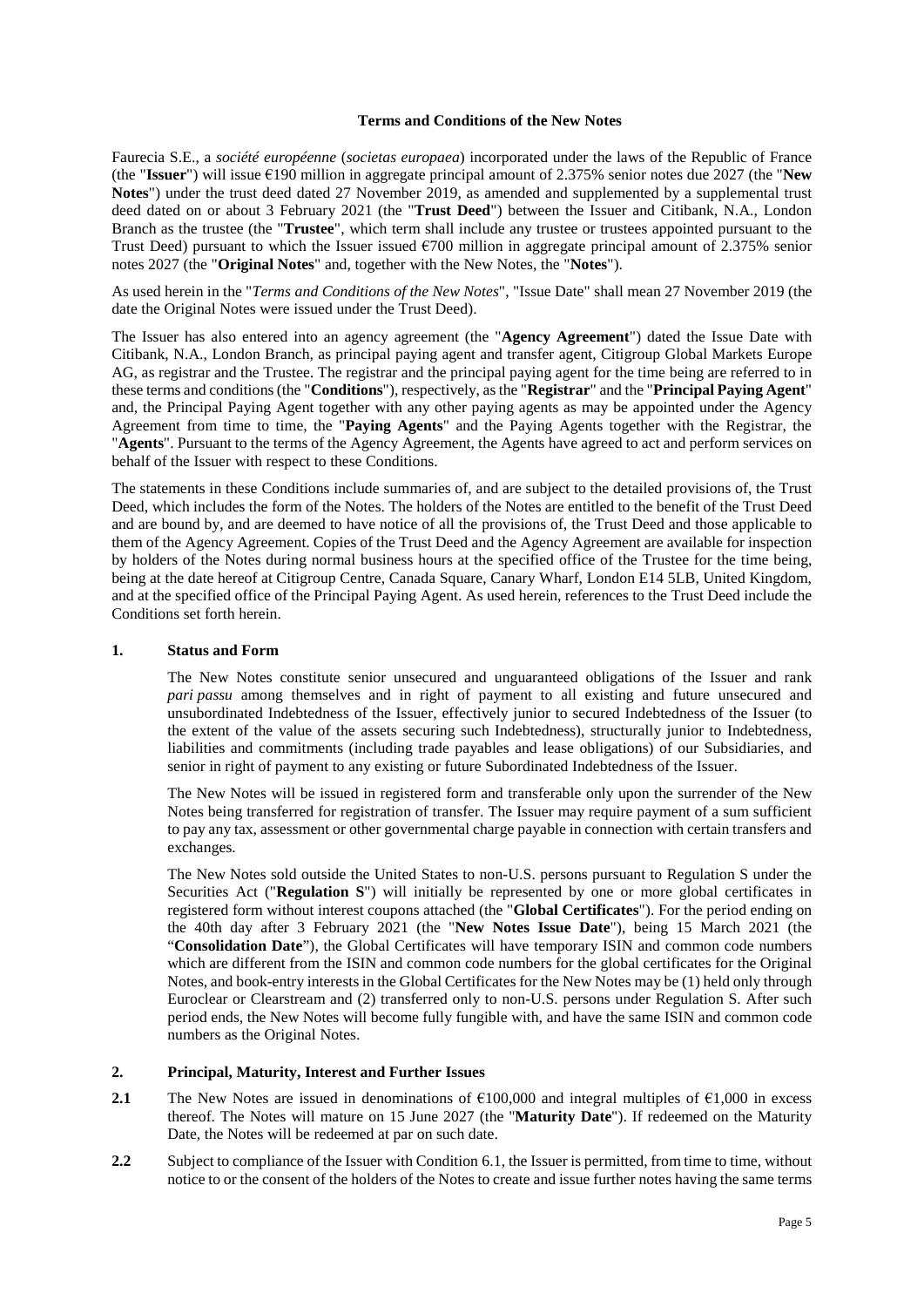## **Terms and Conditions of the New Notes**

<span id="page-6-0"></span>Faurecia S.E., a *société européenne* (*societas europaea*) incorporated under the laws of the Republic of France (the "**Issuer**") will issue €190 million in aggregate principal amount of 2.375% senior notes due 2027 (the "**New Notes**") under the trust deed dated 27 November 2019, as amended and supplemented by a supplemental trust deed dated on or about 3 February 2021 (the "**Trust Deed**") between the Issuer and Citibank, N.A., London Branch as the trustee (the "**Trustee**", which term shall include any trustee or trustees appointed pursuant to the Trust Deed) pursuant to which the Issuer issued  $\epsilon$ 700 million in aggregate principal amount of 2.375% senior notes 2027 (the "**Original Notes**" and, together with the New Notes, the "**Notes**").

As used herein in the "*Terms and Conditions of the New Notes*", "Issue Date" shall mean 27 November 2019 (the date the Original Notes were issued under the Trust Deed).

The Issuer has also entered into an agency agreement (the "**Agency Agreement**") dated the Issue Date with Citibank, N.A., London Branch, as principal paying agent and transfer agent, Citigroup Global Markets Europe AG, as registrar and the Trustee. The registrar and the principal paying agent for the time being are referred to in these terms and conditions (the "**Conditions**"), respectively, as the "**Registrar**" and the "**Principal Paying Agent**" and, the Principal Paying Agent together with any other paying agents as may be appointed under the Agency Agreement from time to time, the "**Paying Agents**" and the Paying Agents together with the Registrar, the "**Agents**". Pursuant to the terms of the Agency Agreement, the Agents have agreed to act and perform services on behalf of the Issuer with respect to these Conditions.

The statements in these Conditions include summaries of, and are subject to the detailed provisions of, the Trust Deed, which includes the form of the Notes. The holders of the Notes are entitled to the benefit of the Trust Deed and are bound by, and are deemed to have notice of all the provisions of, the Trust Deed and those applicable to them of the Agency Agreement. Copies of the Trust Deed and the Agency Agreement are available for inspection by holders of the Notes during normal business hours at the specified office of the Trustee for the time being, being at the date hereof at Citigroup Centre, Canada Square, Canary Wharf, London E14 5LB, United Kingdom, and at the specified office of the Principal Paying Agent. As used herein, references to the Trust Deed include the Conditions set forth herein.

#### **1. Status and Form**

The New Notes constitute senior unsecured and unguaranteed obligations of the Issuer and rank *pari passu* among themselves and in right of payment to all existing and future unsecured and unsubordinated Indebtedness of the Issuer, effectively junior to secured Indebtedness of the Issuer (to the extent of the value of the assets securing such Indebtedness), structurally junior to Indebtedness, liabilities and commitments (including trade payables and lease obligations) of our Subsidiaries, and senior in right of payment to any existing or future Subordinated Indebtedness of the Issuer.

The New Notes will be issued in registered form and transferable only upon the surrender of the New Notes being transferred for registration of transfer. The Issuer may require payment of a sum sufficient to pay any tax, assessment or other governmental charge payable in connection with certain transfers and exchanges.

The New Notes sold outside the United States to non-U.S. persons pursuant to Regulation S under the Securities Act ("**Regulation S**") will initially be represented by one or more global certificates in registered form without interest coupons attached (the "**Global Certificates**"). For the period ending on the 40th day after 3 February 2021 (the "**New Notes Issue Date**"), being 15 March 2021 (the "**Consolidation Date**"), the Global Certificates will have temporary ISIN and common code numbers which are different from the ISIN and common code numbers for the global certificates for the Original Notes, and book-entry interests in the Global Certificates for the New Notes may be (1) held only through Euroclear or Clearstream and (2) transferred only to non-U.S. persons under Regulation S. After such period ends, the New Notes will become fully fungible with, and have the same ISIN and common code numbers as the Original Notes.

#### **2. Principal, Maturity, Interest and Further Issues**

- <span id="page-6-2"></span>**2.1** The New Notes are issued in denominations of €100,000 and integral multiples of €1,000 in excess thereof. The Notes will mature on 15 June 2027 (the "**Maturity Date**"). If redeemed on the Maturity Date, the Notes will be redeemed at par on such date.
- <span id="page-6-1"></span>**2.2** Subject to compliance of the Issuer with Conditio[n 6.1,](#page-12-0) the Issuer is permitted, from time to time, without notice to or the consent of the holders of the Notes to create and issue further notes having the same terms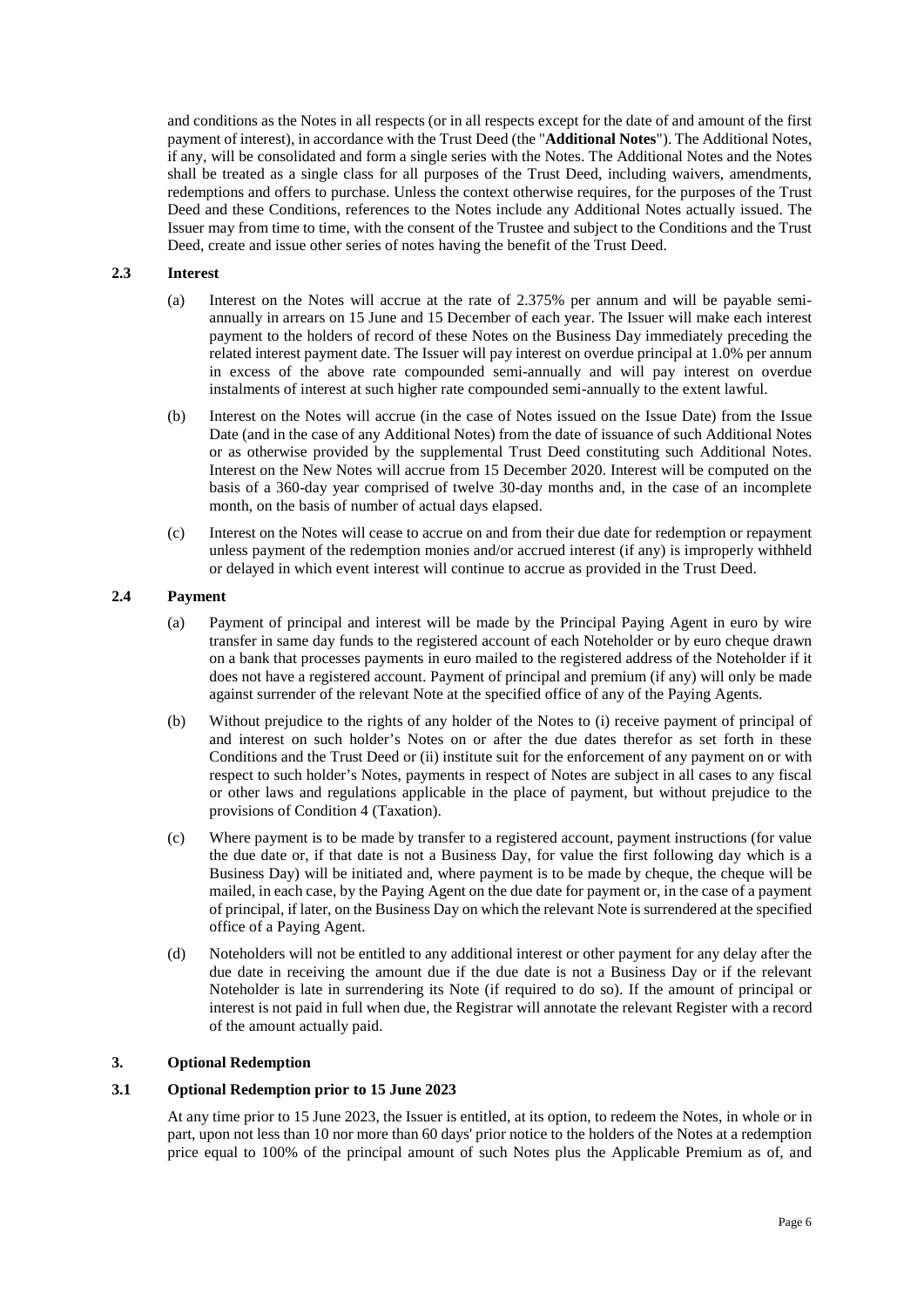and conditions as the Notes in all respects (or in all respects except for the date of and amount of the first payment of interest), in accordance with the Trust Deed (the "**Additional Notes**"). The Additional Notes, if any, will be consolidated and form a single series with the Notes. The Additional Notes and the Notes shall be treated as a single class for all purposes of the Trust Deed, including waivers, amendments, redemptions and offers to purchase. Unless the context otherwise requires, for the purposes of the Trust Deed and these Conditions, references to the Notes include any Additional Notes actually issued. The Issuer may from time to time, with the consent of the Trustee and subject to the Conditions and the Trust Deed, create and issue other series of notes having the benefit of the Trust Deed.

## **2.3 Interest**

- (a) Interest on the Notes will accrue at the rate of 2.375% per annum and will be payable semiannually in arrears on 15 June and 15 December of each year. The Issuer will make each interest payment to the holders of record of these Notes on the Business Day immediately preceding the related interest payment date. The Issuer will pay interest on overdue principal at 1.0% per annum in excess of the above rate compounded semi-annually and will pay interest on overdue instalments of interest at such higher rate compounded semi-annually to the extent lawful.
- (b) Interest on the Notes will accrue (in the case of Notes issued on the Issue Date) from the Issue Date (and in the case of any Additional Notes) from the date of issuance of such Additional Notes or as otherwise provided by the supplemental Trust Deed constituting such Additional Notes. Interest on the New Notes will accrue from 15 December 2020. Interest will be computed on the basis of a 360-day year comprised of twelve 30-day months and, in the case of an incomplete month, on the basis of number of actual days elapsed.
- (c) Interest on the Notes will cease to accrue on and from their due date for redemption or repayment unless payment of the redemption monies and/or accrued interest (if any) is improperly withheld or delayed in which event interest will continue to accrue as provided in the Trust Deed.

#### **2.4 Payment**

- (a) Payment of principal and interest will be made by the Principal Paying Agent in euro by wire transfer in same day funds to the registered account of each Noteholder or by euro cheque drawn on a bank that processes payments in euro mailed to the registered address of the Noteholder if it does not have a registered account. Payment of principal and premium (if any) will only be made against surrender of the relevant Note at the specified office of any of the Paying Agents.
- (b) Without prejudice to the rights of any holder of the Notes to (i) receive payment of principal of and interest on such holder's Notes on or after the due dates therefor as set forth in these Conditions and the Trust Deed or (ii) institute suit for the enforcement of any payment on or with respect to such holder's Notes, payments in respect of Notes are subject in all cases to any fiscal or other laws and regulations applicable in the place of payment, but without prejudice to the provisions of Condition 4 (Taxation).
- (c) Where payment is to be made by transfer to a registered account, payment instructions (for value the due date or, if that date is not a Business Day, for value the first following day which is a Business Day) will be initiated and, where payment is to be made by cheque, the cheque will be mailed, in each case, by the Paying Agent on the due date for payment or, in the case of a payment of principal, if later, on the Business Day on which the relevant Note is surrendered at the specified office of a Paying Agent.
- (d) Noteholders will not be entitled to any additional interest or other payment for any delay after the due date in receiving the amount due if the due date is not a Business Day or if the relevant Noteholder is late in surrendering its Note (if required to do so). If the amount of principal or interest is not paid in full when due, the Registrar will annotate the relevant Register with a record of the amount actually paid.

#### <span id="page-7-0"></span>**3. Optional Redemption**

## **3.1 Optional Redemption prior to 15 June 2023**

At any time prior to 15 June 2023, the Issuer is entitled, at its option, to redeem the Notes, in whole or in part, upon not less than 10 nor more than 60 days' prior notice to the holders of the Notes at a redemption price equal to 100% of the principal amount of such Notes plus the Applicable Premium as of, and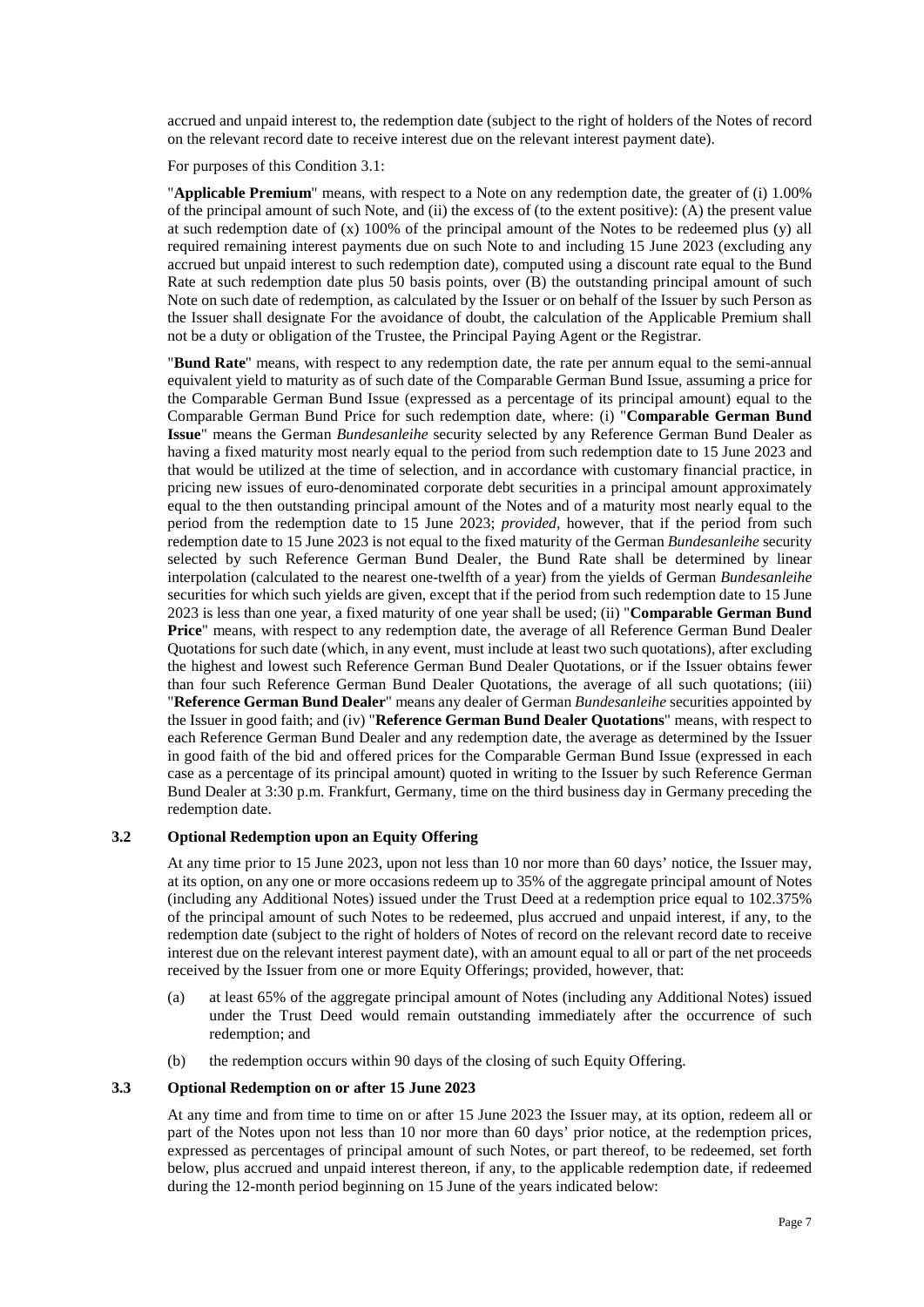accrued and unpaid interest to, the redemption date (subject to the right of holders of the Notes of record on the relevant record date to receive interest due on the relevant interest payment date).

For purposes of this Condition 3.1:

"**Applicable Premium**" means, with respect to a Note on any redemption date, the greater of (i) 1.00% of the principal amount of such Note, and (ii) the excess of (to the extent positive): (A) the present value at such redemption date of (x) 100% of the principal amount of the Notes to be redeemed plus (y) all required remaining interest payments due on such Note to and including 15 June 2023 (excluding any accrued but unpaid interest to such redemption date), computed using a discount rate equal to the Bund Rate at such redemption date plus 50 basis points, over (B) the outstanding principal amount of such Note on such date of redemption, as calculated by the Issuer or on behalf of the Issuer by such Person as the Issuer shall designate For the avoidance of doubt, the calculation of the Applicable Premium shall not be a duty or obligation of the Trustee, the Principal Paying Agent or the Registrar.

"**Bund Rate**" means, with respect to any redemption date, the rate per annum equal to the semi-annual equivalent yield to maturity as of such date of the Comparable German Bund Issue, assuming a price for the Comparable German Bund Issue (expressed as a percentage of its principal amount) equal to the Comparable German Bund Price for such redemption date, where: (i) "**Comparable German Bund Issue**" means the German *Bundesanleihe* security selected by any Reference German Bund Dealer as having a fixed maturity most nearly equal to the period from such redemption date to 15 June 2023 and that would be utilized at the time of selection, and in accordance with customary financial practice, in pricing new issues of euro-denominated corporate debt securities in a principal amount approximately equal to the then outstanding principal amount of the Notes and of a maturity most nearly equal to the period from the redemption date to 15 June 2023; *provided,* however, that if the period from such redemption date to 15 June 2023 is not equal to the fixed maturity of the German *Bundesanleihe* security selected by such Reference German Bund Dealer, the Bund Rate shall be determined by linear interpolation (calculated to the nearest one-twelfth of a year) from the yields of German *Bundesanleihe* securities for which such yields are given, except that if the period from such redemption date to 15 June 2023 is less than one year, a fixed maturity of one year shall be used; (ii) "**Comparable German Bund Price**" means, with respect to any redemption date, the average of all Reference German Bund Dealer Quotations for such date (which, in any event, must include at least two such quotations), after excluding the highest and lowest such Reference German Bund Dealer Quotations, or if the Issuer obtains fewer than four such Reference German Bund Dealer Quotations, the average of all such quotations; (iii) "**Reference German Bund Dealer**" means any dealer of German *Bundesanleihe* securities appointed by the Issuer in good faith; and (iv) "**Reference German Bund Dealer Quotations**" means, with respect to each Reference German Bund Dealer and any redemption date, the average as determined by the Issuer in good faith of the bid and offered prices for the Comparable German Bund Issue (expressed in each case as a percentage of its principal amount) quoted in writing to the Issuer by such Reference German Bund Dealer at 3:30 p.m. Frankfurt, Germany, time on the third business day in Germany preceding the redemption date.

#### <span id="page-8-0"></span>**3.2 Optional Redemption upon an Equity Offering**

At any time prior to 15 June 2023, upon not less than 10 nor more than 60 days' notice, the Issuer may, at its option, on any one or more occasions redeem up to 35% of the aggregate principal amount of Notes (including any Additional Notes) issued under the Trust Deed at a redemption price equal to 102.375% of the principal amount of such Notes to be redeemed, plus accrued and unpaid interest, if any, to the redemption date (subject to the right of holders of Notes of record on the relevant record date to receive interest due on the relevant interest payment date), with an amount equal to all or part of the net proceeds received by the Issuer from one or more Equity Offerings; provided, however, that:

- (a) at least 65% of the aggregate principal amount of Notes (including any Additional Notes) issued under the Trust Deed would remain outstanding immediately after the occurrence of such redemption; and
- (b) the redemption occurs within 90 days of the closing of such Equity Offering.

#### **3.3 Optional Redemption on or after 15 June 2023**

At any time and from time to time on or after 15 June 2023 the Issuer may, at its option, redeem all or part of the Notes upon not less than 10 nor more than 60 days' prior notice, at the redemption prices, expressed as percentages of principal amount of such Notes, or part thereof, to be redeemed, set forth below, plus accrued and unpaid interest thereon, if any, to the applicable redemption date, if redeemed during the 12-month period beginning on 15 June of the years indicated below: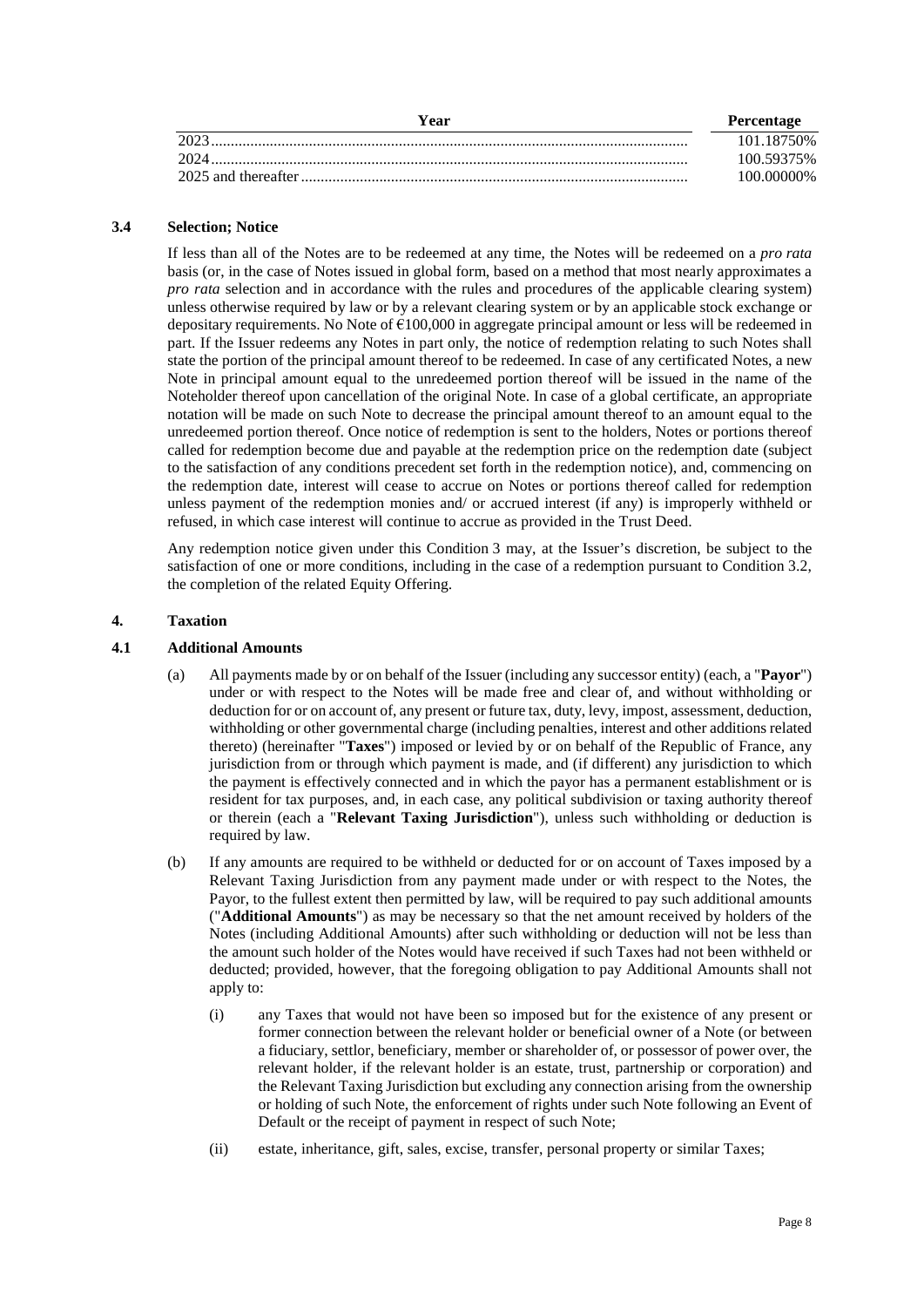| Year | <b>Percentage</b> |
|------|-------------------|
| 2023 | 101.18750\%       |
| 2024 | 100.59375%        |
|      | 100.00000%        |

## **3.4 Selection; Notice**

If less than all of the Notes are to be redeemed at any time, the Notes will be redeemed on a *pro rata* basis (or, in the case of Notes issued in global form, based on a method that most nearly approximates a *pro rata* selection and in accordance with the rules and procedures of the applicable clearing system) unless otherwise required by law or by a relevant clearing system or by an applicable stock exchange or depositary requirements. No Note of €100,000 in aggregate principal amount or less will be redeemed in part. If the Issuer redeems any Notes in part only, the notice of redemption relating to such Notes shall state the portion of the principal amount thereof to be redeemed. In case of any certificated Notes, a new Note in principal amount equal to the unredeemed portion thereof will be issued in the name of the Noteholder thereof upon cancellation of the original Note. In case of a global certificate, an appropriate notation will be made on such Note to decrease the principal amount thereof to an amount equal to the unredeemed portion thereof. Once notice of redemption is sent to the holders, Notes or portions thereof called for redemption become due and payable at the redemption price on the redemption date (subject to the satisfaction of any conditions precedent set forth in the redemption notice), and, commencing on the redemption date, interest will cease to accrue on Notes or portions thereof called for redemption unless payment of the redemption monies and/ or accrued interest (if any) is improperly withheld or refused, in which case interest will continue to accrue as provided in the Trust Deed.

Any redemption notice given under this Condition 3 may, at the Issuer's discretion, be subject to the satisfaction of one or more conditions, including in the case of a redemption pursuant to Condition [3.2,](#page-8-0) the completion of the related Equity Offering.

# <span id="page-9-0"></span>**4. Taxation**

## <span id="page-9-1"></span>**4.1 Additional Amounts**

- (a) All payments made by or on behalf of the Issuer (including any successor entity) (each, a "**Payor**") under or with respect to the Notes will be made free and clear of, and without withholding or deduction for or on account of, any present or future tax, duty, levy, impost, assessment, deduction, withholding or other governmental charge (including penalties, interest and other additions related thereto) (hereinafter "**Taxes**") imposed or levied by or on behalf of the Republic of France, any jurisdiction from or through which payment is made, and (if different) any jurisdiction to which the payment is effectively connected and in which the payor has a permanent establishment or is resident for tax purposes, and, in each case, any political subdivision or taxing authority thereof or therein (each a "**Relevant Taxing Jurisdiction**"), unless such withholding or deduction is required by law.
- (b) If any amounts are required to be withheld or deducted for or on account of Taxes imposed by a Relevant Taxing Jurisdiction from any payment made under or with respect to the Notes, the Payor, to the fullest extent then permitted by law, will be required to pay such additional amounts ("**Additional Amounts**") as may be necessary so that the net amount received by holders of the Notes (including Additional Amounts) after such withholding or deduction will not be less than the amount such holder of the Notes would have received if such Taxes had not been withheld or deducted; provided, however, that the foregoing obligation to pay Additional Amounts shall not apply to:
	- (i) any Taxes that would not have been so imposed but for the existence of any present or former connection between the relevant holder or beneficial owner of a Note (or between a fiduciary, settlor, beneficiary, member or shareholder of, or possessor of power over, the relevant holder, if the relevant holder is an estate, trust, partnership or corporation) and the Relevant Taxing Jurisdiction but excluding any connection arising from the ownership or holding of such Note, the enforcement of rights under such Note following an Event of Default or the receipt of payment in respect of such Note;
	- (ii) estate, inheritance, gift, sales, excise, transfer, personal property or similar Taxes;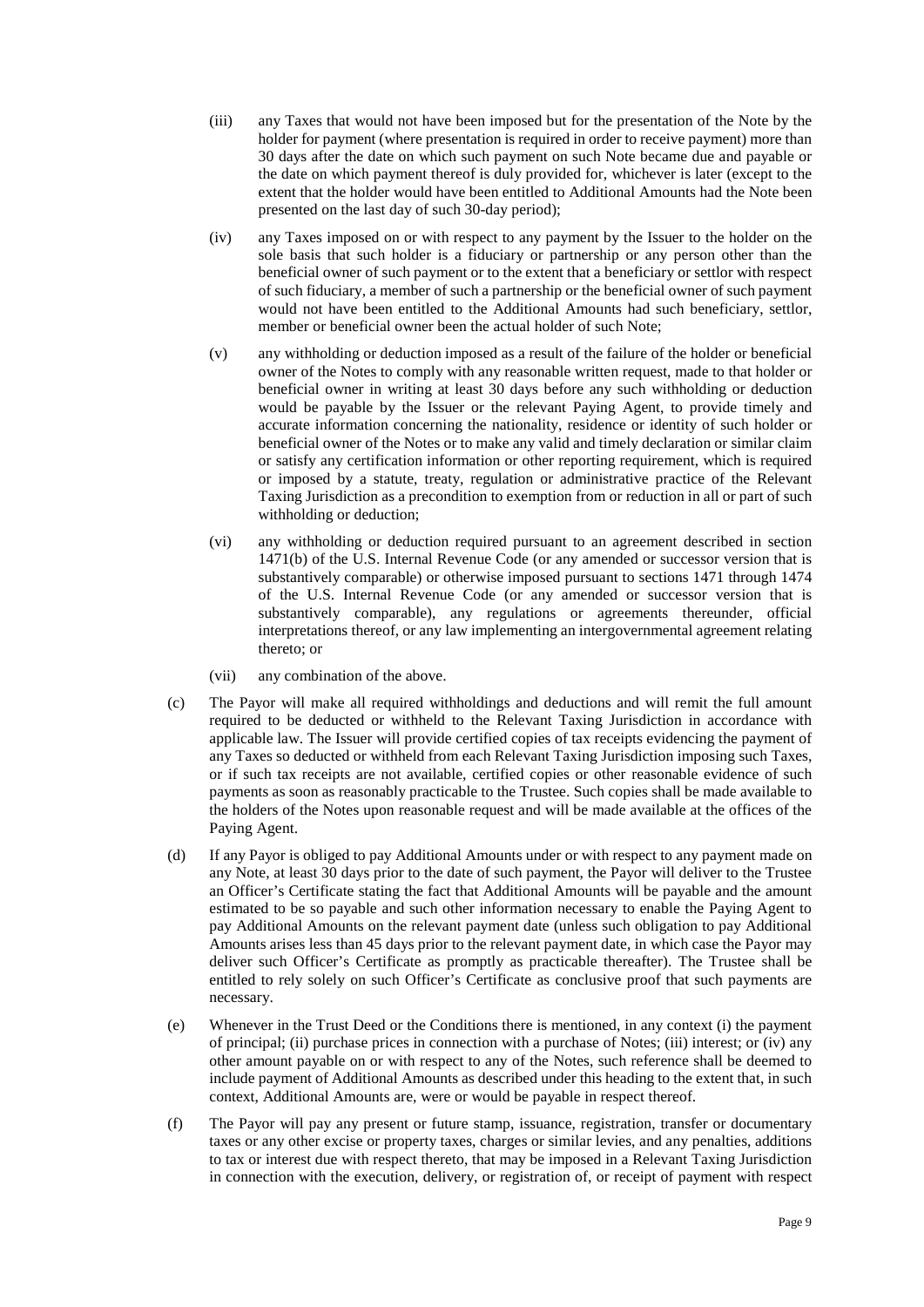- (iii) any Taxes that would not have been imposed but for the presentation of the Note by the holder for payment (where presentation is required in order to receive payment) more than 30 days after the date on which such payment on such Note became due and payable or the date on which payment thereof is duly provided for, whichever is later (except to the extent that the holder would have been entitled to Additional Amounts had the Note been presented on the last day of such 30-day period);
- (iv) any Taxes imposed on or with respect to any payment by the Issuer to the holder on the sole basis that such holder is a fiduciary or partnership or any person other than the beneficial owner of such payment or to the extent that a beneficiary or settlor with respect of such fiduciary, a member of such a partnership or the beneficial owner of such payment would not have been entitled to the Additional Amounts had such beneficiary, settlor, member or beneficial owner been the actual holder of such Note;
- (v) any withholding or deduction imposed as a result of the failure of the holder or beneficial owner of the Notes to comply with any reasonable written request, made to that holder or beneficial owner in writing at least 30 days before any such withholding or deduction would be payable by the Issuer or the relevant Paying Agent, to provide timely and accurate information concerning the nationality, residence or identity of such holder or beneficial owner of the Notes or to make any valid and timely declaration or similar claim or satisfy any certification information or other reporting requirement, which is required or imposed by a statute, treaty, regulation or administrative practice of the Relevant Taxing Jurisdiction as a precondition to exemption from or reduction in all or part of such withholding or deduction;
- (vi) any withholding or deduction required pursuant to an agreement described in section 1471(b) of the U.S. Internal Revenue Code (or any amended or successor version that is substantively comparable) or otherwise imposed pursuant to sections 1471 through 1474 of the U.S. Internal Revenue Code (or any amended or successor version that is substantively comparable), any regulations or agreements thereunder, official interpretations thereof, or any law implementing an intergovernmental agreement relating thereto; or
- (vii) any combination of the above.
- (c) The Payor will make all required withholdings and deductions and will remit the full amount required to be deducted or withheld to the Relevant Taxing Jurisdiction in accordance with applicable law. The Issuer will provide certified copies of tax receipts evidencing the payment of any Taxes so deducted or withheld from each Relevant Taxing Jurisdiction imposing such Taxes, or if such tax receipts are not available, certified copies or other reasonable evidence of such payments as soon as reasonably practicable to the Trustee. Such copies shall be made available to the holders of the Notes upon reasonable request and will be made available at the offices of the Paying Agent.
- (d) If any Payor is obliged to pay Additional Amounts under or with respect to any payment made on any Note, at least 30 days prior to the date of such payment, the Payor will deliver to the Trustee an Officer's Certificate stating the fact that Additional Amounts will be payable and the amount estimated to be so payable and such other information necessary to enable the Paying Agent to pay Additional Amounts on the relevant payment date (unless such obligation to pay Additional Amounts arises less than 45 days prior to the relevant payment date, in which case the Payor may deliver such Officer's Certificate as promptly as practicable thereafter). The Trustee shall be entitled to rely solely on such Officer's Certificate as conclusive proof that such payments are necessary.
- (e) Whenever in the Trust Deed or the Conditions there is mentioned, in any context (i) the payment of principal; (ii) purchase prices in connection with a purchase of Notes; (iii) interest; or (iv) any other amount payable on or with respect to any of the Notes, such reference shall be deemed to include payment of Additional Amounts as described under this heading to the extent that, in such context, Additional Amounts are, were or would be payable in respect thereof.
- (f) The Payor will pay any present or future stamp, issuance, registration, transfer or documentary taxes or any other excise or property taxes, charges or similar levies, and any penalties, additions to tax or interest due with respect thereto, that may be imposed in a Relevant Taxing Jurisdiction in connection with the execution, delivery, or registration of, or receipt of payment with respect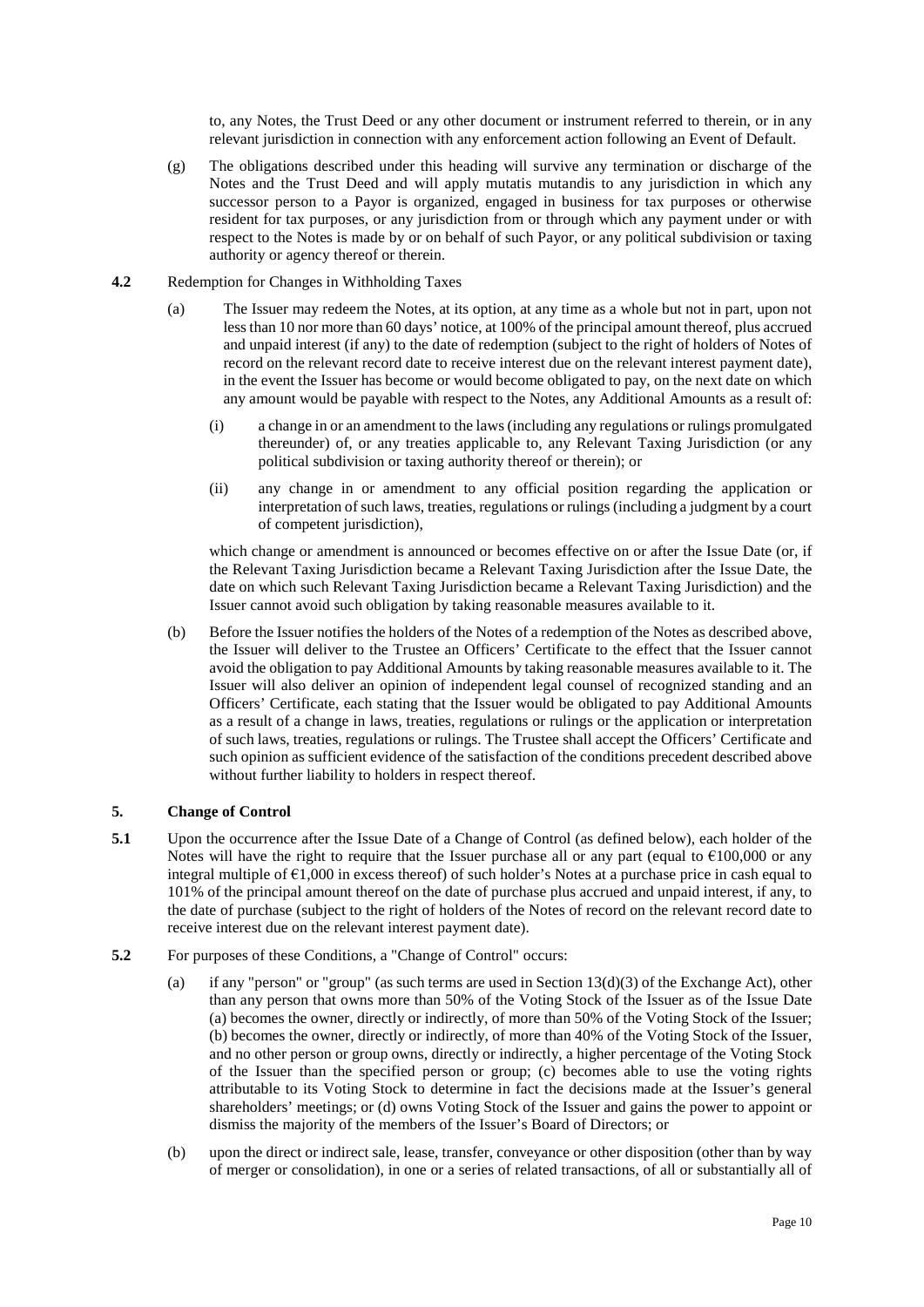to, any Notes, the Trust Deed or any other document or instrument referred to therein, or in any relevant jurisdiction in connection with any enforcement action following an Event of Default.

- (g) The obligations described under this heading will survive any termination or discharge of the Notes and the Trust Deed and will apply mutatis mutandis to any jurisdiction in which any successor person to a Payor is organized, engaged in business for tax purposes or otherwise resident for tax purposes, or any jurisdiction from or through which any payment under or with respect to the Notes is made by or on behalf of such Payor, or any political subdivision or taxing authority or agency thereof or therein.
- <span id="page-11-1"></span>**4.2** Redemption for Changes in Withholding Taxes
	- (a) The Issuer may redeem the Notes, at its option, at any time as a whole but not in part, upon not less than 10 nor more than 60 days' notice, at 100% of the principal amount thereof, plus accrued and unpaid interest (if any) to the date of redemption (subject to the right of holders of Notes of record on the relevant record date to receive interest due on the relevant interest payment date), in the event the Issuer has become or would become obligated to pay, on the next date on which any amount would be payable with respect to the Notes, any Additional Amounts as a result of:
		- (i) a change in or an amendment to the laws (including any regulations or rulings promulgated thereunder) of, or any treaties applicable to, any Relevant Taxing Jurisdiction (or any political subdivision or taxing authority thereof or therein); or
		- (ii) any change in or amendment to any official position regarding the application or interpretation of such laws, treaties, regulations or rulings (including a judgment by a court of competent jurisdiction),

which change or amendment is announced or becomes effective on or after the Issue Date (or, if the Relevant Taxing Jurisdiction became a Relevant Taxing Jurisdiction after the Issue Date, the date on which such Relevant Taxing Jurisdiction became a Relevant Taxing Jurisdiction) and the Issuer cannot avoid such obligation by taking reasonable measures available to it.

(b) Before the Issuer notifies the holders of the Notes of a redemption of the Notes as described above, the Issuer will deliver to the Trustee an Officers' Certificate to the effect that the Issuer cannot avoid the obligation to pay Additional Amounts by taking reasonable measures available to it. The Issuer will also deliver an opinion of independent legal counsel of recognized standing and an Officers' Certificate, each stating that the Issuer would be obligated to pay Additional Amounts as a result of a change in laws, treaties, regulations or rulings or the application or interpretation of such laws, treaties, regulations or rulings. The Trustee shall accept the Officers' Certificate and such opinion as sufficient evidence of the satisfaction of the conditions precedent described above without further liability to holders in respect thereof.

# <span id="page-11-0"></span>**5. Change of Control**

- **5.1** Upon the occurrence after the Issue Date of a Change of Control (as defined below), each holder of the Notes will have the right to require that the Issuer purchase all or any part (equal to  $\epsilon$ 100,000 or any integral multiple of €1,000 in excess thereof) of such holder's Notes at a purchase price in cash equal to 101% of the principal amount thereof on the date of purchase plus accrued and unpaid interest, if any, to the date of purchase (subject to the right of holders of the Notes of record on the relevant record date to receive interest due on the relevant interest payment date).
- **5.2** For purposes of these Conditions, a "Change of Control" occurs:
	- (a) if any "person" or "group" (as such terms are used in Section  $13(d)(3)$  of the Exchange Act), other than any person that owns more than 50% of the Voting Stock of the Issuer as of the Issue Date (a) becomes the owner, directly or indirectly, of more than 50% of the Voting Stock of the Issuer; (b) becomes the owner, directly or indirectly, of more than 40% of the Voting Stock of the Issuer, and no other person or group owns, directly or indirectly, a higher percentage of the Voting Stock of the Issuer than the specified person or group; (c) becomes able to use the voting rights attributable to its Voting Stock to determine in fact the decisions made at the Issuer's general shareholders' meetings; or (d) owns Voting Stock of the Issuer and gains the power to appoint or dismiss the majority of the members of the Issuer's Board of Directors; or
	- (b) upon the direct or indirect sale, lease, transfer, conveyance or other disposition (other than by way of merger or consolidation), in one or a series of related transactions, of all or substantially all of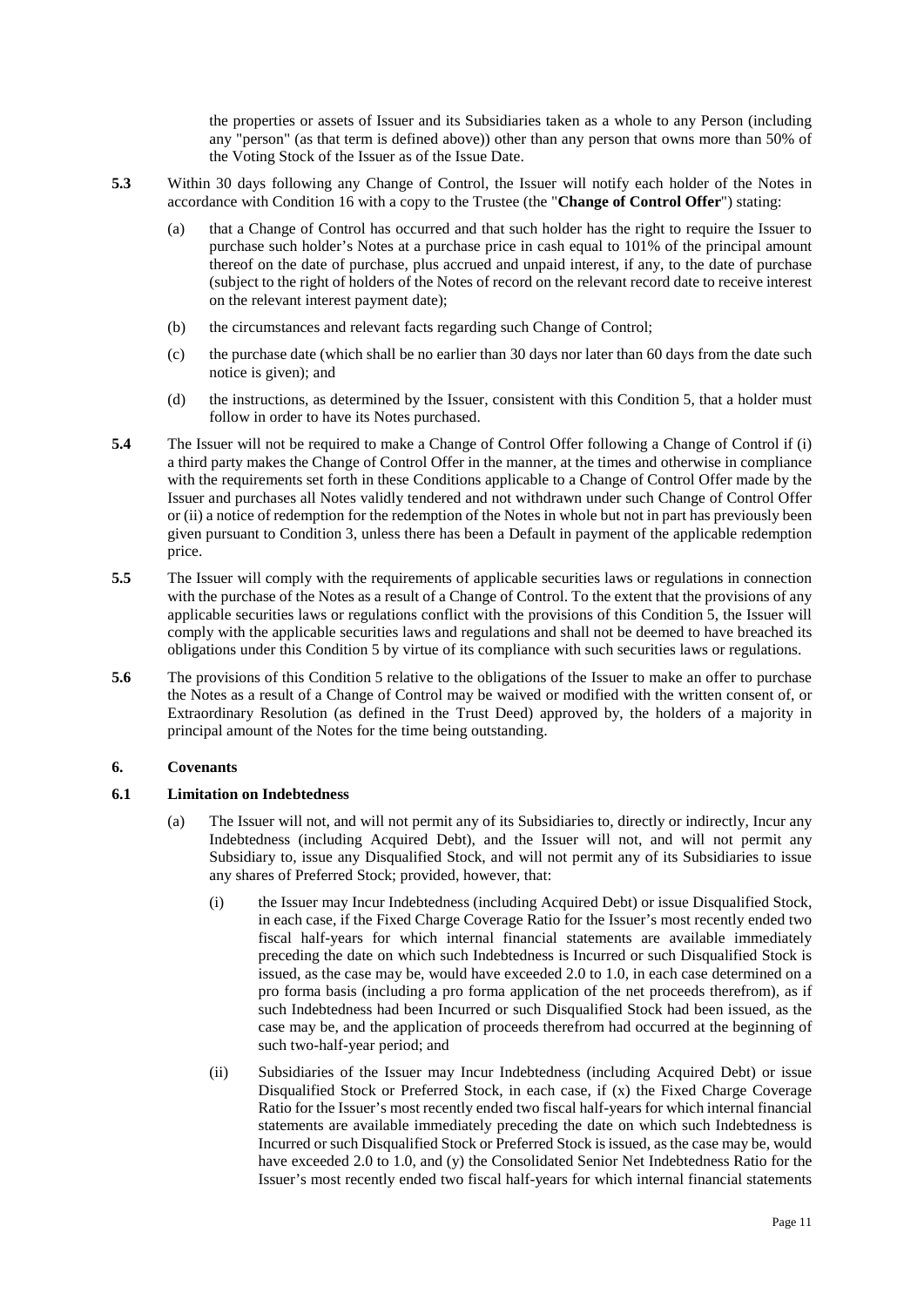the properties or assets of Issuer and its Subsidiaries taken as a whole to any Person (including any "person" (as that term is defined above)) other than any person that owns more than 50% of the Voting Stock of the Issuer as of the Issue Date.

- **5.3** Within 30 days following any Change of Control, the Issuer will notify each holder of the Notes in accordance with Condition [16](#page-24-0) with a copy to the Trustee (the "**Change of Control Offer**") stating:
	- (a) that a Change of Control has occurred and that such holder has the right to require the Issuer to purchase such holder's Notes at a purchase price in cash equal to 101% of the principal amount thereof on the date of purchase, plus accrued and unpaid interest, if any, to the date of purchase (subject to the right of holders of the Notes of record on the relevant record date to receive interest on the relevant interest payment date);
	- (b) the circumstances and relevant facts regarding such Change of Control;
	- (c) the purchase date (which shall be no earlier than 30 days nor later than 60 days from the date such notice is given); and
	- (d) the instructions, as determined by the Issuer, consistent with this Condition [5,](#page-11-0) that a holder must follow in order to have its Notes purchased.
- **5.4** The Issuer will not be required to make a Change of Control Offer following a Change of Control if (i) a third party makes the Change of Control Offer in the manner, at the times and otherwise in compliance with the requirements set forth in these Conditions applicable to a Change of Control Offer made by the Issuer and purchases all Notes validly tendered and not withdrawn under such Change of Control Offer or (ii) a notice of redemption for the redemption of the Notes in whole but not in part has previously been given pursuant to Condition [3,](#page-7-0) unless there has been a Default in payment of the applicable redemption price.
- **5.5** The Issuer will comply with the requirements of applicable securities laws or regulations in connection with the purchase of the Notes as a result of a Change of Control. To the extent that the provisions of any applicable securities laws or regulations conflict with the provisions of this Condition [5,](#page-11-0) the Issuer will comply with the applicable securities laws and regulations and shall not be deemed to have breached its obligations under this Conditio[n 5](#page-11-0) by virtue of its compliance with such securities laws or regulations.
- **5.6** The provisions of this Conditio[n 5](#page-11-0) relative to the obligations of the Issuer to make an offer to purchase the Notes as a result of a Change of Control may be waived or modified with the written consent of, or Extraordinary Resolution (as defined in the Trust Deed) approved by, the holders of a majority in principal amount of the Notes for the time being outstanding.

# <span id="page-12-2"></span>**6. Covenants**

# <span id="page-12-1"></span><span id="page-12-0"></span>**6.1 Limitation on Indebtedness**

- (a) The Issuer will not, and will not permit any of its Subsidiaries to, directly or indirectly, Incur any Indebtedness (including Acquired Debt), and the Issuer will not, and will not permit any Subsidiary to, issue any Disqualified Stock, and will not permit any of its Subsidiaries to issue any shares of Preferred Stock; provided, however, that:
	- (i) the Issuer may Incur Indebtedness (including Acquired Debt) or issue Disqualified Stock, in each case, if the Fixed Charge Coverage Ratio for the Issuer's most recently ended two fiscal half-years for which internal financial statements are available immediately preceding the date on which such Indebtedness is Incurred or such Disqualified Stock is issued, as the case may be, would have exceeded 2.0 to 1.0, in each case determined on a pro forma basis (including a pro forma application of the net proceeds therefrom), as if such Indebtedness had been Incurred or such Disqualified Stock had been issued, as the case may be, and the application of proceeds therefrom had occurred at the beginning of such two-half-year period; and
	- (ii) Subsidiaries of the Issuer may Incur Indebtedness (including Acquired Debt) or issue Disqualified Stock or Preferred Stock, in each case, if (x) the Fixed Charge Coverage Ratio for the Issuer's most recently ended two fiscal half-years for which internal financial statements are available immediately preceding the date on which such Indebtedness is Incurred or such Disqualified Stock or Preferred Stock is issued, as the case may be, would have exceeded 2.0 to 1.0, and (y) the Consolidated Senior Net Indebtedness Ratio for the Issuer's most recently ended two fiscal half-years for which internal financial statements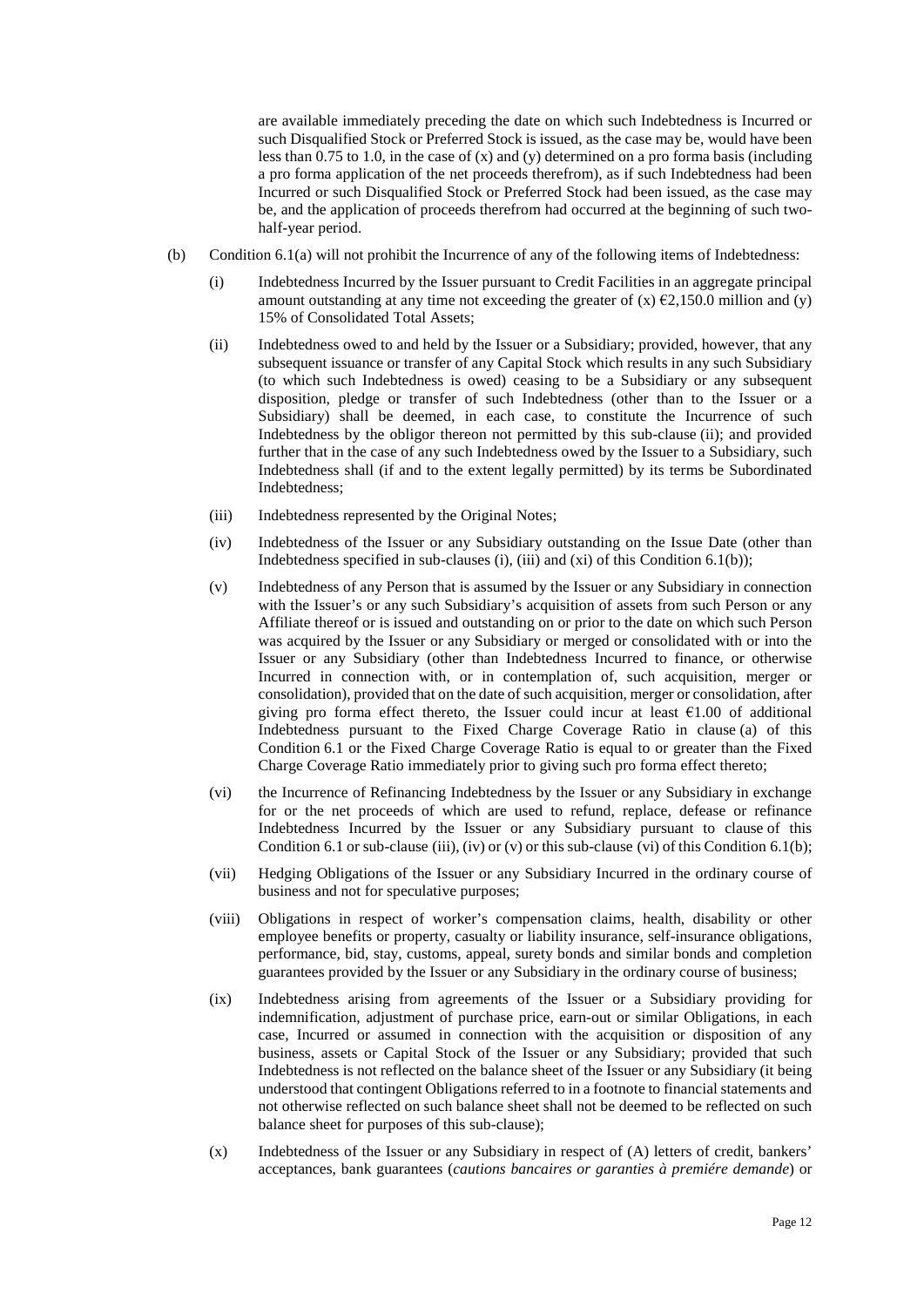are available immediately preceding the date on which such Indebtedness is Incurred or such Disqualified Stock or Preferred Stock is issued, as the case may be, would have been less than 0.75 to 1.0, in the case of  $(x)$  and  $(y)$  determined on a pro forma basis (including a pro forma application of the net proceeds therefrom), as if such Indebtedness had been Incurred or such Disqualified Stock or Preferred Stock had been issued, as the case may be, and the application of proceeds therefrom had occurred at the beginning of such twohalf-year period.

- <span id="page-13-7"></span><span id="page-13-6"></span><span id="page-13-5"></span><span id="page-13-4"></span><span id="page-13-3"></span><span id="page-13-2"></span><span id="page-13-1"></span><span id="page-13-0"></span>(b) Condition [6.1\(a\)](#page-12-1) will not prohibit the Incurrence of any of the following items of Indebtedness:
	- (i) Indebtedness Incurred by the Issuer pursuant to Credit Facilities in an aggregate principal amount outstanding at any time not exceeding the greater of  $(x) \in 2,150.0$  million and  $(y)$ 15% of Consolidated Total Assets;
	- (ii) Indebtedness owed to and held by the Issuer or a Subsidiary; provided, however, that any subsequent issuance or transfer of any Capital Stock which results in any such Subsidiary (to which such Indebtedness is owed) ceasing to be a Subsidiary or any subsequent disposition, pledge or transfer of such Indebtedness (other than to the Issuer or a Subsidiary) shall be deemed, in each case, to constitute the Incurrence of such Indebtedness by the obligor thereon not permitted by this sub-clause [\(ii\);](#page-13-0) and provided further that in the case of any such Indebtedness owed by the Issuer to a Subsidiary, such Indebtedness shall (if and to the extent legally permitted) by its terms be Subordinated Indebtedness;
	- (iii) Indebtedness represented by the Original Notes;
	- (iv) Indebtedness of the Issuer or any Subsidiary outstanding on the Issue Date (other than Indebtedness specified in sub-clause[s \(i\),](#page-13-1) [\(iii\)](#page-13-2) an[d \(xi\)](#page-14-0) of this Condition  $6.1(b)$ );
	- (v) Indebtedness of any Person that is assumed by the Issuer or any Subsidiary in connection with the Issuer's or any such Subsidiary's acquisition of assets from such Person or any Affiliate thereof or is issued and outstanding on or prior to the date on which such Person was acquired by the Issuer or any Subsidiary or merged or consolidated with or into the Issuer or any Subsidiary (other than Indebtedness Incurred to finance, or otherwise Incurred in connection with, or in contemplation of, such acquisition, merger or consolidation), provided that on the date of such acquisition, merger or consolidation, after giving pro forma effect thereto, the Issuer could incur at least €1.00 of additional Indebtedness pursuant to the Fixed Charge Coverage Ratio in clause [\(a\)](#page-12-1) of this Condition [6.1](#page-12-0) or the Fixed Charge Coverage Ratio is equal to or greater than the Fixed Charge Coverage Ratio immediately prior to giving such pro forma effect thereto;
	- (vi) the Incurrence of Refinancing Indebtedness by the Issuer or any Subsidiary in exchange for or the net proceeds of which are used to refund, replace, defease or refinance Indebtedness Incurred by the Issuer or any Subsidiary pursuant to clause of this Condition [6.1 o](#page-12-0)r sub-claus[e \(iii\),](#page-13-2) [\(iv\) o](#page-13-4)[r \(v\) o](#page-13-5)r this sub-clause [\(vi\)](#page-13-6) of this Condition [6.1\(b\);](#page-13-3)
	- (vii) Hedging Obligations of the Issuer or any Subsidiary Incurred in the ordinary course of business and not for speculative purposes;
	- (viii) Obligations in respect of worker's compensation claims, health, disability or other employee benefits or property, casualty or liability insurance, self-insurance obligations, performance, bid, stay, customs, appeal, surety bonds and similar bonds and completion guarantees provided by the Issuer or any Subsidiary in the ordinary course of business;
	- (ix) Indebtedness arising from agreements of the Issuer or a Subsidiary providing for indemnification, adjustment of purchase price, earn-out or similar Obligations, in each case, Incurred or assumed in connection with the acquisition or disposition of any business, assets or Capital Stock of the Issuer or any Subsidiary; provided that such Indebtedness is not reflected on the balance sheet of the Issuer or any Subsidiary (it being understood that contingent Obligations referred to in a footnote to financial statements and not otherwise reflected on such balance sheet shall not be deemed to be reflected on such balance sheet for purposes of this sub-clause);
	- (x) Indebtedness of the Issuer or any Subsidiary in respect of (A) letters of credit, bankers' acceptances, bank guarantees (*cautions bancaires or garanties à premiére demande*) or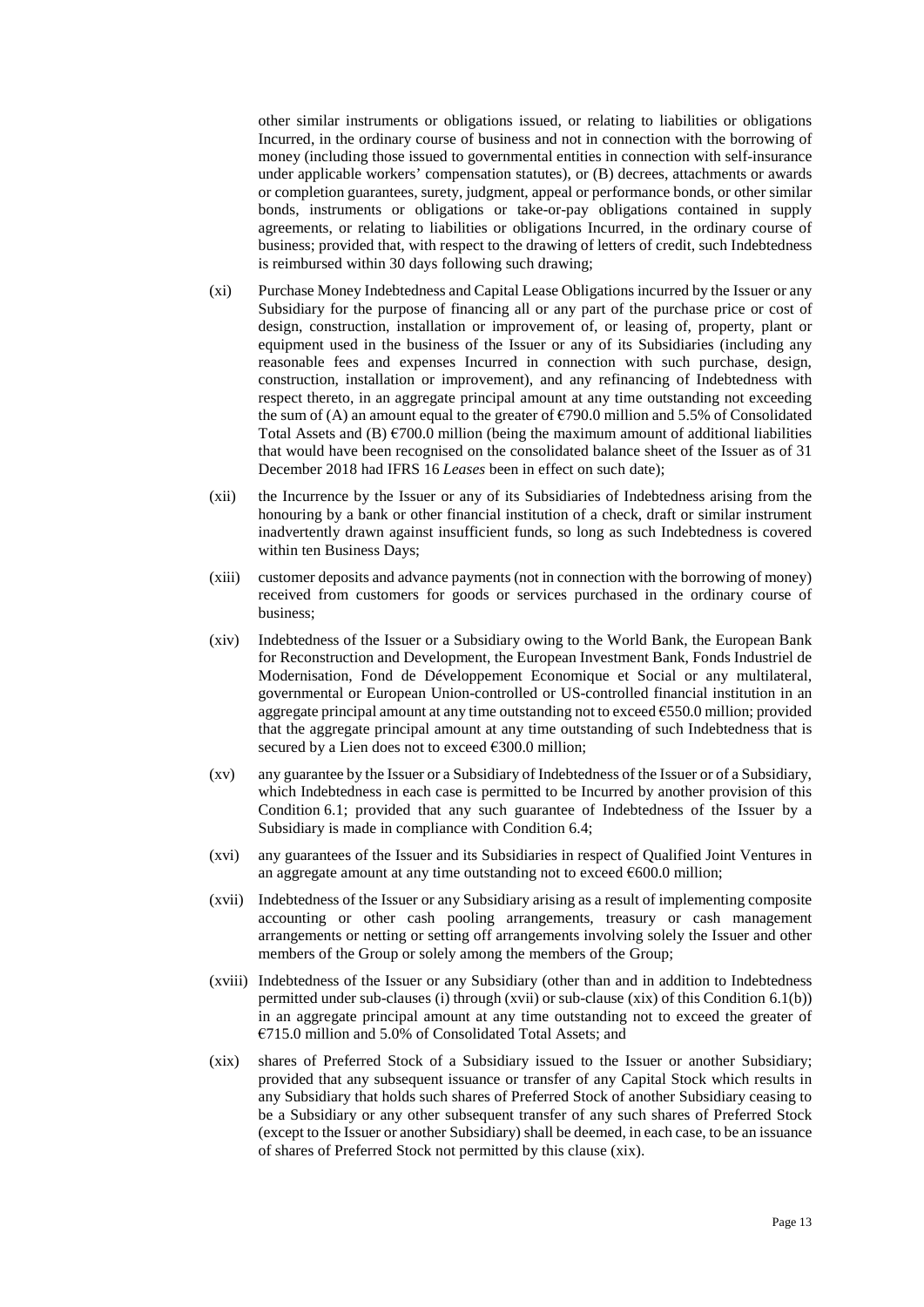other similar instruments or obligations issued, or relating to liabilities or obligations Incurred, in the ordinary course of business and not in connection with the borrowing of money (including those issued to governmental entities in connection with self-insurance under applicable workers' compensation statutes), or (B) decrees, attachments or awards or completion guarantees, surety, judgment, appeal or performance bonds, or other similar bonds, instruments or obligations or take-or-pay obligations contained in supply agreements, or relating to liabilities or obligations Incurred, in the ordinary course of business; provided that, with respect to the drawing of letters of credit, such Indebtedness is reimbursed within 30 days following such drawing;

- <span id="page-14-0"></span>(xi) Purchase Money Indebtedness and Capital Lease Obligations incurred by the Issuer or any Subsidiary for the purpose of financing all or any part of the purchase price or cost of design, construction, installation or improvement of, or leasing of, property, plant or equipment used in the business of the Issuer or any of its Subsidiaries (including any reasonable fees and expenses Incurred in connection with such purchase, design, construction, installation or improvement), and any refinancing of Indebtedness with respect thereto, in an aggregate principal amount at any time outstanding not exceeding the sum of (A) an amount equal to the greater of  $\epsilon$ 790.0 million and 5.5% of Consolidated Total Assets and (B)  $\epsilon$ 700.0 million (being the maximum amount of additional liabilities that would have been recognised on the consolidated balance sheet of the Issuer as of 31 December 2018 had IFRS 16 *Leases* been in effect on such date);
- (xii) the Incurrence by the Issuer or any of its Subsidiaries of Indebtedness arising from the honouring by a bank or other financial institution of a check, draft or similar instrument inadvertently drawn against insufficient funds, so long as such Indebtedness is covered within ten Business Days;
- (xiii) customer deposits and advance payments (not in connection with the borrowing of money) received from customers for goods or services purchased in the ordinary course of business;
- <span id="page-14-3"></span>(xiv) Indebtedness of the Issuer or a Subsidiary owing to the World Bank, the European Bank for Reconstruction and Development, the European Investment Bank, Fonds Industriel de Modernisation, Fond de Développement Economique et Social or any multilateral, governmental or European Union-controlled or US-controlled financial institution in an aggregate principal amount at any time outstanding not to exceed €550.0 million; provided that the aggregate principal amount at any time outstanding of such Indebtedness that is secured by a Lien does not to exceed  $€300.0$  million;
- (xv) any guarantee by the Issuer or a Subsidiary of Indebtedness of the Issuer or of a Subsidiary, which Indebtedness in each case is permitted to be Incurred by another provision of this Condition [6.1;](#page-12-0) provided that any such guarantee of Indebtedness of the Issuer by a Subsidiary is made in compliance with Condition [6.4;](#page-17-0)
- (xvi) any guarantees of the Issuer and its Subsidiaries in respect of Qualified Joint Ventures in an aggregate amount at any time outstanding not to exceed  $\epsilon$ 600.0 million;
- <span id="page-14-1"></span>(xvii) Indebtedness of the Issuer or any Subsidiary arising as a result of implementing composite accounting or other cash pooling arrangements, treasury or cash management arrangements or netting or setting off arrangements involving solely the Issuer and other members of the Group or solely among the members of the Group;
- (xviii) Indebtedness of the Issuer or any Subsidiary (other than and in addition to Indebtedness permitted under sub-clauses [\(i\)](#page-13-1) throug[h \(xvii\) o](#page-14-1)r sub-clause [\(xix\)](#page-14-2) of this Condition [6.1\(b\)\)](#page-13-3) in an aggregate principal amount at any time outstanding not to exceed the greater of €715.0 million and 5.0% of Consolidated Total Assets; and
- <span id="page-14-2"></span>(xix) shares of Preferred Stock of a Subsidiary issued to the Issuer or another Subsidiary; provided that any subsequent issuance or transfer of any Capital Stock which results in any Subsidiary that holds such shares of Preferred Stock of another Subsidiary ceasing to be a Subsidiary or any other subsequent transfer of any such shares of Preferred Stock (except to the Issuer or another Subsidiary) shall be deemed, in each case, to be an issuance of shares of Preferred Stock not permitted by this claus[e \(xix\).](#page-14-2)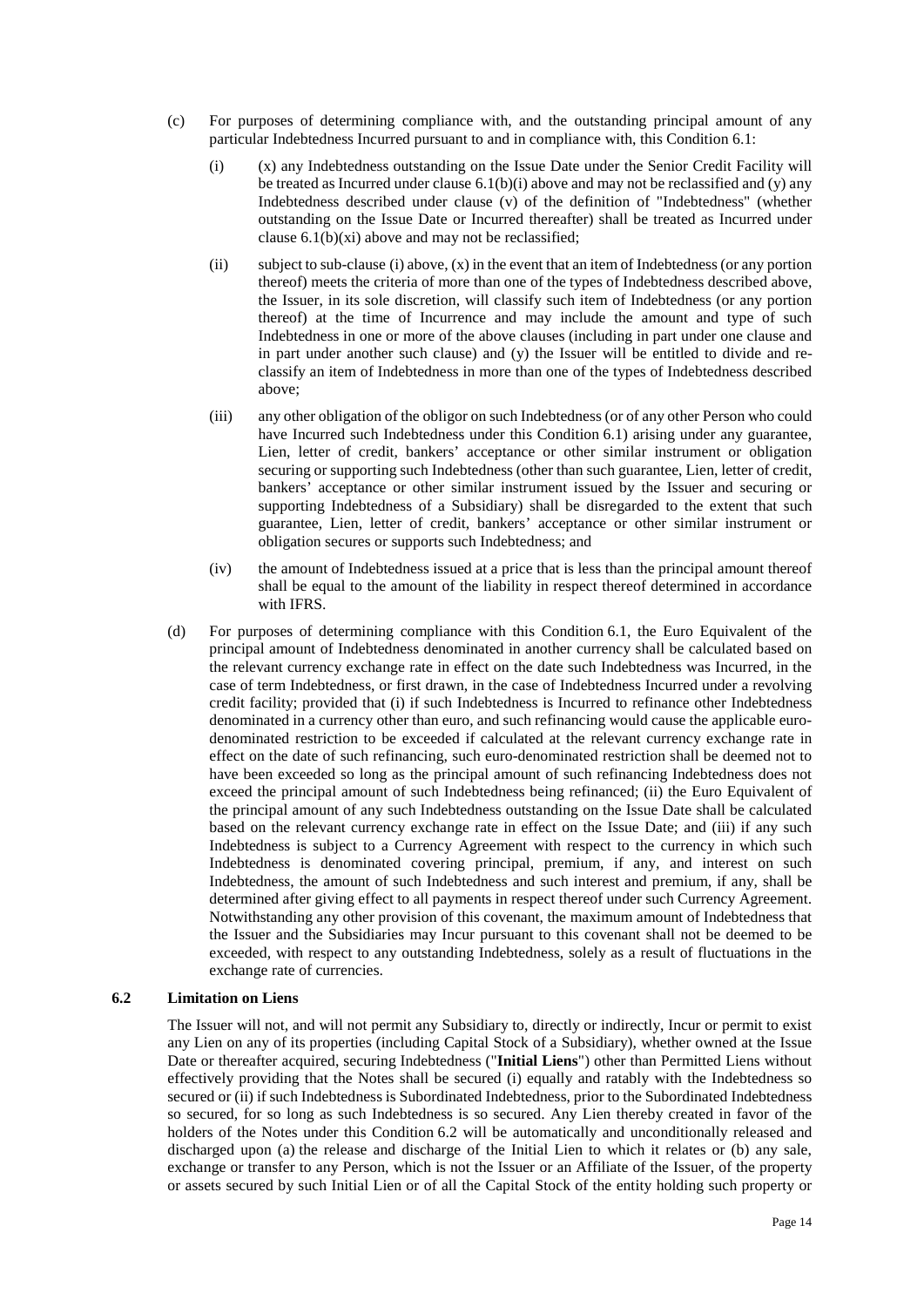- <span id="page-15-0"></span>(c) For purposes of determining compliance with, and the outstanding principal amount of any particular Indebtedness Incurred pursuant to and in compliance with, this Condition 6.1:
	- (i) (x) any Indebtedness outstanding on the Issue Date under the Senior Credit Facility will be treated as Incurred under clause  $6.1(b)(i)$  above and may not be reclassified and (y) any Indebtedness described under clause (v) of the definition of "Indebtedness" (whether outstanding on the Issue Date or Incurred thereafter) shall be treated as Incurred under clause 6.1(b)(xi) above and may not be reclassified;
	- (ii) subject to sub-clause [\(i\) a](#page-15-0)bove,  $(x)$  in the event that an item of Indebtedness (or any portion thereof) meets the criteria of more than one of the types of Indebtedness described above, the Issuer, in its sole discretion, will classify such item of Indebtedness (or any portion thereof) at the time of Incurrence and may include the amount and type of such Indebtedness in one or more of the above clauses (including in part under one clause and in part under another such clause) and (y) the Issuer will be entitled to divide and reclassify an item of Indebtedness in more than one of the types of Indebtedness described above;
	- (iii) any other obligation of the obligor on such Indebtedness (or of any other Person who could have Incurred such Indebtedness under this Condition [6.1\)](#page-12-0) arising under any guarantee, Lien, letter of credit, bankers' acceptance or other similar instrument or obligation securing or supporting such Indebtedness (other than such guarantee, Lien, letter of credit, bankers' acceptance or other similar instrument issued by the Issuer and securing or supporting Indebtedness of a Subsidiary) shall be disregarded to the extent that such guarantee, Lien, letter of credit, bankers' acceptance or other similar instrument or obligation secures or supports such Indebtedness; and
	- (iv) the amount of Indebtedness issued at a price that is less than the principal amount thereof shall be equal to the amount of the liability in respect thereof determined in accordance with IFRS.
- (d) For purposes of determining compliance with this Conditio[n 6.1,](#page-12-0) the Euro Equivalent of the principal amount of Indebtedness denominated in another currency shall be calculated based on the relevant currency exchange rate in effect on the date such Indebtedness was Incurred, in the case of term Indebtedness, or first drawn, in the case of Indebtedness Incurred under a revolving credit facility; provided that (i) if such Indebtedness is Incurred to refinance other Indebtedness denominated in a currency other than euro, and such refinancing would cause the applicable eurodenominated restriction to be exceeded if calculated at the relevant currency exchange rate in effect on the date of such refinancing, such euro-denominated restriction shall be deemed not to have been exceeded so long as the principal amount of such refinancing Indebtedness does not exceed the principal amount of such Indebtedness being refinanced; (ii) the Euro Equivalent of the principal amount of any such Indebtedness outstanding on the Issue Date shall be calculated based on the relevant currency exchange rate in effect on the Issue Date; and (iii) if any such Indebtedness is subject to a Currency Agreement with respect to the currency in which such Indebtedness is denominated covering principal, premium, if any, and interest on such Indebtedness, the amount of such Indebtedness and such interest and premium, if any, shall be determined after giving effect to all payments in respect thereof under such Currency Agreement. Notwithstanding any other provision of this covenant, the maximum amount of Indebtedness that the Issuer and the Subsidiaries may Incur pursuant to this covenant shall not be deemed to be exceeded, with respect to any outstanding Indebtedness, solely as a result of fluctuations in the exchange rate of currencies.

## <span id="page-15-1"></span>**6.2 Limitation on Liens**

The Issuer will not, and will not permit any Subsidiary to, directly or indirectly, Incur or permit to exist any Lien on any of its properties (including Capital Stock of a Subsidiary), whether owned at the Issue Date or thereafter acquired, securing Indebtedness ("**Initial Liens**") other than Permitted Liens without effectively providing that the Notes shall be secured (i) equally and ratably with the Indebtedness so secured or (ii) if such Indebtedness is Subordinated Indebtedness, prior to the Subordinated Indebtedness so secured, for so long as such Indebtedness is so secured. Any Lien thereby created in favor of the holders of the Notes under this Condition [6.2](#page-15-1) will be automatically and unconditionally released and discharged upon (a) the release and discharge of the Initial Lien to which it relates or (b) any sale, exchange or transfer to any Person, which is not the Issuer or an Affiliate of the Issuer, of the property or assets secured by such Initial Lien or of all the Capital Stock of the entity holding such property or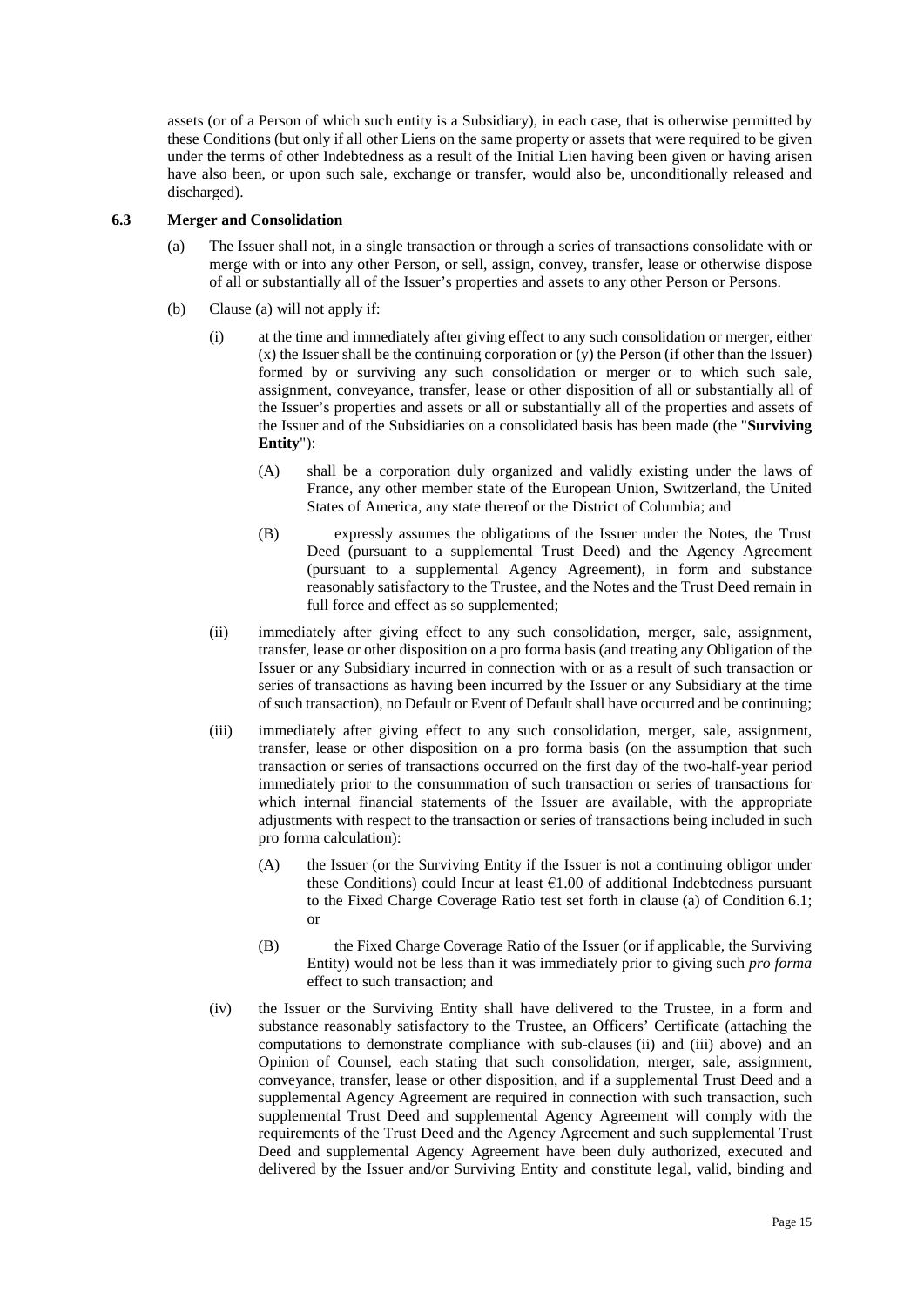assets (or of a Person of which such entity is a Subsidiary), in each case, that is otherwise permitted by these Conditions (but only if all other Liens on the same property or assets that were required to be given under the terms of other Indebtedness as a result of the Initial Lien having been given or having arisen have also been, or upon such sale, exchange or transfer, would also be, unconditionally released and discharged).

#### <span id="page-16-3"></span><span id="page-16-0"></span>**6.3 Merger and Consolidation**

- (a) The Issuer shall not, in a single transaction or through a series of transactions consolidate with or merge with or into any other Person, or sell, assign, convey, transfer, lease or otherwise dispose of all or substantially all of the Issuer's properties and assets to any other Person or Persons.
- <span id="page-16-4"></span><span id="page-16-2"></span><span id="page-16-1"></span>(b) Claus[e \(a\)](#page-16-0) will not apply if:
	- (i) at the time and immediately after giving effect to any such consolidation or merger, either (x) the Issuer shall be the continuing corporation or (y) the Person (if other than the Issuer) formed by or surviving any such consolidation or merger or to which such sale, assignment, conveyance, transfer, lease or other disposition of all or substantially all of the Issuer's properties and assets or all or substantially all of the properties and assets of the Issuer and of the Subsidiaries on a consolidated basis has been made (the "**Surviving Entity**"):
		- (A) shall be a corporation duly organized and validly existing under the laws of France, any other member state of the European Union, Switzerland, the United States of America, any state thereof or the District of Columbia; and
		- (B) expressly assumes the obligations of the Issuer under the Notes, the Trust Deed (pursuant to a supplemental Trust Deed) and the Agency Agreement (pursuant to a supplemental Agency Agreement), in form and substance reasonably satisfactory to the Trustee, and the Notes and the Trust Deed remain in full force and effect as so supplemented;
	- (ii) immediately after giving effect to any such consolidation, merger, sale, assignment, transfer, lease or other disposition on a pro forma basis (and treating any Obligation of the Issuer or any Subsidiary incurred in connection with or as a result of such transaction or series of transactions as having been incurred by the Issuer or any Subsidiary at the time of such transaction), no Default or Event of Default shall have occurred and be continuing;
	- (iii) immediately after giving effect to any such consolidation, merger, sale, assignment, transfer, lease or other disposition on a pro forma basis (on the assumption that such transaction or series of transactions occurred on the first day of the two-half-year period immediately prior to the consummation of such transaction or series of transactions for which internal financial statements of the Issuer are available, with the appropriate adjustments with respect to the transaction or series of transactions being included in such pro forma calculation):
		- (A) the Issuer (or the Surviving Entity if the Issuer is not a continuing obligor under these Conditions) could Incur at least  $61.00$  of additional Indebtedness pursuant to the Fixed Charge Coverage Ratio test set forth in clause [\(a\)](#page-16-0) of Condition [6.1;](#page-12-0) or
		- (B) the Fixed Charge Coverage Ratio of the Issuer (or if applicable, the Surviving Entity) would not be less than it was immediately prior to giving such *pro forma* effect to such transaction; and
	- (iv) the Issuer or the Surviving Entity shall have delivered to the Trustee, in a form and substance reasonably satisfactory to the Trustee, an Officers' Certificate (attaching the computations to demonstrate compliance with sub-clauses [\(ii\)](#page-16-1) and [\(iii\)](#page-16-2) above) and an Opinion of Counsel, each stating that such consolidation, merger, sale, assignment, conveyance, transfer, lease or other disposition, and if a supplemental Trust Deed and a supplemental Agency Agreement are required in connection with such transaction, such supplemental Trust Deed and supplemental Agency Agreement will comply with the requirements of the Trust Deed and the Agency Agreement and such supplemental Trust Deed and supplemental Agency Agreement have been duly authorized, executed and delivered by the Issuer and/or Surviving Entity and constitute legal, valid, binding and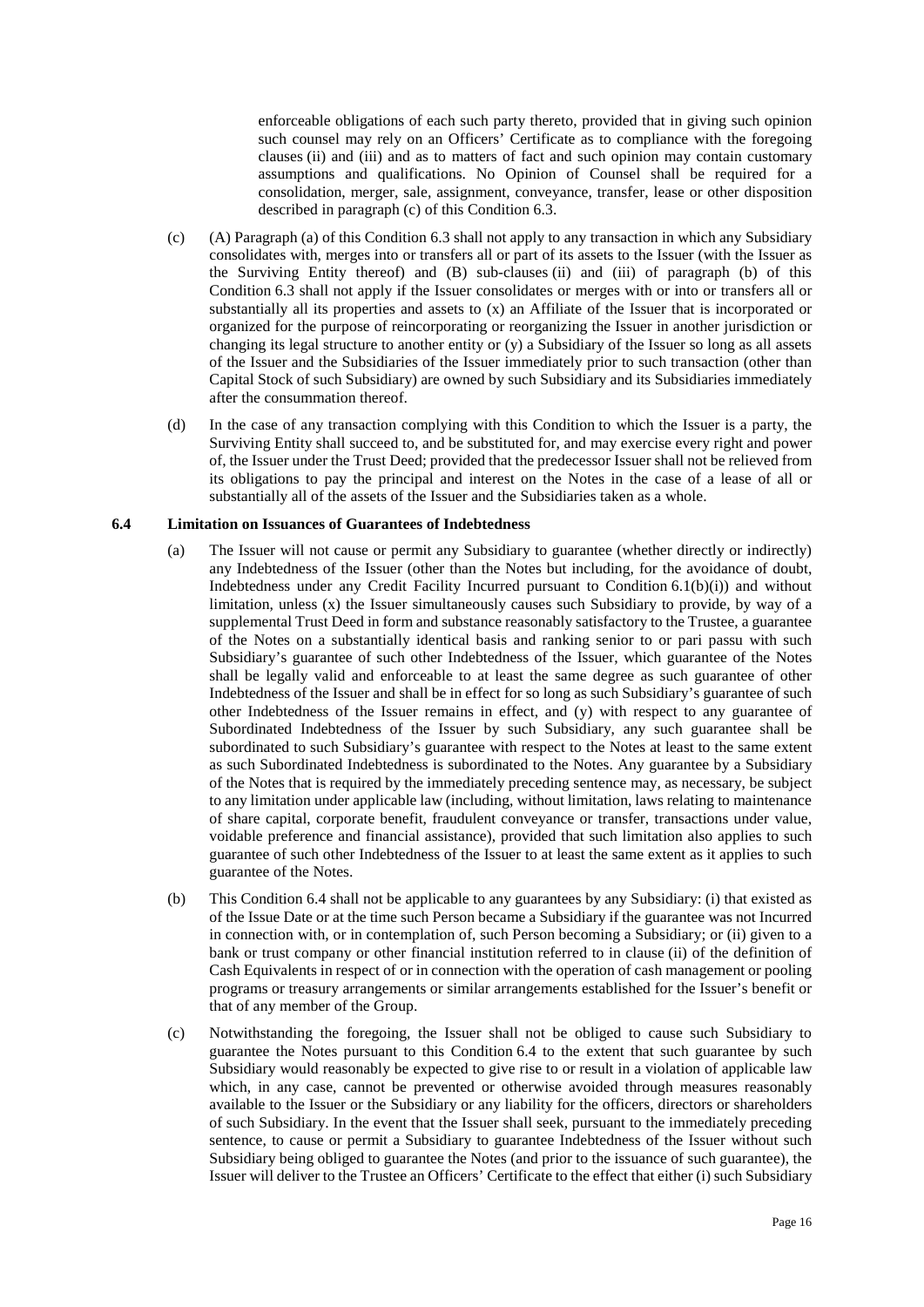enforceable obligations of each such party thereto, provided that in giving such opinion such counsel may rely on an Officers' Certificate as to compliance with the foregoing clauses [\(ii\)](#page-16-1) and [\(iii\)](#page-16-2) and as to matters of fact and such opinion may contain customary assumptions and qualifications. No Opinion of Counsel shall be required for a consolidation, merger, sale, assignment, conveyance, transfer, lease or other disposition described in paragraph [\(c\)](#page-17-1) of this Condition [6.3.](#page-16-3)

- <span id="page-17-1"></span>(c) (A) Paragraph [\(a\) o](#page-16-0)f this Conditio[n 6.3](#page-16-3) shall not apply to any transaction in which any Subsidiary consolidates with, merges into or transfers all or part of its assets to the Issuer (with the Issuer as the Surviving Entity thereof) and (B) sub-clauses [\(ii\)](#page-16-1) and [\(iii\)](#page-16-2) of paragraph [\(b\)](#page-16-4) of this Condition [6.3](#page-16-3) shall not apply if the Issuer consolidates or merges with or into or transfers all or substantially all its properties and assets to (x) an Affiliate of the Issuer that is incorporated or organized for the purpose of reincorporating or reorganizing the Issuer in another jurisdiction or changing its legal structure to another entity or (y) a Subsidiary of the Issuer so long as all assets of the Issuer and the Subsidiaries of the Issuer immediately prior to such transaction (other than Capital Stock of such Subsidiary) are owned by such Subsidiary and its Subsidiaries immediately after the consummation thereof.
- (d) In the case of any transaction complying with this Condition to which the Issuer is a party, the Surviving Entity shall succeed to, and be substituted for, and may exercise every right and power of, the Issuer under the Trust Deed; provided that the predecessor Issuer shall not be relieved from its obligations to pay the principal and interest on the Notes in the case of a lease of all or substantially all of the assets of the Issuer and the Subsidiaries taken as a whole.

### <span id="page-17-0"></span>**6.4 Limitation on Issuances of Guarantees of Indebtedness**

- (a) The Issuer will not cause or permit any Subsidiary to guarantee (whether directly or indirectly) any Indebtedness of the Issuer (other than the Notes but including, for the avoidance of doubt, Indebtedness under any Credit Facility Incurred pursuant to Condition 6.1(b[\)\(i\)\)](#page-13-1) and without limitation, unless (x) the Issuer simultaneously causes such Subsidiary to provide, by way of a supplemental Trust Deed in form and substance reasonably satisfactory to the Trustee, a guarantee of the Notes on a substantially identical basis and ranking senior to or pari passu with such Subsidiary's guarantee of such other Indebtedness of the Issuer, which guarantee of the Notes shall be legally valid and enforceable to at least the same degree as such guarantee of other Indebtedness of the Issuer and shall be in effect for so long as such Subsidiary's guarantee of such other Indebtedness of the Issuer remains in effect, and  $(y)$  with respect to any guarantee of Subordinated Indebtedness of the Issuer by such Subsidiary, any such guarantee shall be subordinated to such Subsidiary's guarantee with respect to the Notes at least to the same extent as such Subordinated Indebtedness is subordinated to the Notes. Any guarantee by a Subsidiary of the Notes that is required by the immediately preceding sentence may, as necessary, be subject to any limitation under applicable law (including, without limitation, laws relating to maintenance of share capital, corporate benefit, fraudulent conveyance or transfer, transactions under value, voidable preference and financial assistance), provided that such limitation also applies to such guarantee of such other Indebtedness of the Issuer to at least the same extent as it applies to such guarantee of the Notes.
- (b) This Condition [6.4 s](#page-17-0)hall not be applicable to any guarantees by any Subsidiary: (i) that existed as of the Issue Date or at the time such Person became a Subsidiary if the guarantee was not Incurred in connection with, or in contemplation of, such Person becoming a Subsidiary; or (ii) given to a bank or trust company or other financial institution referred to in clause (ii) of the definition of Cash Equivalents in respect of or in connection with the operation of cash management or pooling programs or treasury arrangements or similar arrangements established for the Issuer's benefit or that of any member of the Group.
- (c) Notwithstanding the foregoing, the Issuer shall not be obliged to cause such Subsidiary to guarantee the Notes pursuant to this Condition [6.4](#page-17-0) to the extent that such guarantee by such Subsidiary would reasonably be expected to give rise to or result in a violation of applicable law which, in any case, cannot be prevented or otherwise avoided through measures reasonably available to the Issuer or the Subsidiary or any liability for the officers, directors or shareholders of such Subsidiary. In the event that the Issuer shall seek, pursuant to the immediately preceding sentence, to cause or permit a Subsidiary to guarantee Indebtedness of the Issuer without such Subsidiary being obliged to guarantee the Notes (and prior to the issuance of such guarantee), the Issuer will deliver to the Trustee an Officers' Certificate to the effect that either (i) such Subsidiary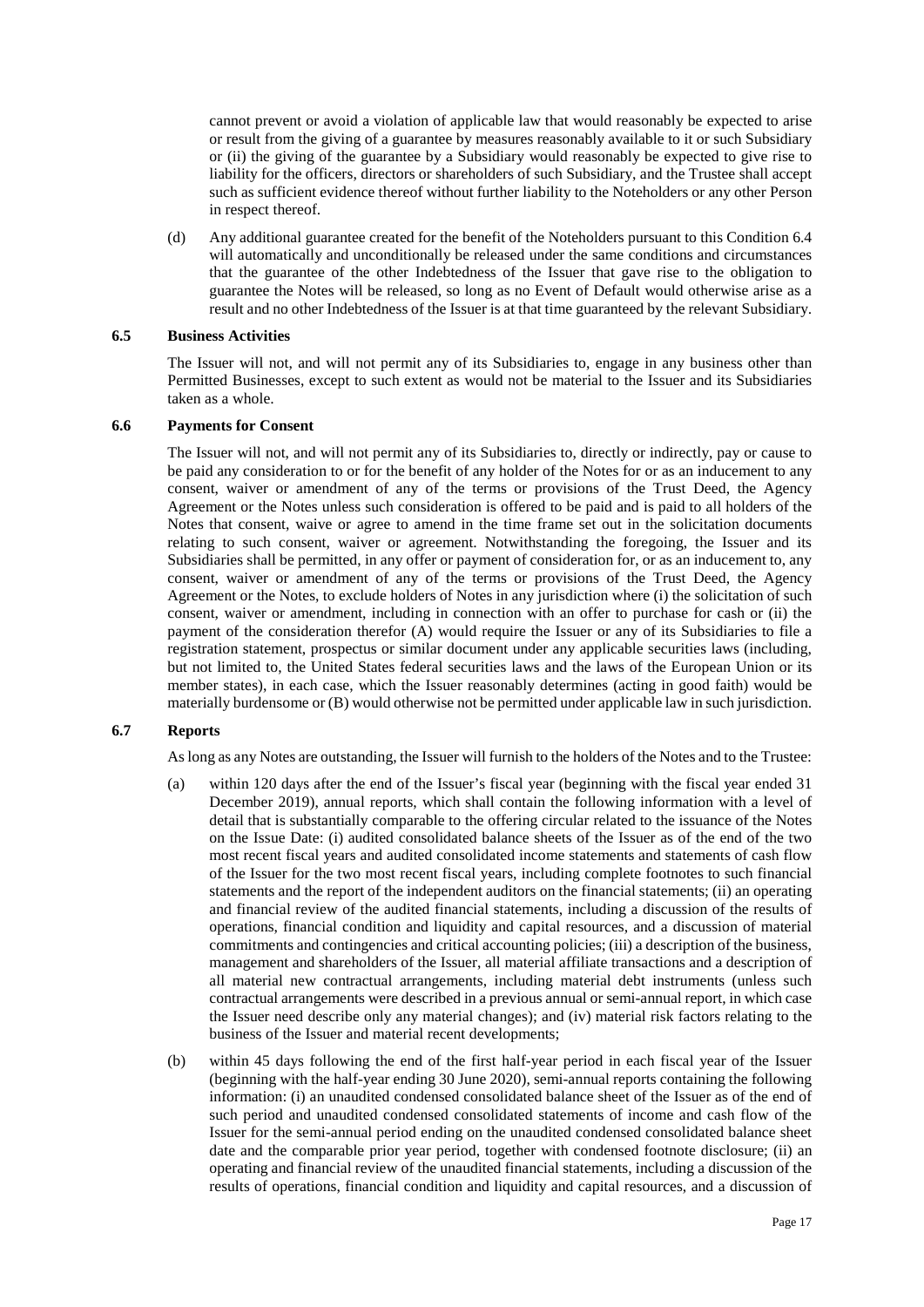cannot prevent or avoid a violation of applicable law that would reasonably be expected to arise or result from the giving of a guarantee by measures reasonably available to it or such Subsidiary or (ii) the giving of the guarantee by a Subsidiary would reasonably be expected to give rise to liability for the officers, directors or shareholders of such Subsidiary, and the Trustee shall accept such as sufficient evidence thereof without further liability to the Noteholders or any other Person in respect thereof.

(d) Any additional guarantee created for the benefit of the Noteholders pursuant to this Condition [6.4](#page-17-0) will automatically and unconditionally be released under the same conditions and circumstances that the guarantee of the other Indebtedness of the Issuer that gave rise to the obligation to guarantee the Notes will be released, so long as no Event of Default would otherwise arise as a result and no other Indebtedness of the Issuer is at that time guaranteed by the relevant Subsidiary.

## **6.5 Business Activities**

The Issuer will not, and will not permit any of its Subsidiaries to, engage in any business other than Permitted Businesses, except to such extent as would not be material to the Issuer and its Subsidiaries taken as a whole.

#### **6.6 Payments for Consent**

The Issuer will not, and will not permit any of its Subsidiaries to, directly or indirectly, pay or cause to be paid any consideration to or for the benefit of any holder of the Notes for or as an inducement to any consent, waiver or amendment of any of the terms or provisions of the Trust Deed, the Agency Agreement or the Notes unless such consideration is offered to be paid and is paid to all holders of the Notes that consent, waive or agree to amend in the time frame set out in the solicitation documents relating to such consent, waiver or agreement. Notwithstanding the foregoing, the Issuer and its Subsidiaries shall be permitted, in any offer or payment of consideration for, or as an inducement to, any consent, waiver or amendment of any of the terms or provisions of the Trust Deed, the Agency Agreement or the Notes, to exclude holders of Notes in any jurisdiction where (i) the solicitation of such consent, waiver or amendment, including in connection with an offer to purchase for cash or (ii) the payment of the consideration therefor (A) would require the Issuer or any of its Subsidiaries to file a registration statement, prospectus or similar document under any applicable securities laws (including, but not limited to, the United States federal securities laws and the laws of the European Union or its member states), in each case, which the Issuer reasonably determines (acting in good faith) would be materially burdensome or (B) would otherwise not be permitted under applicable law in such jurisdiction.

# <span id="page-18-0"></span>**6.7 Reports**

As long as any Notes are outstanding, the Issuer will furnish to the holders of the Notes and to the Trustee:

- (a) within 120 days after the end of the Issuer's fiscal year (beginning with the fiscal year ended 31 December 2019), annual reports, which shall contain the following information with a level of detail that is substantially comparable to the offering circular related to the issuance of the Notes on the Issue Date: (i) audited consolidated balance sheets of the Issuer as of the end of the two most recent fiscal years and audited consolidated income statements and statements of cash flow of the Issuer for the two most recent fiscal years, including complete footnotes to such financial statements and the report of the independent auditors on the financial statements; (ii) an operating and financial review of the audited financial statements, including a discussion of the results of operations, financial condition and liquidity and capital resources, and a discussion of material commitments and contingencies and critical accounting policies; (iii) a description of the business, management and shareholders of the Issuer, all material affiliate transactions and a description of all material new contractual arrangements, including material debt instruments (unless such contractual arrangements were described in a previous annual or semi-annual report, in which case the Issuer need describe only any material changes); and (iv) material risk factors relating to the business of the Issuer and material recent developments;
- (b) within 45 days following the end of the first half-year period in each fiscal year of the Issuer (beginning with the half-year ending 30 June 2020), semi-annual reports containing the following information: (i) an unaudited condensed consolidated balance sheet of the Issuer as of the end of such period and unaudited condensed consolidated statements of income and cash flow of the Issuer for the semi-annual period ending on the unaudited condensed consolidated balance sheet date and the comparable prior year period, together with condensed footnote disclosure; (ii) an operating and financial review of the unaudited financial statements, including a discussion of the results of operations, financial condition and liquidity and capital resources, and a discussion of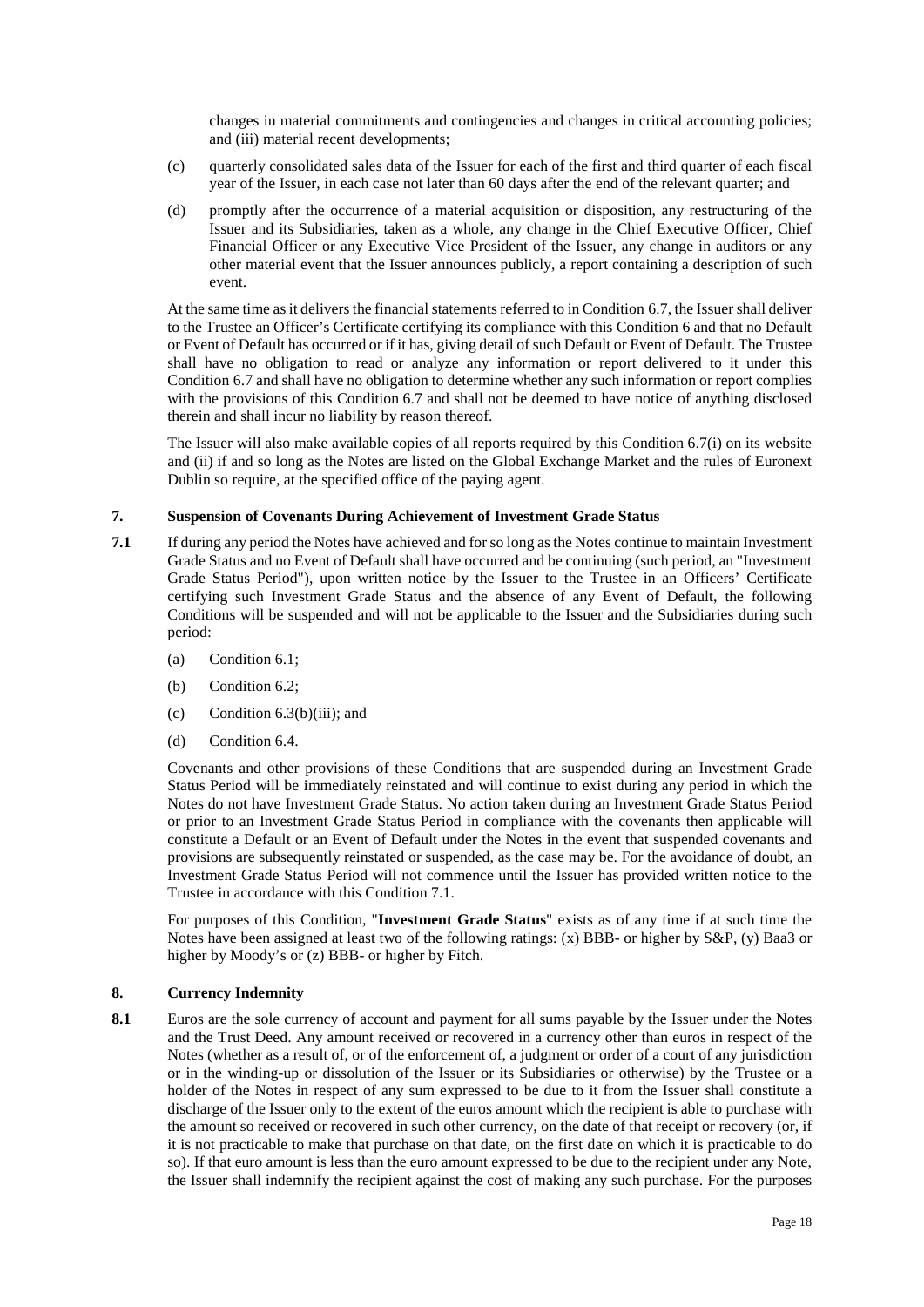changes in material commitments and contingencies and changes in critical accounting policies; and (iii) material recent developments;

- (c) quarterly consolidated sales data of the Issuer for each of the first and third quarter of each fiscal year of the Issuer, in each case not later than 60 days after the end of the relevant quarter; and
- (d) promptly after the occurrence of a material acquisition or disposition, any restructuring of the Issuer and its Subsidiaries, taken as a whole, any change in the Chief Executive Officer, Chief Financial Officer or any Executive Vice President of the Issuer, any change in auditors or any other material event that the Issuer announces publicly, a report containing a description of such event.

At the same time as it delivers the financial statements referred to in Condition [6.7,](#page-18-0) the Issuer shall deliver to the Trustee an Officer's Certificate certifying its compliance with this Condition 6 and that no Default or Event of Default has occurred or if it has, giving detail of such Default or Event of Default. The Trustee shall have no obligation to read or analyze any information or report delivered to it under this Condition [6.7](#page-18-0) and shall have no obligation to determine whether any such information or report complies with the provisions of this Condition [6.7](#page-18-0) and shall not be deemed to have notice of anything disclosed therein and shall incur no liability by reason thereof.

The Issuer will also make available copies of all reports required by this Condition [6.7\(](#page-18-0)i) on its website and (ii) if and so long as the Notes are listed on the Global Exchange Market and the rules of Euronext Dublin so require, at the specified office of the paying agent.

## **7. Suspension of Covenants During Achievement of Investment Grade Status**

- <span id="page-19-0"></span>**7.1** If during any period the Notes have achieved and for so long as the Notes continue to maintain Investment Grade Status and no Event of Default shall have occurred and be continuing (such period, an "Investment Grade Status Period"), upon written notice by the Issuer to the Trustee in an Officers' Certificate certifying such Investment Grade Status and the absence of any Event of Default, the following Conditions will be suspended and will not be applicable to the Issuer and the Subsidiaries during such period:
	- (a) Condition [6.1;](#page-12-0)
	- (b) Condition [6.2;](#page-15-1)
	- (c) Condition  $6.3(b)(iii)$ ; and
	- (d) Condition [6.4.](#page-17-0)

Covenants and other provisions of these Conditions that are suspended during an Investment Grade Status Period will be immediately reinstated and will continue to exist during any period in which the Notes do not have Investment Grade Status. No action taken during an Investment Grade Status Period or prior to an Investment Grade Status Period in compliance with the covenants then applicable will constitute a Default or an Event of Default under the Notes in the event that suspended covenants and provisions are subsequently reinstated or suspended, as the case may be. For the avoidance of doubt, an Investment Grade Status Period will not commence until the Issuer has provided written notice to the Trustee in accordance with this Condition [7.1.](#page-19-0)

For purposes of this Condition, "**Investment Grade Status**" exists as of any time if at such time the Notes have been assigned at least two of the following ratings: (x) BBB- or higher by S&P, (y) Baa3 or higher by Moody's or (z) BBB- or higher by Fitch.

## **8. Currency Indemnity**

**8.1** Euros are the sole currency of account and payment for all sums payable by the Issuer under the Notes and the Trust Deed. Any amount received or recovered in a currency other than euros in respect of the Notes (whether as a result of, or of the enforcement of, a judgment or order of a court of any jurisdiction or in the winding-up or dissolution of the Issuer or its Subsidiaries or otherwise) by the Trustee or a holder of the Notes in respect of any sum expressed to be due to it from the Issuer shall constitute a discharge of the Issuer only to the extent of the euros amount which the recipient is able to purchase with the amount so received or recovered in such other currency, on the date of that receipt or recovery (or, if it is not practicable to make that purchase on that date, on the first date on which it is practicable to do so). If that euro amount is less than the euro amount expressed to be due to the recipient under any Note, the Issuer shall indemnify the recipient against the cost of making any such purchase. For the purposes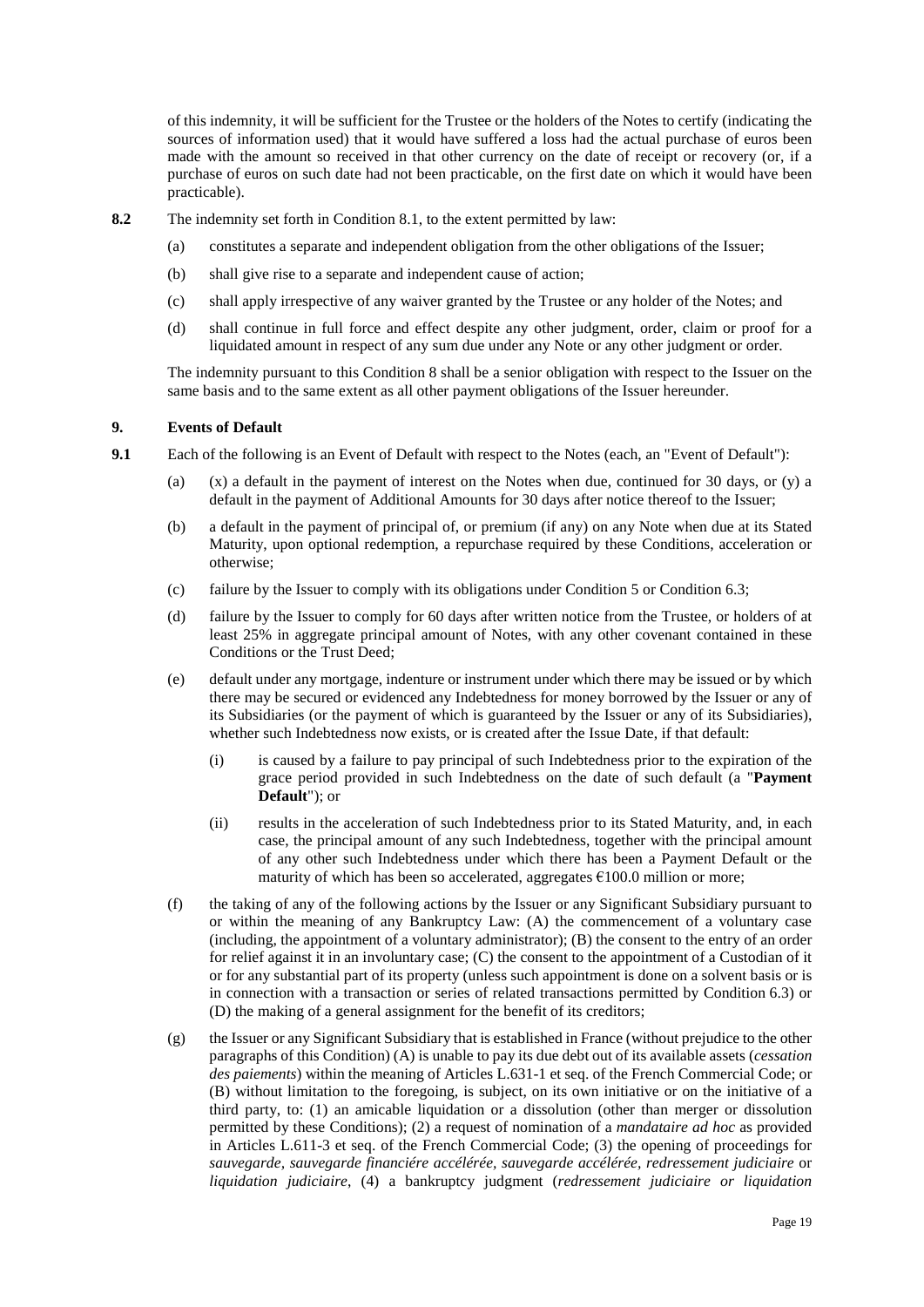of this indemnity, it will be sufficient for the Trustee or the holders of the Notes to certify (indicating the sources of information used) that it would have suffered a loss had the actual purchase of euros been made with the amount so received in that other currency on the date of receipt or recovery (or, if a purchase of euros on such date had not been practicable, on the first date on which it would have been practicable).

- **8.2** The indemnity set forth in Condition 8.1, to the extent permitted by law:
	- (a) constitutes a separate and independent obligation from the other obligations of the Issuer;
	- (b) shall give rise to a separate and independent cause of action;
	- (c) shall apply irrespective of any waiver granted by the Trustee or any holder of the Notes; and
	- (d) shall continue in full force and effect despite any other judgment, order, claim or proof for a liquidated amount in respect of any sum due under any Note or any other judgment or order.

The indemnity pursuant to this Condition 8 shall be a senior obligation with respect to the Issuer on the same basis and to the same extent as all other payment obligations of the Issuer hereunder.

## <span id="page-20-4"></span>**9. Events of Default**

- <span id="page-20-3"></span><span id="page-20-2"></span><span id="page-20-1"></span><span id="page-20-0"></span>**9.1** Each of the following is an Event of Default with respect to the Notes (each, an "Event of Default"):
	- (a) (x) a default in the payment of interest on the Notes when due, continued for 30 days, or (y) a default in the payment of Additional Amounts for 30 days after notice thereof to the Issuer;
	- (b) a default in the payment of principal of, or premium (if any) on any Note when due at its Stated Maturity, upon optional redemption, a repurchase required by these Conditions, acceleration or otherwise;
	- (c) failure by the Issuer to comply with its obligations under Condition [5](#page-11-0) or Conditio[n 6.3;](#page-16-3)
	- (d) failure by the Issuer to comply for 60 days after written notice from the Trustee, or holders of at least 25% in aggregate principal amount of Notes, with any other covenant contained in these Conditions or the Trust Deed;
	- (e) default under any mortgage, indenture or instrument under which there may be issued or by which there may be secured or evidenced any Indebtedness for money borrowed by the Issuer or any of its Subsidiaries (or the payment of which is guaranteed by the Issuer or any of its Subsidiaries), whether such Indebtedness now exists, or is created after the Issue Date, if that default:
		- (i) is caused by a failure to pay principal of such Indebtedness prior to the expiration of the grace period provided in such Indebtedness on the date of such default (a "**Payment Default**"); or
		- (ii) results in the acceleration of such Indebtedness prior to its Stated Maturity, and, in each case, the principal amount of any such Indebtedness, together with the principal amount of any other such Indebtedness under which there has been a Payment Default or the maturity of which has been so accelerated, aggregates  $\epsilon$ 100.0 million or more;
	- (f) the taking of any of the following actions by the Issuer or any Significant Subsidiary pursuant to or within the meaning of any Bankruptcy Law: (A) the commencement of a voluntary case (including, the appointment of a voluntary administrator); (B) the consent to the entry of an order for relief against it in an involuntary case; (C) the consent to the appointment of a Custodian of it or for any substantial part of its property (unless such appointment is done on a solvent basis or is in connection with a transaction or series of related transactions permitted by Condition [6.3\)](#page-16-3) or (D) the making of a general assignment for the benefit of its creditors;
	- (g) the Issuer or any Significant Subsidiary that is established in France (without prejudice to the other paragraphs of this Condition) (A) is unable to pay its due debt out of its available assets (*cessation des paiements*) within the meaning of Articles L.631-1 et seq. of the French Commercial Code; or (B) without limitation to the foregoing, is subject, on its own initiative or on the initiative of a third party, to: (1) an amicable liquidation or a dissolution (other than merger or dissolution permitted by these Conditions); (2) a request of nomination of a *mandataire ad hoc* as provided in Articles L.611-3 et seq. of the French Commercial Code; (3) the opening of proceedings for *sauvegarde, sauvegarde financiére accélérée, sauvegarde accélérée, redressement judiciaire* or *liquidation judiciaire*, (4) a bankruptcy judgment (*redressement judiciaire or liquidation*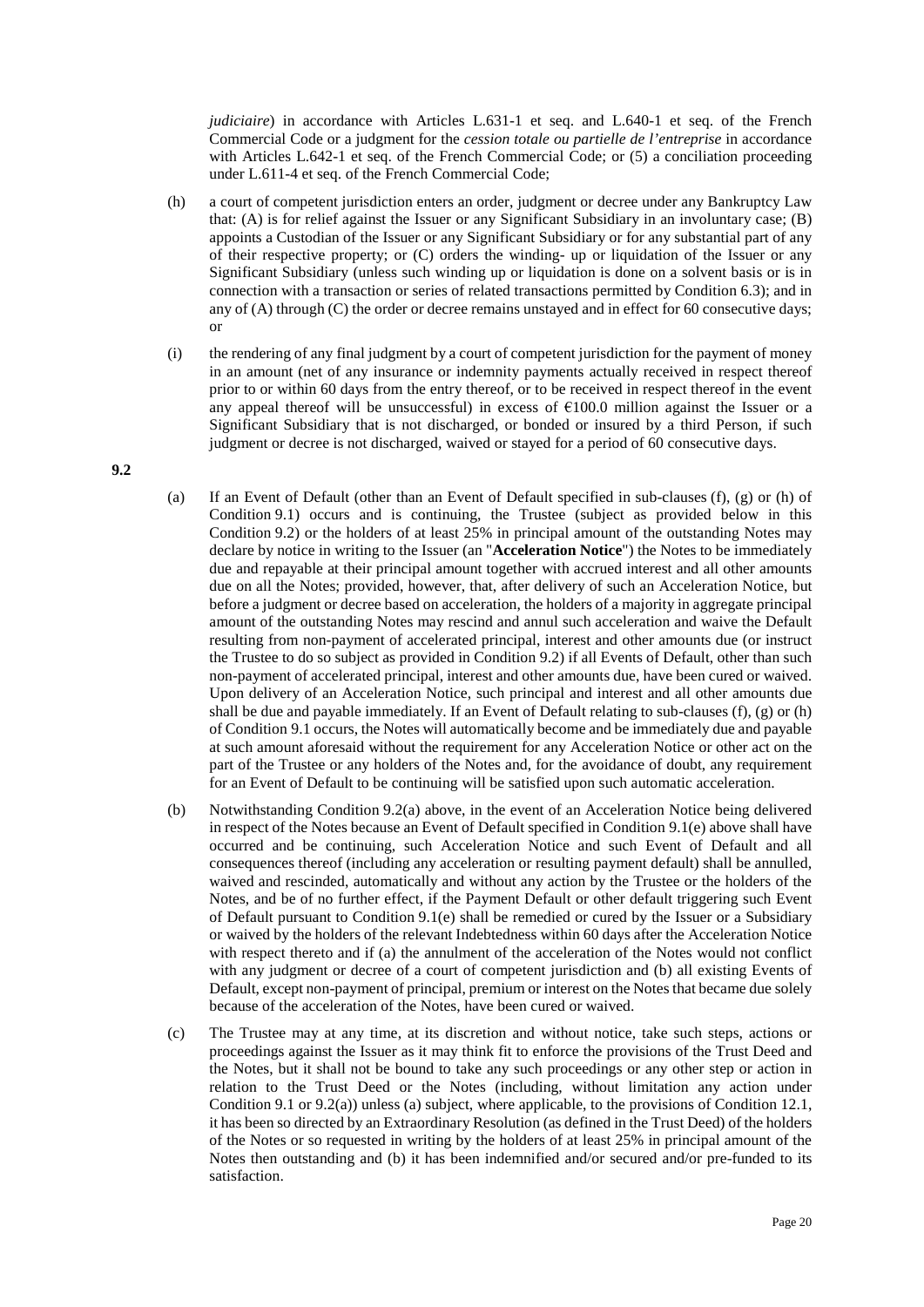*judiciaire*) in accordance with Articles L.631-1 et seq. and L.640-1 et seq. of the French Commercial Code or a judgment for the *cession totale ou partielle de l'entreprise* in accordance with Articles L.642-1 et seq. of the French Commercial Code; or (5) a conciliation proceeding under L.611-4 et seq. of the French Commercial Code;

- <span id="page-21-0"></span>(h) a court of competent jurisdiction enters an order, judgment or decree under any Bankruptcy Law that: (A) is for relief against the Issuer or any Significant Subsidiary in an involuntary case; (B) appoints a Custodian of the Issuer or any Significant Subsidiary or for any substantial part of any of their respective property; or (C) orders the winding- up or liquidation of the Issuer or any Significant Subsidiary (unless such winding up or liquidation is done on a solvent basis or is in connection with a transaction or series of related transactions permitted by Conditio[n 6.3\)](#page-16-3); and in any of (A) through (C) the order or decree remains unstayed and in effect for 60 consecutive days; or
- (i) the rendering of any final judgment by a court of competent jurisdiction for the payment of money in an amount (net of any insurance or indemnity payments actually received in respect thereof prior to or within 60 days from the entry thereof, or to be received in respect thereof in the event any appeal thereof will be unsuccessful) in excess of  $\epsilon$ 100.0 million against the Issuer or a Significant Subsidiary that is not discharged, or bonded or insured by a third Person, if such judgment or decree is not discharged, waived or stayed for a period of 60 consecutive days.

<span id="page-21-1"></span>**9.2**

- (a) If an Event of Default (other than an Event of Default specified in sub-clauses [\(f\),](#page-20-0) [\(g\)](#page-20-1) or [\(h\)](#page-21-0) of Condition [9.1\)](#page-20-2) occurs and is continuing, the Trustee (subject as provided below in this Condition [9.2\)](#page-21-1) or the holders of at least 25% in principal amount of the outstanding Notes may declare by notice in writing to the Issuer (an "**Acceleration Notice**") the Notes to be immediately due and repayable at their principal amount together with accrued interest and all other amounts due on all the Notes; provided, however, that, after delivery of such an Acceleration Notice, but before a judgment or decree based on acceleration, the holders of a majority in aggregate principal amount of the outstanding Notes may rescind and annul such acceleration and waive the Default resulting from non-payment of accelerated principal, interest and other amounts due (or instruct the Trustee to do so subject as provided in Condition [9.2\)](#page-21-1) if all Events of Default, other than such non-payment of accelerated principal, interest and other amounts due, have been cured or waived. Upon delivery of an Acceleration Notice, such principal and interest and all other amounts due shall be due and payable immediately. If an Event of Default relating to sub-clauses  $(f)$ ,  $(g)$  or  $(h)$ of Condition [9.1 o](#page-20-2)ccurs, the Notes will automatically become and be immediately due and payable at such amount aforesaid without the requirement for any Acceleration Notice or other act on the part of the Trustee or any holders of the Notes and, for the avoidance of doubt, any requirement for an Event of Default to be continuing will be satisfied upon such automatic acceleration.
- <span id="page-21-2"></span>(b) Notwithstanding Condition 9.2(a) above, in the event of an Acceleration Notice being delivered in respect of the Notes because an Event of Default specified in Condition [9.1\(e\)](#page-20-3) above shall have occurred and be continuing, such Acceleration Notice and such Event of Default and all consequences thereof (including any acceleration or resulting payment default) shall be annulled, waived and rescinded, automatically and without any action by the Trustee or the holders of the Notes, and be of no further effect, if the Payment Default or other default triggering such Event of Default pursuant to Condition [9.1\(e\)](#page-20-3) shall be remedied or cured by the Issuer or a Subsidiary or waived by the holders of the relevant Indebtedness within 60 days after the Acceleration Notice with respect thereto and if (a) the annulment of the acceleration of the Notes would not conflict with any judgment or decree of a court of competent jurisdiction and (b) all existing Events of Default, except non-payment of principal, premium or interest on the Notes that became due solely because of the acceleration of the Notes, have been cured or waived.
- (c) The Trustee may at any time, at its discretion and without notice, take such steps, actions or proceedings against the Issuer as it may think fit to enforce the provisions of the Trust Deed and the Notes, but it shall not be bound to take any such proceedings or any other step or action in relation to the Trust Deed or the Notes (including, without limitation any action under Condition [9.1](#page-20-2) or 9.2(a)) unless (a) subject, where applicable, to the provisions of Condition [12.1,](#page-22-0) it has been so directed by an Extraordinary Resolution (as defined in the Trust Deed) of the holders of the Notes or so requested in writing by the holders of at least 25% in principal amount of the Notes then outstanding and (b) it has been indemnified and/or secured and/or pre-funded to its satisfaction.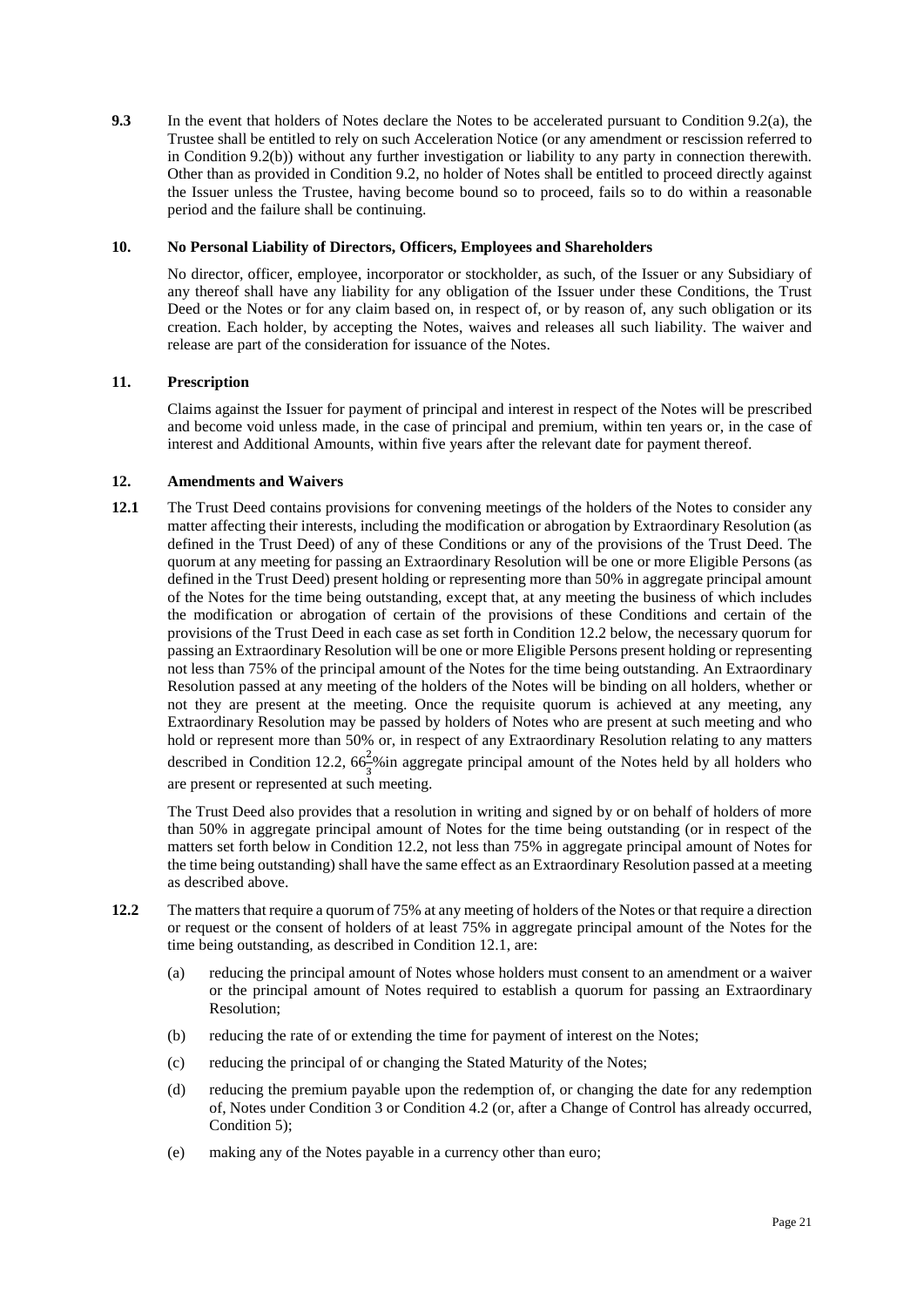**9.3** In the event that holders of Notes declare the Notes to be accelerated pursuant to Condition 9.2(a), the Trustee shall be entitled to rely on such Acceleration Notice (or any amendment or rescission referred to in Condition [9.2\(b\)\)](#page-21-2) without any further investigation or liability to any party in connection therewith. Other than as provided in Condition [9.2,](#page-21-1) no holder of Notes shall be entitled to proceed directly against the Issuer unless the Trustee, having become bound so to proceed, fails so to do within a reasonable period and the failure shall be continuing.

# **10. No Personal Liability of Directors, Officers, Employees and Shareholders**

No director, officer, employee, incorporator or stockholder, as such, of the Issuer or any Subsidiary of any thereof shall have any liability for any obligation of the Issuer under these Conditions, the Trust Deed or the Notes or for any claim based on, in respect of, or by reason of, any such obligation or its creation. Each holder, by accepting the Notes, waives and releases all such liability. The waiver and release are part of the consideration for issuance of the Notes.

# <span id="page-22-2"></span>**11. Prescription**

Claims against the Issuer for payment of principal and interest in respect of the Notes will be prescribed and become void unless made, in the case of principal and premium, within ten years or, in the case of interest and Additional Amounts, within five years after the relevant date for payment thereof.

## <span id="page-22-3"></span>**12. Amendments and Waivers**

<span id="page-22-0"></span>**12.1** The Trust Deed contains provisions for convening meetings of the holders of the Notes to consider any matter affecting their interests, including the modification or abrogation by Extraordinary Resolution (as defined in the Trust Deed) of any of these Conditions or any of the provisions of the Trust Deed. The quorum at any meeting for passing an Extraordinary Resolution will be one or more Eligible Persons (as defined in the Trust Deed) present holding or representing more than 50% in aggregate principal amount of the Notes for the time being outstanding, except that, at any meeting the business of which includes the modification or abrogation of certain of the provisions of these Conditions and certain of the provisions of the Trust Deed in each case as set forth in Condition [12.2](#page-22-1) below, the necessary quorum for passing an Extraordinary Resolution will be one or more Eligible Persons present holding or representing not less than 75% of the principal amount of the Notes for the time being outstanding. An Extraordinary Resolution passed at any meeting of the holders of the Notes will be binding on all holders, whether or not they are present at the meeting. Once the requisite quorum is achieved at any meeting, any Extraordinary Resolution may be passed by holders of Notes who are present at such meeting and who hold or represent more than 50% or, in respect of any Extraordinary Resolution relating to any matters described in Condition [12.2,](#page-22-1)  $66\frac{2}{3}\%$  in aggregate principal amount of the Notes held by all holders who are present or represented at such meeting.

The Trust Deed also provides that a resolution in writing and signed by or on behalf of holders of more than 50% in aggregate principal amount of Notes for the time being outstanding (or in respect of the matters set forth below in Condition [12.2,](#page-22-1) not less than 75% in aggregate principal amount of Notes for the time being outstanding) shall have the same effect as an Extraordinary Resolution passed at a meeting as described above.

- <span id="page-22-1"></span>**12.2** The matters that require a quorum of 75% at any meeting of holders of the Notes or that require a direction or request or the consent of holders of at least 75% in aggregate principal amount of the Notes for the time being outstanding, as described in Condition 12.1, are:
	- (a) reducing the principal amount of Notes whose holders must consent to an amendment or a waiver or the principal amount of Notes required to establish a quorum for passing an Extraordinary Resolution;
	- (b) reducing the rate of or extending the time for payment of interest on the Notes;
	- (c) reducing the principal of or changing the Stated Maturity of the Notes;
	- (d) reducing the premium payable upon the redemption of, or changing the date for any redemption of, Notes under Conditio[n 3](#page-7-0) or Condition [4.2](#page-11-1) (or, after a Change of Control has already occurred, Condition [5\)](#page-11-0);
	- (e) making any of the Notes payable in a currency other than euro;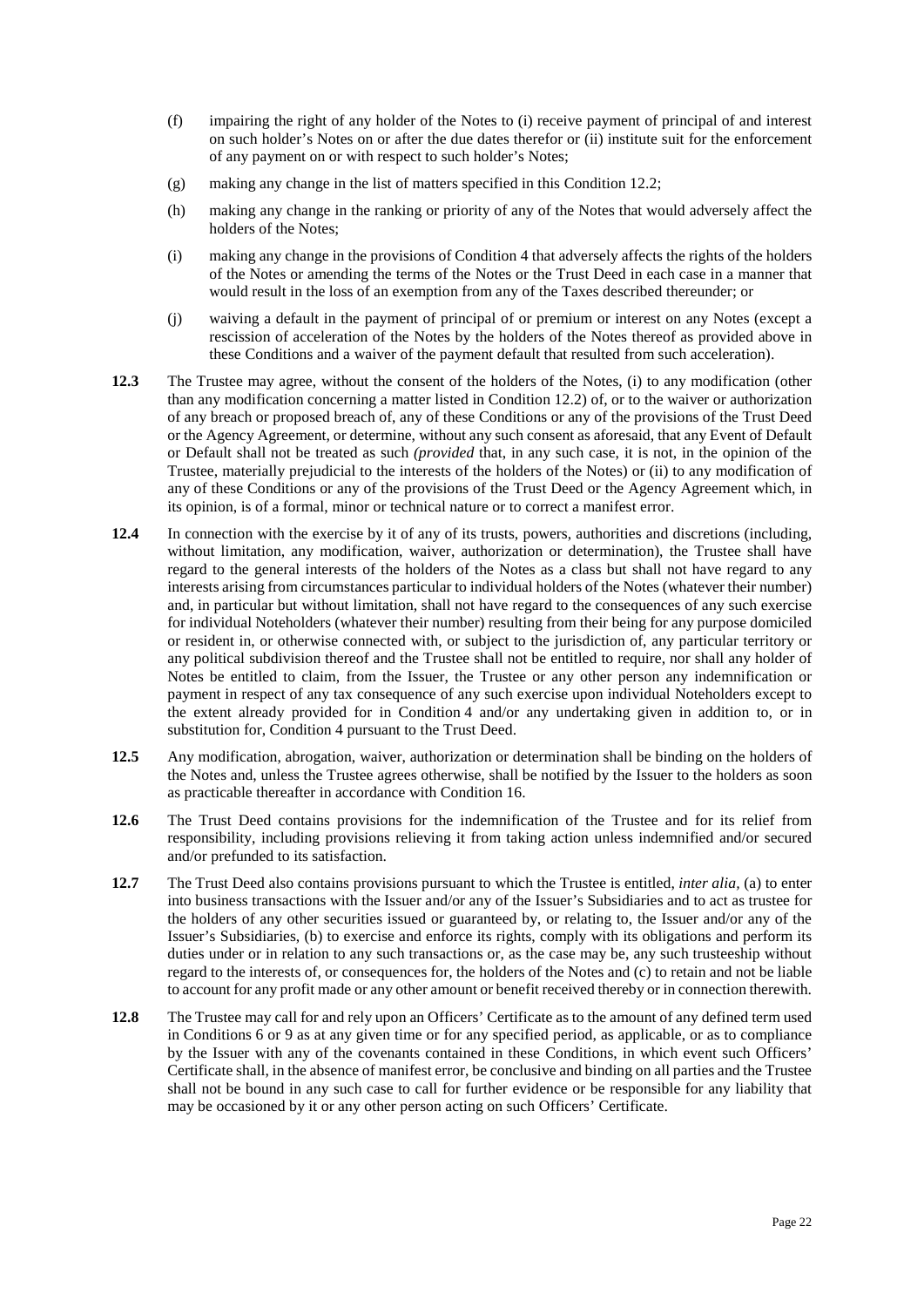- (f) impairing the right of any holder of the Notes to (i) receive payment of principal of and interest on such holder's Notes on or after the due dates therefor or (ii) institute suit for the enforcement of any payment on or with respect to such holder's Notes;
- (g) making any change in the list of matters specified in this Condition [12.2;](#page-22-1)
- (h) making any change in the ranking or priority of any of the Notes that would adversely affect the holders of the Notes;
- (i) making any change in the provisions of Conditio[n 4 t](#page-9-0)hat adversely affects the rights of the holders of the Notes or amending the terms of the Notes or the Trust Deed in each case in a manner that would result in the loss of an exemption from any of the Taxes described thereunder; or
- (j) waiving a default in the payment of principal of or premium or interest on any Notes (except a rescission of acceleration of the Notes by the holders of the Notes thereof as provided above in these Conditions and a waiver of the payment default that resulted from such acceleration).
- **12.3** The Trustee may agree, without the consent of the holders of the Notes, (i) to any modification (other than any modification concerning a matter listed in Condition [12.2\)](#page-22-1) of, or to the waiver or authorization of any breach or proposed breach of, any of these Conditions or any of the provisions of the Trust Deed or the Agency Agreement, or determine, without any such consent as aforesaid, that any Event of Default or Default shall not be treated as such *(provided* that, in any such case, it is not, in the opinion of the Trustee, materially prejudicial to the interests of the holders of the Notes) or (ii) to any modification of any of these Conditions or any of the provisions of the Trust Deed or the Agency Agreement which, in its opinion, is of a formal, minor or technical nature or to correct a manifest error.
- **12.4** In connection with the exercise by it of any of its trusts, powers, authorities and discretions (including, without limitation, any modification, waiver, authorization or determination), the Trustee shall have regard to the general interests of the holders of the Notes as a class but shall not have regard to any interests arising from circumstances particular to individual holders of the Notes (whatever their number) and, in particular but without limitation, shall not have regard to the consequences of any such exercise for individual Noteholders (whatever their number) resulting from their being for any purpose domiciled or resident in, or otherwise connected with, or subject to the jurisdiction of, any particular territory or any political subdivision thereof and the Trustee shall not be entitled to require, nor shall any holder of Notes be entitled to claim, from the Issuer, the Trustee or any other person any indemnification or payment in respect of any tax consequence of any such exercise upon individual Noteholders except to the extent already provided for in Condition [4](#page-9-0) and/or any undertaking given in addition to, or in substitution for, Condition [4 p](#page-9-0)ursuant to the Trust Deed.
- **12.5** Any modification, abrogation, waiver, authorization or determination shall be binding on the holders of the Notes and, unless the Trustee agrees otherwise, shall be notified by the Issuer to the holders as soon as practicable thereafter in accordance with Condition [16.](#page-24-0)
- **12.6** The Trust Deed contains provisions for the indemnification of the Trustee and for its relief from responsibility, including provisions relieving it from taking action unless indemnified and/or secured and/or prefunded to its satisfaction.
- **12.7** The Trust Deed also contains provisions pursuant to which the Trustee is entitled, *inter alia,* (a) to enter into business transactions with the Issuer and/or any of the Issuer's Subsidiaries and to act as trustee for the holders of any other securities issued or guaranteed by, or relating to, the Issuer and/or any of the Issuer's Subsidiaries, (b) to exercise and enforce its rights, comply with its obligations and perform its duties under or in relation to any such transactions or, as the case may be, any such trusteeship without regard to the interests of, or consequences for, the holders of the Notes and (c) to retain and not be liable to account for any profit made or any other amount or benefit received thereby or in connection therewith.
- **12.8** The Trustee may call for and rely upon an Officers' Certificate as to the amount of any defined term used in Conditions [6](#page-12-2) or [9](#page-20-4) as at any given time or for any specified period, as applicable, or as to compliance by the Issuer with any of the covenants contained in these Conditions, in which event such Officers' Certificate shall, in the absence of manifest error, be conclusive and binding on all parties and the Trustee shall not be bound in any such case to call for further evidence or be responsible for any liability that may be occasioned by it or any other person acting on such Officers' Certificate.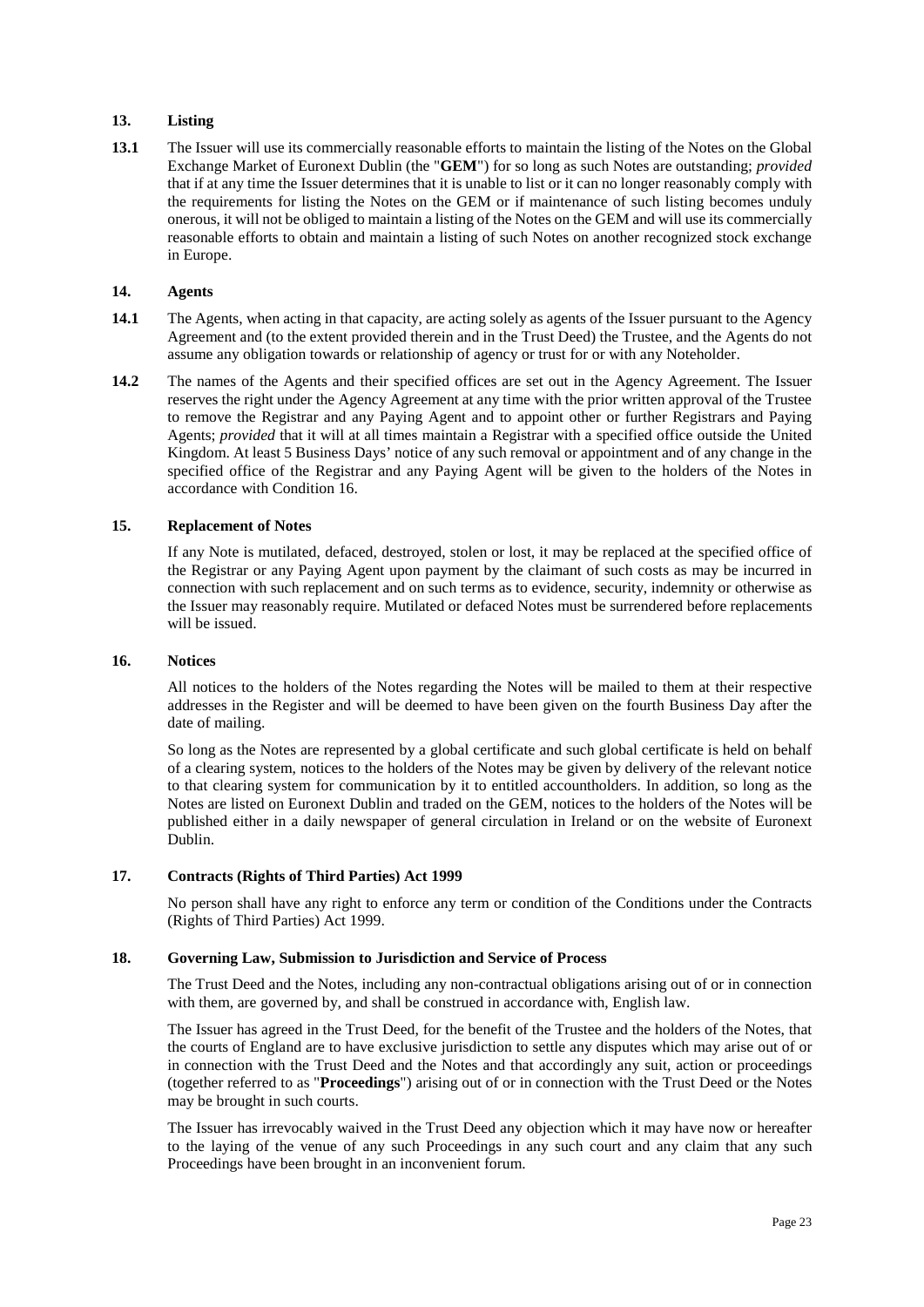# **13. Listing**

**13.1** The Issuer will use its commercially reasonable efforts to maintain the listing of the Notes on the Global Exchange Market of Euronext Dublin (the "**GEM**") for so long as such Notes are outstanding; *provided* that if at any time the Issuer determines that it is unable to list or it can no longer reasonably comply with the requirements for listing the Notes on the GEM or if maintenance of such listing becomes unduly onerous, it will not be obliged to maintain a listing of the Notes on the GEM and will use its commercially reasonable efforts to obtain and maintain a listing of such Notes on another recognized stock exchange in Europe.

#### **14. Agents**

- **14.1** The Agents, when acting in that capacity, are acting solely as agents of the Issuer pursuant to the Agency Agreement and (to the extent provided therein and in the Trust Deed) the Trustee, and the Agents do not assume any obligation towards or relationship of agency or trust for or with any Noteholder.
- **14.2** The names of the Agents and their specified offices are set out in the Agency Agreement. The Issuer reserves the right under the Agency Agreement at any time with the prior written approval of the Trustee to remove the Registrar and any Paying Agent and to appoint other or further Registrars and Paying Agents; *provided* that it will at all times maintain a Registrar with a specified office outside the United Kingdom. At least 5 Business Days' notice of any such removal or appointment and of any change in the specified office of the Registrar and any Paying Agent will be given to the holders of the Notes in accordance with Condition [16.](#page-24-0)

## <span id="page-24-2"></span>**15. Replacement of Notes**

If any Note is mutilated, defaced, destroyed, stolen or lost, it may be replaced at the specified office of the Registrar or any Paying Agent upon payment by the claimant of such costs as may be incurred in connection with such replacement and on such terms as to evidence, security, indemnity or otherwise as the Issuer may reasonably require. Mutilated or defaced Notes must be surrendered before replacements will be issued.

#### <span id="page-24-0"></span>**16. Notices**

All notices to the holders of the Notes regarding the Notes will be mailed to them at their respective addresses in the Register and will be deemed to have been given on the fourth Business Day after the date of mailing.

So long as the Notes are represented by a global certificate and such global certificate is held on behalf of a clearing system, notices to the holders of the Notes may be given by delivery of the relevant notice to that clearing system for communication by it to entitled accountholders. In addition, so long as the Notes are listed on Euronext Dublin and traded on the GEM, notices to the holders of the Notes will be published either in a daily newspaper of general circulation in Ireland or on the website of Euronext Dublin.

#### **17. Contracts (Rights of Third Parties) Act 1999**

No person shall have any right to enforce any term or condition of the Conditions under the Contracts (Rights of Third Parties) Act 1999.

#### <span id="page-24-1"></span>**18. Governing Law, Submission to Jurisdiction and Service of Process**

The Trust Deed and the Notes, including any non-contractual obligations arising out of or in connection with them, are governed by, and shall be construed in accordance with, English law.

The Issuer has agreed in the Trust Deed, for the benefit of the Trustee and the holders of the Notes, that the courts of England are to have exclusive jurisdiction to settle any disputes which may arise out of or in connection with the Trust Deed and the Notes and that accordingly any suit, action or proceedings (together referred to as "**Proceedings**") arising out of or in connection with the Trust Deed or the Notes may be brought in such courts.

The Issuer has irrevocably waived in the Trust Deed any objection which it may have now or hereafter to the laying of the venue of any such Proceedings in any such court and any claim that any such Proceedings have been brought in an inconvenient forum.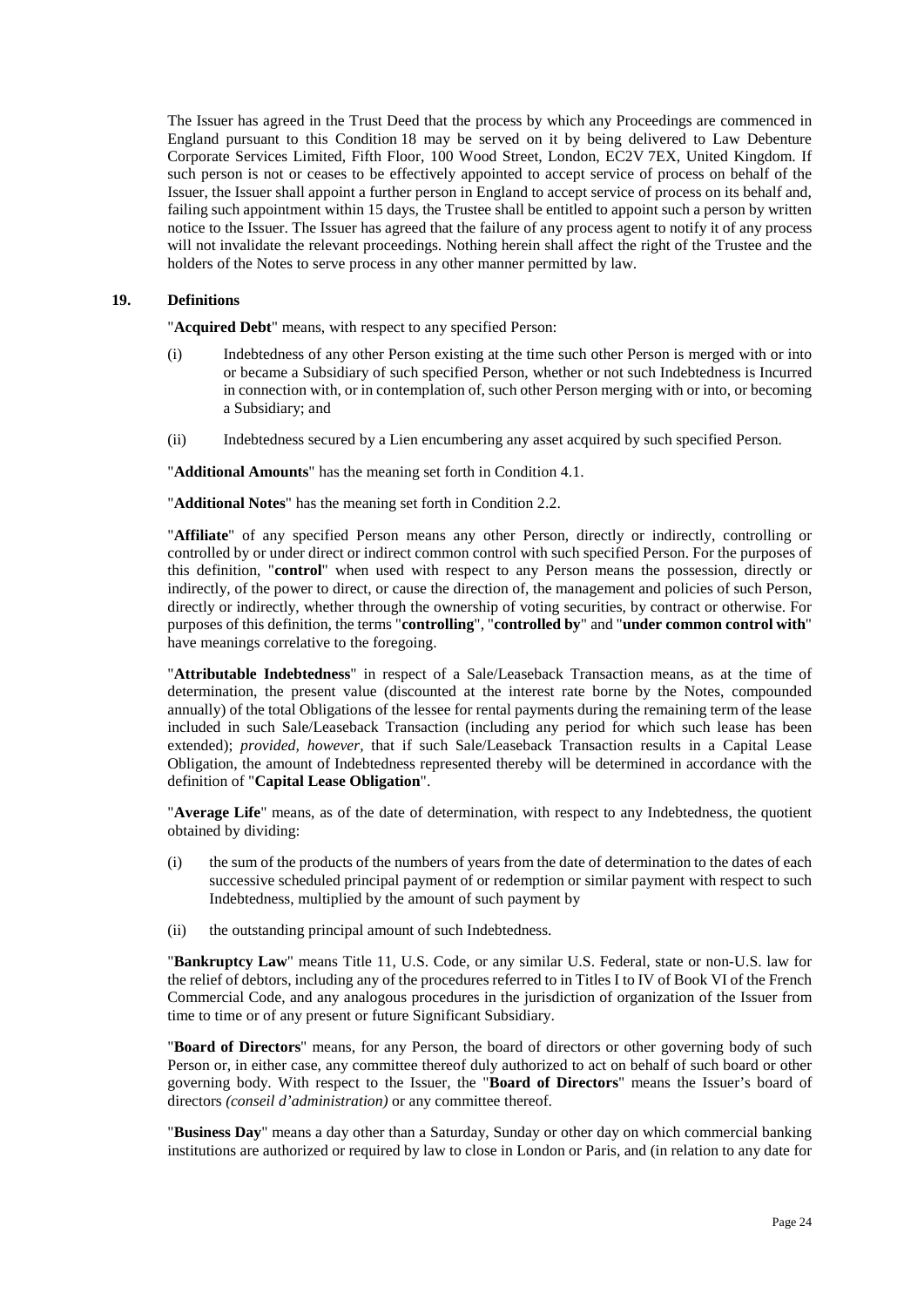The Issuer has agreed in the Trust Deed that the process by which any Proceedings are commenced in England pursuant to this Conditio[n 18](#page-24-1) may be served on it by being delivered to Law Debenture Corporate Services Limited, Fifth Floor, 100 Wood Street, London, EC2V 7EX, United Kingdom. If such person is not or ceases to be effectively appointed to accept service of process on behalf of the Issuer, the Issuer shall appoint a further person in England to accept service of process on its behalf and, failing such appointment within 15 days, the Trustee shall be entitled to appoint such a person by written notice to the Issuer. The Issuer has agreed that the failure of any process agent to notify it of any process will not invalidate the relevant proceedings. Nothing herein shall affect the right of the Trustee and the holders of the Notes to serve process in any other manner permitted by law.

## **19. Definitions**

"**Acquired Debt**" means, with respect to any specified Person:

- (i) Indebtedness of any other Person existing at the time such other Person is merged with or into or became a Subsidiary of such specified Person, whether or not such Indebtedness is Incurred in connection with, or in contemplation of, such other Person merging with or into, or becoming a Subsidiary; and
- (ii) Indebtedness secured by a Lien encumbering any asset acquired by such specified Person.

"**Additional Amounts**" has the meaning set forth in Condition [4.1.](#page-9-1)

"**Additional Notes**" has the meaning set forth in Condition [2.2.](#page-6-1)

"**Affiliate**" of any specified Person means any other Person, directly or indirectly, controlling or controlled by or under direct or indirect common control with such specified Person. For the purposes of this definition, "**control**" when used with respect to any Person means the possession, directly or indirectly, of the power to direct, or cause the direction of, the management and policies of such Person, directly or indirectly, whether through the ownership of voting securities, by contract or otherwise. For purposes of this definition, the terms "**controlling**", "**controlled by**" and "**under common control with**" have meanings correlative to the foregoing.

"**Attributable Indebtedness**" in respect of a Sale/Leaseback Transaction means, as at the time of determination, the present value (discounted at the interest rate borne by the Notes, compounded annually) of the total Obligations of the lessee for rental payments during the remaining term of the lease included in such Sale/Leaseback Transaction (including any period for which such lease has been extended); *provided, however,* that if such Sale/Leaseback Transaction results in a Capital Lease Obligation, the amount of Indebtedness represented thereby will be determined in accordance with the definition of "**Capital Lease Obligation**".

"**Average Life**" means, as of the date of determination, with respect to any Indebtedness, the quotient obtained by dividing:

- (i) the sum of the products of the numbers of years from the date of determination to the dates of each successive scheduled principal payment of or redemption or similar payment with respect to such Indebtedness, multiplied by the amount of such payment by
- (ii) the outstanding principal amount of such Indebtedness.

"**Bankruptcy Law**" means Title 11, U.S. Code, or any similar U.S. Federal, state or non-U.S. law for the relief of debtors, including any of the procedures referred to in Titles I to IV of Book VI of the French Commercial Code, and any analogous procedures in the jurisdiction of organization of the Issuer from time to time or of any present or future Significant Subsidiary.

"**Board of Directors**" means, for any Person, the board of directors or other governing body of such Person or, in either case, any committee thereof duly authorized to act on behalf of such board or other governing body. With respect to the Issuer, the "**Board of Directors**" means the Issuer's board of directors *(conseil d'administration)* or any committee thereof.

"**Business Day**" means a day other than a Saturday, Sunday or other day on which commercial banking institutions are authorized or required by law to close in London or Paris, and (in relation to any date for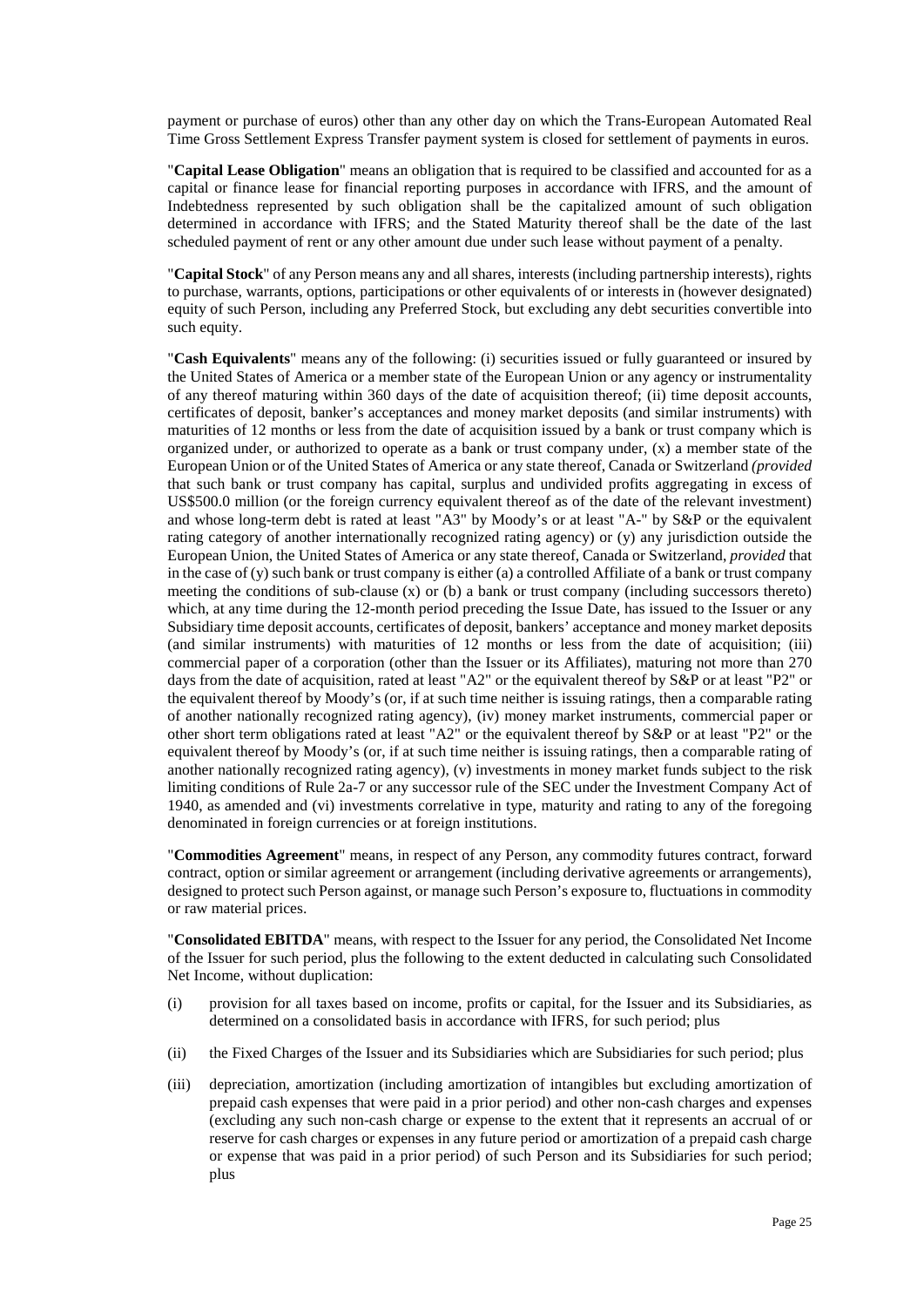payment or purchase of euros) other than any other day on which the Trans-European Automated Real Time Gross Settlement Express Transfer payment system is closed for settlement of payments in euros.

"**Capital Lease Obligation**" means an obligation that is required to be classified and accounted for as a capital or finance lease for financial reporting purposes in accordance with IFRS, and the amount of Indebtedness represented by such obligation shall be the capitalized amount of such obligation determined in accordance with IFRS; and the Stated Maturity thereof shall be the date of the last scheduled payment of rent or any other amount due under such lease without payment of a penalty.

"**Capital Stock**" of any Person means any and all shares, interests (including partnership interests), rights to purchase, warrants, options, participations or other equivalents of or interests in (however designated) equity of such Person, including any Preferred Stock, but excluding any debt securities convertible into such equity.

"**Cash Equivalents**" means any of the following: (i) securities issued or fully guaranteed or insured by the United States of America or a member state of the European Union or any agency or instrumentality of any thereof maturing within 360 days of the date of acquisition thereof; (ii) time deposit accounts, certificates of deposit, banker's acceptances and money market deposits (and similar instruments) with maturities of 12 months or less from the date of acquisition issued by a bank or trust company which is organized under, or authorized to operate as a bank or trust company under,  $(x)$  a member state of the European Union or of the United States of America or any state thereof, Canada or Switzerland *(provided* that such bank or trust company has capital, surplus and undivided profits aggregating in excess of US\$500.0 million (or the foreign currency equivalent thereof as of the date of the relevant investment) and whose long-term debt is rated at least "A3" by Moody's or at least "A-" by S&P or the equivalent rating category of another internationally recognized rating agency) or (y) any jurisdiction outside the European Union, the United States of America or any state thereof, Canada or Switzerland, *provided* that in the case of (y) such bank or trust company is either (a) a controlled Affiliate of a bank or trust company meeting the conditions of sub-clause  $(x)$  or  $(b)$  a bank or trust company (including successors thereto) which, at any time during the 12-month period preceding the Issue Date, has issued to the Issuer or any Subsidiary time deposit accounts, certificates of deposit, bankers' acceptance and money market deposits (and similar instruments) with maturities of 12 months or less from the date of acquisition; (iii) commercial paper of a corporation (other than the Issuer or its Affiliates), maturing not more than 270 days from the date of acquisition, rated at least "A2" or the equivalent thereof by S&P or at least "P2" or the equivalent thereof by Moody's (or, if at such time neither is issuing ratings, then a comparable rating of another nationally recognized rating agency), (iv) money market instruments, commercial paper or other short term obligations rated at least "A2" or the equivalent thereof by S&P or at least "P2" or the equivalent thereof by Moody's (or, if at such time neither is issuing ratings, then a comparable rating of another nationally recognized rating agency), (v) investments in money market funds subject to the risk limiting conditions of Rule 2a-7 or any successor rule of the SEC under the Investment Company Act of 1940, as amended and (vi) investments correlative in type, maturity and rating to any of the foregoing denominated in foreign currencies or at foreign institutions.

"**Commodities Agreement**" means, in respect of any Person, any commodity futures contract, forward contract, option or similar agreement or arrangement (including derivative agreements or arrangements), designed to protect such Person against, or manage such Person's exposure to, fluctuations in commodity or raw material prices.

"**Consolidated EBITDA**" means, with respect to the Issuer for any period, the Consolidated Net Income of the Issuer for such period, plus the following to the extent deducted in calculating such Consolidated Net Income, without duplication:

- (i) provision for all taxes based on income, profits or capital, for the Issuer and its Subsidiaries, as determined on a consolidated basis in accordance with IFRS, for such period; plus
- (ii) the Fixed Charges of the Issuer and its Subsidiaries which are Subsidiaries for such period; plus
- (iii) depreciation, amortization (including amortization of intangibles but excluding amortization of prepaid cash expenses that were paid in a prior period) and other non-cash charges and expenses (excluding any such non-cash charge or expense to the extent that it represents an accrual of or reserve for cash charges or expenses in any future period or amortization of a prepaid cash charge or expense that was paid in a prior period) of such Person and its Subsidiaries for such period; plus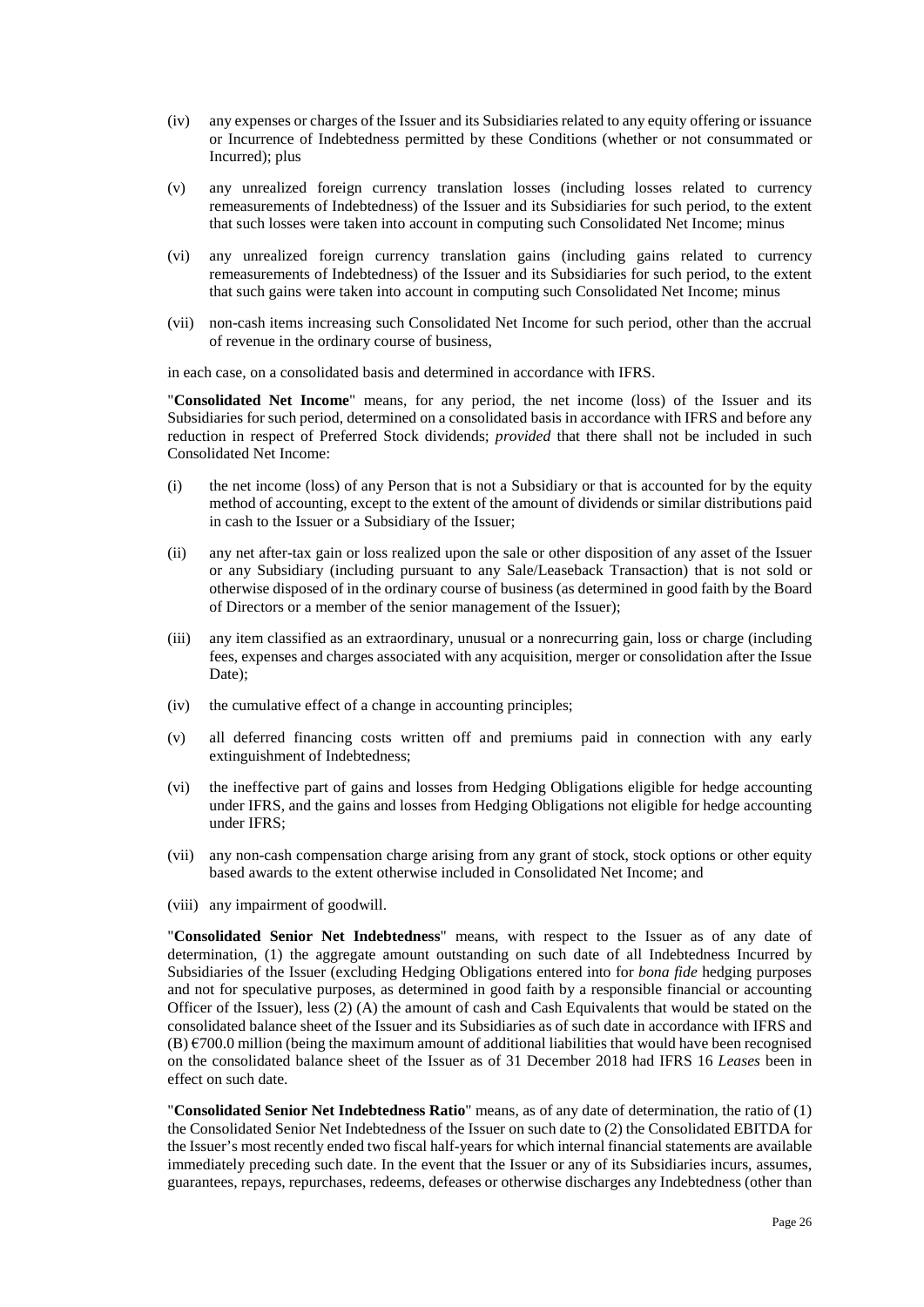- (iv) any expenses or charges of the Issuer and its Subsidiaries related to any equity offering or issuance or Incurrence of Indebtedness permitted by these Conditions (whether or not consummated or Incurred); plus
- (v) any unrealized foreign currency translation losses (including losses related to currency remeasurements of Indebtedness) of the Issuer and its Subsidiaries for such period, to the extent that such losses were taken into account in computing such Consolidated Net Income; minus
- (vi) any unrealized foreign currency translation gains (including gains related to currency remeasurements of Indebtedness) of the Issuer and its Subsidiaries for such period, to the extent that such gains were taken into account in computing such Consolidated Net Income; minus
- (vii) non-cash items increasing such Consolidated Net Income for such period, other than the accrual of revenue in the ordinary course of business,

in each case, on a consolidated basis and determined in accordance with IFRS.

"**Consolidated Net Income**" means, for any period, the net income (loss) of the Issuer and its Subsidiaries for such period, determined on a consolidated basis in accordance with IFRS and before any reduction in respect of Preferred Stock dividends; *provided* that there shall not be included in such Consolidated Net Income:

- (i) the net income (loss) of any Person that is not a Subsidiary or that is accounted for by the equity method of accounting, except to the extent of the amount of dividends or similar distributions paid in cash to the Issuer or a Subsidiary of the Issuer;
- (ii) any net after-tax gain or loss realized upon the sale or other disposition of any asset of the Issuer or any Subsidiary (including pursuant to any Sale/Leaseback Transaction) that is not sold or otherwise disposed of in the ordinary course of business (as determined in good faith by the Board of Directors or a member of the senior management of the Issuer);
- (iii) any item classified as an extraordinary, unusual or a nonrecurring gain, loss or charge (including fees, expenses and charges associated with any acquisition, merger or consolidation after the Issue Date);
- (iv) the cumulative effect of a change in accounting principles;
- (v) all deferred financing costs written off and premiums paid in connection with any early extinguishment of Indebtedness;
- (vi) the ineffective part of gains and losses from Hedging Obligations eligible for hedge accounting under IFRS, and the gains and losses from Hedging Obligations not eligible for hedge accounting under IFRS;
- (vii) any non-cash compensation charge arising from any grant of stock, stock options or other equity based awards to the extent otherwise included in Consolidated Net Income; and
- (viii) any impairment of goodwill.

"**Consolidated Senior Net Indebtedness**" means, with respect to the Issuer as of any date of determination, (1) the aggregate amount outstanding on such date of all Indebtedness Incurred by Subsidiaries of the Issuer (excluding Hedging Obligations entered into for *bona fide* hedging purposes and not for speculative purposes, as determined in good faith by a responsible financial or accounting Officer of the Issuer), less (2) (A) the amount of cash and Cash Equivalents that would be stated on the consolidated balance sheet of the Issuer and its Subsidiaries as of such date in accordance with IFRS and  $(B) \in 700.0$  million (being the maximum amount of additional liabilities that would have been recognised on the consolidated balance sheet of the Issuer as of 31 December 2018 had IFRS 16 *Leases* been in effect on such date.

"**Consolidated Senior Net Indebtedness Ratio**" means, as of any date of determination, the ratio of (1) the Consolidated Senior Net Indebtedness of the Issuer on such date to (2) the Consolidated EBITDA for the Issuer's most recently ended two fiscal half-years for which internal financial statements are available immediately preceding such date. In the event that the Issuer or any of its Subsidiaries incurs, assumes, guarantees, repays, repurchases, redeems, defeases or otherwise discharges any Indebtedness (other than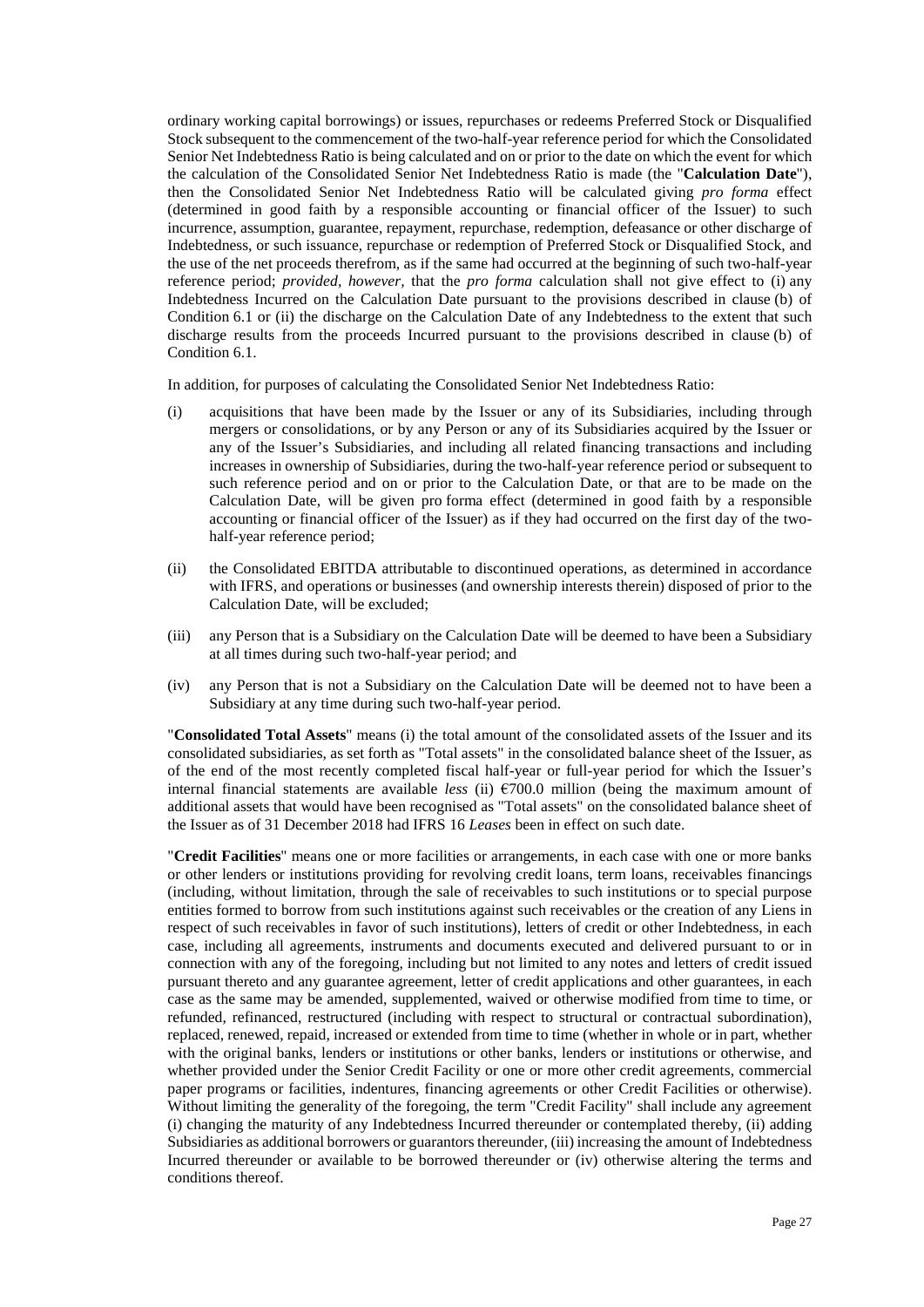ordinary working capital borrowings) or issues, repurchases or redeems Preferred Stock or Disqualified Stock subsequent to the commencement of the two-half-year reference period for which the Consolidated Senior Net Indebtedness Ratio is being calculated and on or prior to the date on which the event for which the calculation of the Consolidated Senior Net Indebtedness Ratio is made (the "**Calculation Date**"), then the Consolidated Senior Net Indebtedness Ratio will be calculated giving *pro forma* effect (determined in good faith by a responsible accounting or financial officer of the Issuer) to such incurrence, assumption, guarantee, repayment, repurchase, redemption, defeasance or other discharge of Indebtedness, or such issuance, repurchase or redemption of Preferred Stock or Disqualified Stock, and the use of the net proceeds therefrom, as if the same had occurred at the beginning of such two-half-year reference period; *provided, however,* that the *pro forma* calculation shall not give effect to (i) any Indebtedness Incurred on the Calculation Date pursuant to the provisions described in clause [\(b\)](#page-13-3) of Condition [6.1](#page-12-0) or (ii) the discharge on the Calculation Date of any Indebtedness to the extent that such discharge results from the proceeds Incurred pursuant to the provisions described in claus[e \(b\)](#page-13-3) of Condition [6.1.](#page-12-0)

In addition, for purposes of calculating the Consolidated Senior Net Indebtedness Ratio:

- (i) acquisitions that have been made by the Issuer or any of its Subsidiaries, including through mergers or consolidations, or by any Person or any of its Subsidiaries acquired by the Issuer or any of the Issuer's Subsidiaries, and including all related financing transactions and including increases in ownership of Subsidiaries, during the two-half-year reference period or subsequent to such reference period and on or prior to the Calculation Date, or that are to be made on the Calculation Date, will be given pro forma effect (determined in good faith by a responsible accounting or financial officer of the Issuer) as if they had occurred on the first day of the twohalf-year reference period;
- (ii) the Consolidated EBITDA attributable to discontinued operations, as determined in accordance with IFRS, and operations or businesses (and ownership interests therein) disposed of prior to the Calculation Date, will be excluded;
- (iii) any Person that is a Subsidiary on the Calculation Date will be deemed to have been a Subsidiary at all times during such two-half-year period; and
- (iv) any Person that is not a Subsidiary on the Calculation Date will be deemed not to have been a Subsidiary at any time during such two-half-year period.

"**Consolidated Total Assets**" means (i) the total amount of the consolidated assets of the Issuer and its consolidated subsidiaries, as set forth as "Total assets" in the consolidated balance sheet of the Issuer, as of the end of the most recently completed fiscal half-year or full-year period for which the Issuer's internal financial statements are available *less* (ii)  $\epsilon$ 700.0 million (being the maximum amount of additional assets that would have been recognised as "Total assets" on the consolidated balance sheet of the Issuer as of 31 December 2018 had IFRS 16 *Leases* been in effect on such date.

"**Credit Facilities**" means one or more facilities or arrangements, in each case with one or more banks or other lenders or institutions providing for revolving credit loans, term loans, receivables financings (including, without limitation, through the sale of receivables to such institutions or to special purpose entities formed to borrow from such institutions against such receivables or the creation of any Liens in respect of such receivables in favor of such institutions), letters of credit or other Indebtedness, in each case, including all agreements, instruments and documents executed and delivered pursuant to or in connection with any of the foregoing, including but not limited to any notes and letters of credit issued pursuant thereto and any guarantee agreement, letter of credit applications and other guarantees, in each case as the same may be amended, supplemented, waived or otherwise modified from time to time, or refunded, refinanced, restructured (including with respect to structural or contractual subordination), replaced, renewed, repaid, increased or extended from time to time (whether in whole or in part, whether with the original banks, lenders or institutions or other banks, lenders or institutions or otherwise, and whether provided under the Senior Credit Facility or one or more other credit agreements, commercial paper programs or facilities, indentures, financing agreements or other Credit Facilities or otherwise). Without limiting the generality of the foregoing, the term "Credit Facility" shall include any agreement (i) changing the maturity of any Indebtedness Incurred thereunder or contemplated thereby, (ii) adding Subsidiaries as additional borrowers or guarantors thereunder, (iii) increasing the amount of Indebtedness Incurred thereunder or available to be borrowed thereunder or (iv) otherwise altering the terms and conditions thereof.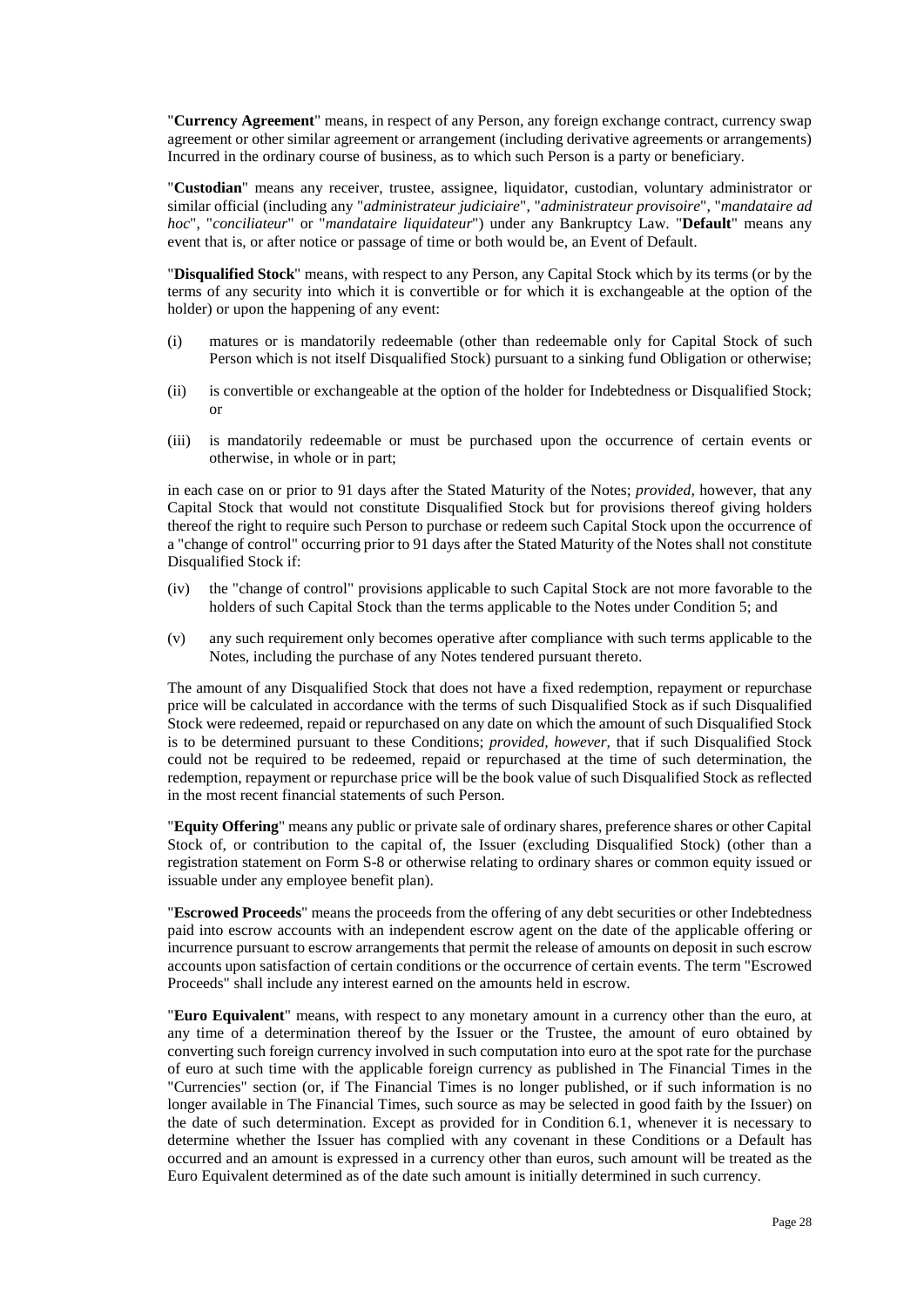"**Currency Agreement**" means, in respect of any Person, any foreign exchange contract, currency swap agreement or other similar agreement or arrangement (including derivative agreements or arrangements) Incurred in the ordinary course of business, as to which such Person is a party or beneficiary.

"**Custodian**" means any receiver, trustee, assignee, liquidator, custodian, voluntary administrator or similar official (including any "*administrateur judiciaire*", "*administrateur provisoire*", "*mandataire ad hoc*", "*conciliateur*" or "*mandataire liquidateur*") under any Bankruptcy Law. "**Default**" means any event that is, or after notice or passage of time or both would be, an Event of Default.

"**Disqualified Stock**" means, with respect to any Person, any Capital Stock which by its terms (or by the terms of any security into which it is convertible or for which it is exchangeable at the option of the holder) or upon the happening of any event:

- (i) matures or is mandatorily redeemable (other than redeemable only for Capital Stock of such Person which is not itself Disqualified Stock) pursuant to a sinking fund Obligation or otherwise;
- (ii) is convertible or exchangeable at the option of the holder for Indebtedness or Disqualified Stock; or
- (iii) is mandatorily redeemable or must be purchased upon the occurrence of certain events or otherwise, in whole or in part;

in each case on or prior to 91 days after the Stated Maturity of the Notes; *provided,* however, that any Capital Stock that would not constitute Disqualified Stock but for provisions thereof giving holders thereof the right to require such Person to purchase or redeem such Capital Stock upon the occurrence of a "change of control" occurring prior to 91 days after the Stated Maturity of the Notes shall not constitute Disqualified Stock if:

- (iv) the "change of control" provisions applicable to such Capital Stock are not more favorable to the holders of such Capital Stock than the terms applicable to the Notes under Conditio[n 5;](#page-11-0) and
- (v) any such requirement only becomes operative after compliance with such terms applicable to the Notes, including the purchase of any Notes tendered pursuant thereto.

The amount of any Disqualified Stock that does not have a fixed redemption, repayment or repurchase price will be calculated in accordance with the terms of such Disqualified Stock as if such Disqualified Stock were redeemed, repaid or repurchased on any date on which the amount of such Disqualified Stock is to be determined pursuant to these Conditions; *provided, however,* that if such Disqualified Stock could not be required to be redeemed, repaid or repurchased at the time of such determination, the redemption, repayment or repurchase price will be the book value of such Disqualified Stock as reflected in the most recent financial statements of such Person.

"**Equity Offering**" means any public or private sale of ordinary shares, preference shares or other Capital Stock of, or contribution to the capital of, the Issuer (excluding Disqualified Stock) (other than a registration statement on Form S-8 or otherwise relating to ordinary shares or common equity issued or issuable under any employee benefit plan).

"**Escrowed Proceeds**" means the proceeds from the offering of any debt securities or other Indebtedness paid into escrow accounts with an independent escrow agent on the date of the applicable offering or incurrence pursuant to escrow arrangements that permit the release of amounts on deposit in such escrow accounts upon satisfaction of certain conditions or the occurrence of certain events. The term "Escrowed Proceeds" shall include any interest earned on the amounts held in escrow.

"**Euro Equivalent**" means, with respect to any monetary amount in a currency other than the euro, at any time of a determination thereof by the Issuer or the Trustee, the amount of euro obtained by converting such foreign currency involved in such computation into euro at the spot rate for the purchase of euro at such time with the applicable foreign currency as published in The Financial Times in the "Currencies" section (or, if The Financial Times is no longer published, or if such information is no longer available in The Financial Times, such source as may be selected in good faith by the Issuer) on the date of such determination. Except as provided for in Condition [6.1,](#page-12-0) whenever it is necessary to determine whether the Issuer has complied with any covenant in these Conditions or a Default has occurred and an amount is expressed in a currency other than euros, such amount will be treated as the Euro Equivalent determined as of the date such amount is initially determined in such currency.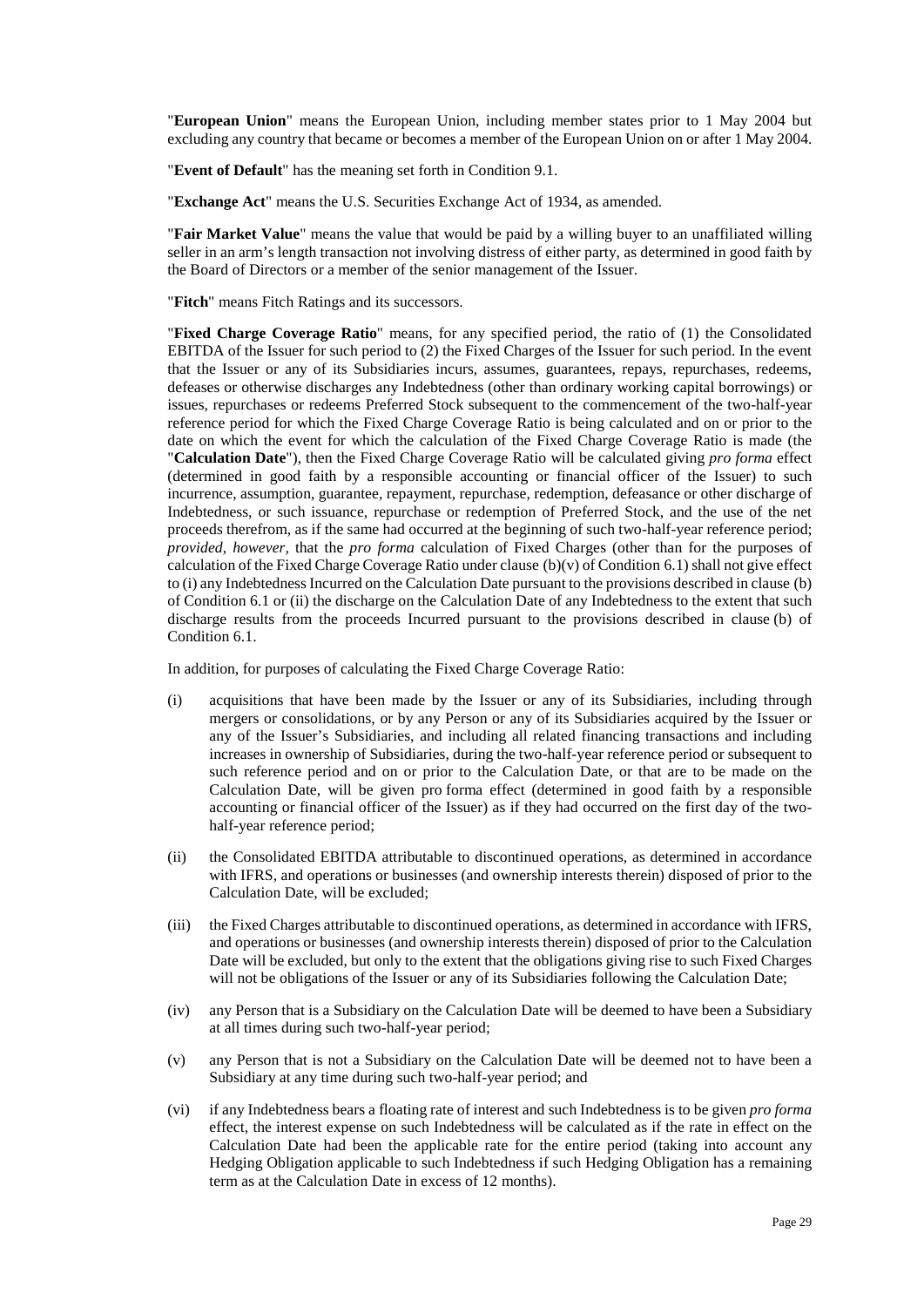"**European Union**" means the European Union, including member states prior to 1 May 2004 but excluding any country that became or becomes a member of the European Union on or after 1 May 2004.

"**Event of Default**" has the meaning set forth in Condition [9.1.](#page-20-2)

"**Exchange Act**" means the U.S. Securities Exchange Act of 1934, as amended.

"**Fair Market Value**" means the value that would be paid by a willing buyer to an unaffiliated willing seller in an arm's length transaction not involving distress of either party, as determined in good faith by the Board of Directors or a member of the senior management of the Issuer.

"**Fitch**" means Fitch Ratings and its successors.

"**Fixed Charge Coverage Ratio**" means, for any specified period, the ratio of (1) the Consolidated EBITDA of the Issuer for such period to (2) the Fixed Charges of the Issuer for such period. In the event that the Issuer or any of its Subsidiaries incurs, assumes, guarantees, repays, repurchases, redeems, defeases or otherwise discharges any Indebtedness (other than ordinary working capital borrowings) or issues, repurchases or redeems Preferred Stock subsequent to the commencement of the two-half-year reference period for which the Fixed Charge Coverage Ratio is being calculated and on or prior to the date on which the event for which the calculation of the Fixed Charge Coverage Ratio is made (the "**Calculation Date**"), then the Fixed Charge Coverage Ratio will be calculated giving *pro forma* effect (determined in good faith by a responsible accounting or financial officer of the Issuer) to such incurrence, assumption, guarantee, repayment, repurchase, redemption, defeasance or other discharge of Indebtedness, or such issuance, repurchase or redemption of Preferred Stock, and the use of the net proceeds therefrom, as if the same had occurred at the beginning of such two-half-year reference period; *provided, however,* that the *pro forma* calculation of Fixed Charges (other than for the purposes of calculation of the Fixed Charge Coverage Ratio under clause  $(b)(v)$  of Condition [6.1\)](#page-12-0) shall not give effect to (i) any Indebtedness Incurred on the Calculation Date pursuant to the provisions described in claus[e \(b\)](#page-13-3) of Condition [6.1](#page-12-0) or (ii) the discharge on the Calculation Date of any Indebtedness to the extent that such discharge results from the proceeds Incurred pursuant to the provisions described in claus[e \(b\)](#page-13-3) of Condition [6.1.](#page-12-0)

In addition, for purposes of calculating the Fixed Charge Coverage Ratio:

- (i) acquisitions that have been made by the Issuer or any of its Subsidiaries, including through mergers or consolidations, or by any Person or any of its Subsidiaries acquired by the Issuer or any of the Issuer's Subsidiaries, and including all related financing transactions and including increases in ownership of Subsidiaries, during the two-half-year reference period or subsequent to such reference period and on or prior to the Calculation Date, or that are to be made on the Calculation Date, will be given pro forma effect (determined in good faith by a responsible accounting or financial officer of the Issuer) as if they had occurred on the first day of the twohalf-year reference period;
- (ii) the Consolidated EBITDA attributable to discontinued operations, as determined in accordance with IFRS, and operations or businesses (and ownership interests therein) disposed of prior to the Calculation Date, will be excluded;
- (iii) the Fixed Charges attributable to discontinued operations, as determined in accordance with IFRS, and operations or businesses (and ownership interests therein) disposed of prior to the Calculation Date will be excluded, but only to the extent that the obligations giving rise to such Fixed Charges will not be obligations of the Issuer or any of its Subsidiaries following the Calculation Date;
- (iv) any Person that is a Subsidiary on the Calculation Date will be deemed to have been a Subsidiary at all times during such two-half-year period;
- (v) any Person that is not a Subsidiary on the Calculation Date will be deemed not to have been a Subsidiary at any time during such two-half-year period; and
- (vi) if any Indebtedness bears a floating rate of interest and such Indebtedness is to be given *pro forma*  effect, the interest expense on such Indebtedness will be calculated as if the rate in effect on the Calculation Date had been the applicable rate for the entire period (taking into account any Hedging Obligation applicable to such Indebtedness if such Hedging Obligation has a remaining term as at the Calculation Date in excess of 12 months).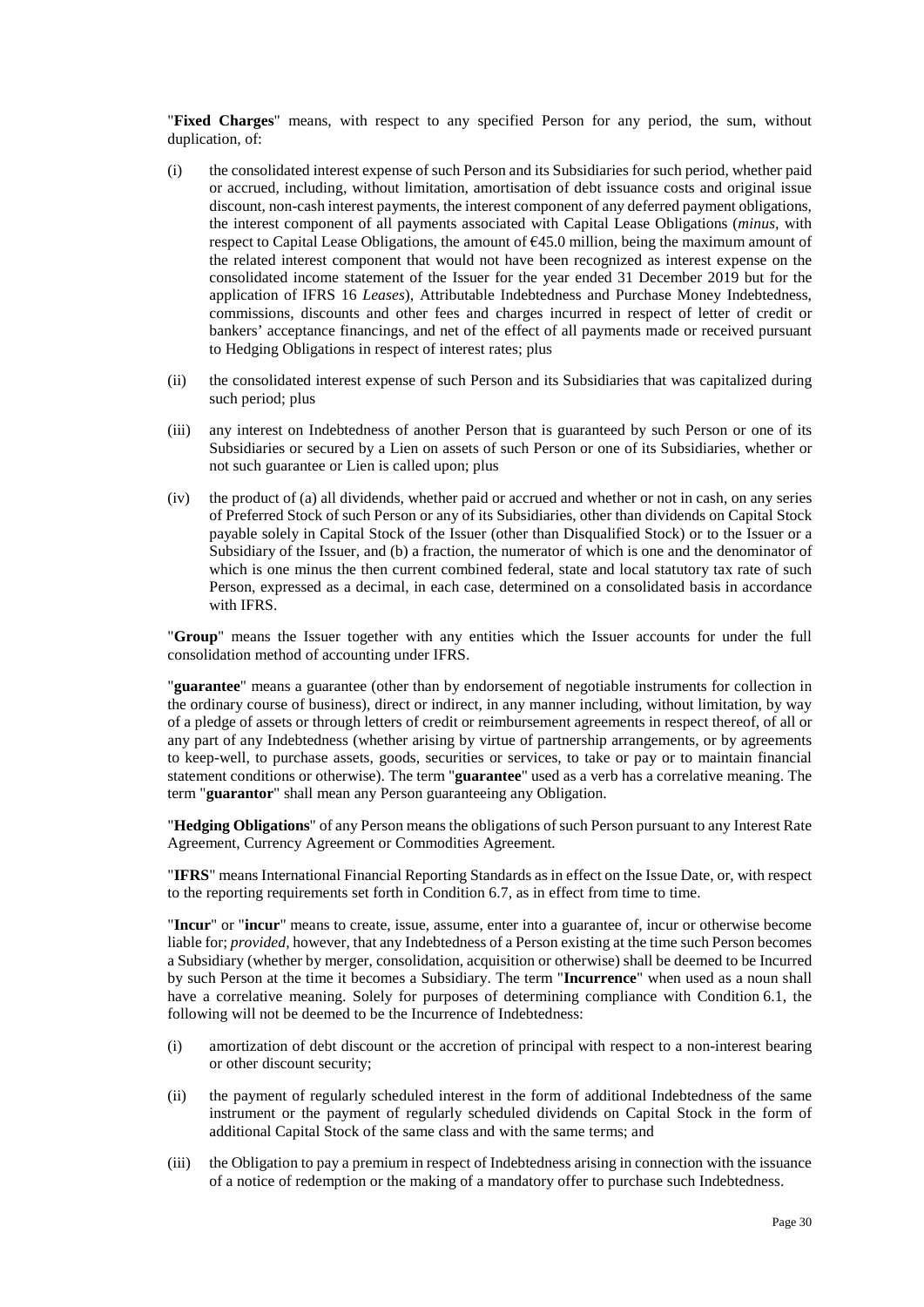"**Fixed Charges**" means, with respect to any specified Person for any period, the sum, without duplication, of:

- (i) the consolidated interest expense of such Person and its Subsidiaries for such period, whether paid or accrued, including, without limitation, amortisation of debt issuance costs and original issue discount, non-cash interest payments, the interest component of any deferred payment obligations, the interest component of all payments associated with Capital Lease Obligations (*minus,* with respect to Capital Lease Obligations, the amount of  $645.0$  million, being the maximum amount of the related interest component that would not have been recognized as interest expense on the consolidated income statement of the Issuer for the year ended 31 December 2019 but for the application of IFRS 16 *Leases*), Attributable Indebtedness and Purchase Money Indebtedness, commissions, discounts and other fees and charges incurred in respect of letter of credit or bankers' acceptance financings, and net of the effect of all payments made or received pursuant to Hedging Obligations in respect of interest rates; plus
- (ii) the consolidated interest expense of such Person and its Subsidiaries that was capitalized during such period; plus
- (iii) any interest on Indebtedness of another Person that is guaranteed by such Person or one of its Subsidiaries or secured by a Lien on assets of such Person or one of its Subsidiaries, whether or not such guarantee or Lien is called upon; plus
- (iv) the product of (a) all dividends, whether paid or accrued and whether or not in cash, on any series of Preferred Stock of such Person or any of its Subsidiaries, other than dividends on Capital Stock payable solely in Capital Stock of the Issuer (other than Disqualified Stock) or to the Issuer or a Subsidiary of the Issuer, and (b) a fraction, the numerator of which is one and the denominator of which is one minus the then current combined federal, state and local statutory tax rate of such Person, expressed as a decimal, in each case, determined on a consolidated basis in accordance with IFRS.

"**Group**" means the Issuer together with any entities which the Issuer accounts for under the full consolidation method of accounting under IFRS.

"**guarantee**" means a guarantee (other than by endorsement of negotiable instruments for collection in the ordinary course of business), direct or indirect, in any manner including, without limitation, by way of a pledge of assets or through letters of credit or reimbursement agreements in respect thereof, of all or any part of any Indebtedness (whether arising by virtue of partnership arrangements, or by agreements to keep-well, to purchase assets, goods, securities or services, to take or pay or to maintain financial statement conditions or otherwise). The term "**guarantee**" used as a verb has a correlative meaning. The term "**guarantor**" shall mean any Person guaranteeing any Obligation.

"**Hedging Obligations**" of any Person means the obligations of such Person pursuant to any Interest Rate Agreement, Currency Agreement or Commodities Agreement.

"**IFRS**" means International Financial Reporting Standards as in effect on the Issue Date, or, with respect to the reporting requirements set forth in Condition [6.7,](#page-18-0) as in effect from time to time.

"**Incur**" or "**incur**" means to create, issue, assume, enter into a guarantee of, incur or otherwise become liable for; *provided,* however, that any Indebtedness of a Person existing at the time such Person becomes a Subsidiary (whether by merger, consolidation, acquisition or otherwise) shall be deemed to be Incurred by such Person at the time it becomes a Subsidiary. The term "**Incurrence**" when used as a noun shall have a correlative meaning. Solely for purposes of determining compliance with Condition [6.1,](#page-12-0) the following will not be deemed to be the Incurrence of Indebtedness:

- (i) amortization of debt discount or the accretion of principal with respect to a non-interest bearing or other discount security;
- (ii) the payment of regularly scheduled interest in the form of additional Indebtedness of the same instrument or the payment of regularly scheduled dividends on Capital Stock in the form of additional Capital Stock of the same class and with the same terms; and
- (iii) the Obligation to pay a premium in respect of Indebtedness arising in connection with the issuance of a notice of redemption or the making of a mandatory offer to purchase such Indebtedness.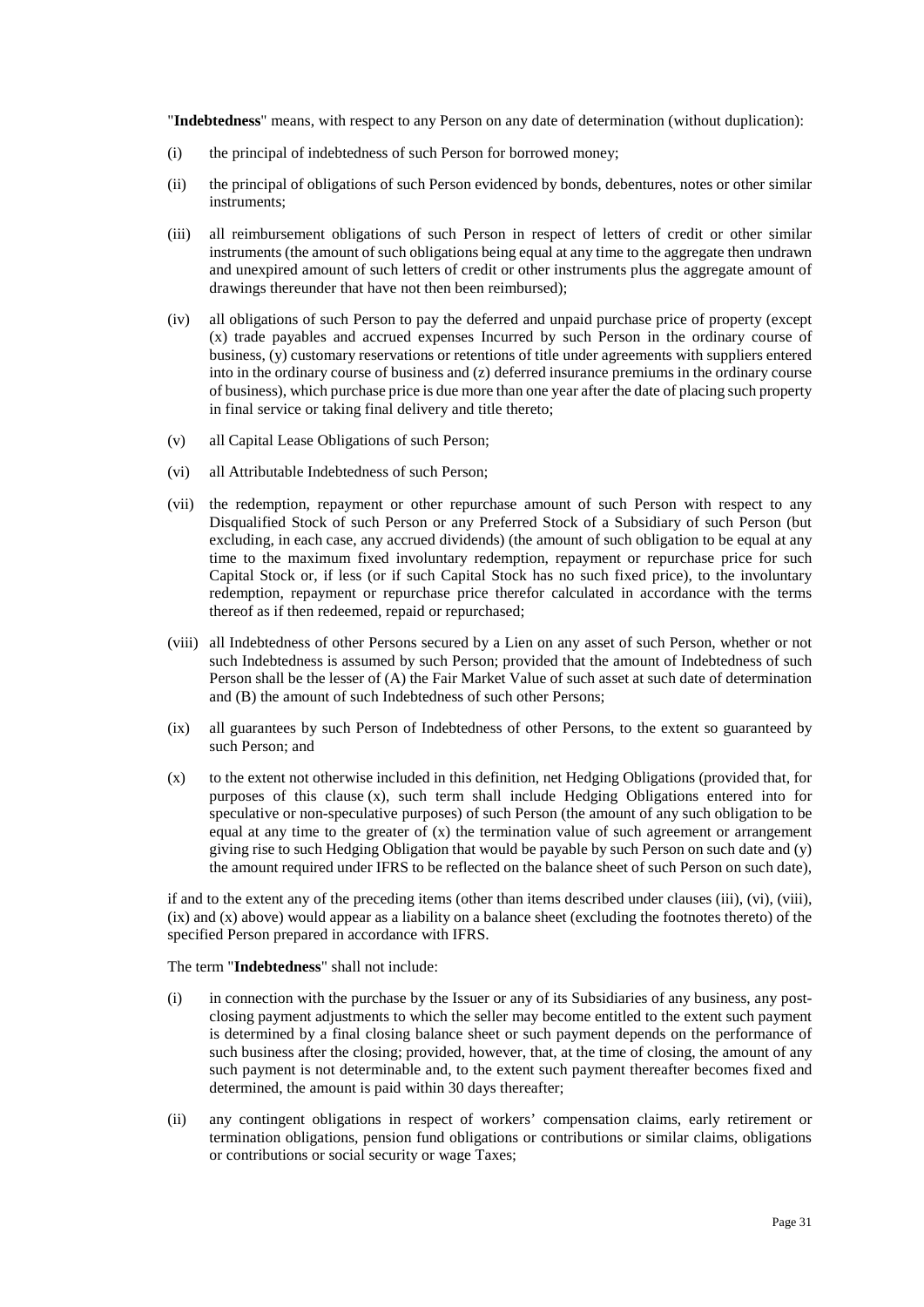"**Indebtedness**" means, with respect to any Person on any date of determination (without duplication):

- (i) the principal of indebtedness of such Person for borrowed money;
- (ii) the principal of obligations of such Person evidenced by bonds, debentures, notes or other similar instruments;
- <span id="page-32-1"></span>(iii) all reimbursement obligations of such Person in respect of letters of credit or other similar instruments (the amount of such obligations being equal at any time to the aggregate then undrawn and unexpired amount of such letters of credit or other instruments plus the aggregate amount of drawings thereunder that have not then been reimbursed);
- (iv) all obligations of such Person to pay the deferred and unpaid purchase price of property (except (x) trade payables and accrued expenses Incurred by such Person in the ordinary course of business, (y) customary reservations or retentions of title under agreements with suppliers entered into in the ordinary course of business and (z) deferred insurance premiums in the ordinary course of business), which purchase price is due more than one year after the date of placing such property in final service or taking final delivery and title thereto;
- (v) all Capital Lease Obligations of such Person;
- <span id="page-32-2"></span>(vi) all Attributable Indebtedness of such Person;
- (vii) the redemption, repayment or other repurchase amount of such Person with respect to any Disqualified Stock of such Person or any Preferred Stock of a Subsidiary of such Person (but excluding, in each case, any accrued dividends) (the amount of such obligation to be equal at any time to the maximum fixed involuntary redemption, repayment or repurchase price for such Capital Stock or, if less (or if such Capital Stock has no such fixed price), to the involuntary redemption, repayment or repurchase price therefor calculated in accordance with the terms thereof as if then redeemed, repaid or repurchased;
- <span id="page-32-3"></span>(viii) all Indebtedness of other Persons secured by a Lien on any asset of such Person, whether or not such Indebtedness is assumed by such Person; provided that the amount of Indebtedness of such Person shall be the lesser of (A) the Fair Market Value of such asset at such date of determination and (B) the amount of such Indebtedness of such other Persons;
- <span id="page-32-4"></span>(ix) all guarantees by such Person of Indebtedness of other Persons, to the extent so guaranteed by such Person; and
- <span id="page-32-0"></span>(x) to the extent not otherwise included in this definition, net Hedging Obligations (provided that, for purposes of this clause  $(x)$ , such term shall include Hedging Obligations entered into for speculative or non-speculative purposes) of such Person (the amount of any such obligation to be equal at any time to the greater of  $(x)$  the termination value of such agreement or arrangement giving rise to such Hedging Obligation that would be payable by such Person on such date and (y) the amount required under IFRS to be reflected on the balance sheet of such Person on such date),

if and to the extent any of the preceding items (other than items described under clauses [\(iii\),](#page-32-1) [\(vi\),](#page-32-2) [\(viii\),](#page-32-3) [\(ix\) a](#page-32-4)n[d \(x\) a](#page-32-0)bove) would appear as a liability on a balance sheet (excluding the footnotes thereto) of the specified Person prepared in accordance with IFRS.

The term "**Indebtedness**" shall not include:

- (i) in connection with the purchase by the Issuer or any of its Subsidiaries of any business, any postclosing payment adjustments to which the seller may become entitled to the extent such payment is determined by a final closing balance sheet or such payment depends on the performance of such business after the closing; provided, however, that, at the time of closing, the amount of any such payment is not determinable and, to the extent such payment thereafter becomes fixed and determined, the amount is paid within 30 days thereafter;
- (ii) any contingent obligations in respect of workers' compensation claims, early retirement or termination obligations, pension fund obligations or contributions or similar claims, obligations or contributions or social security or wage Taxes;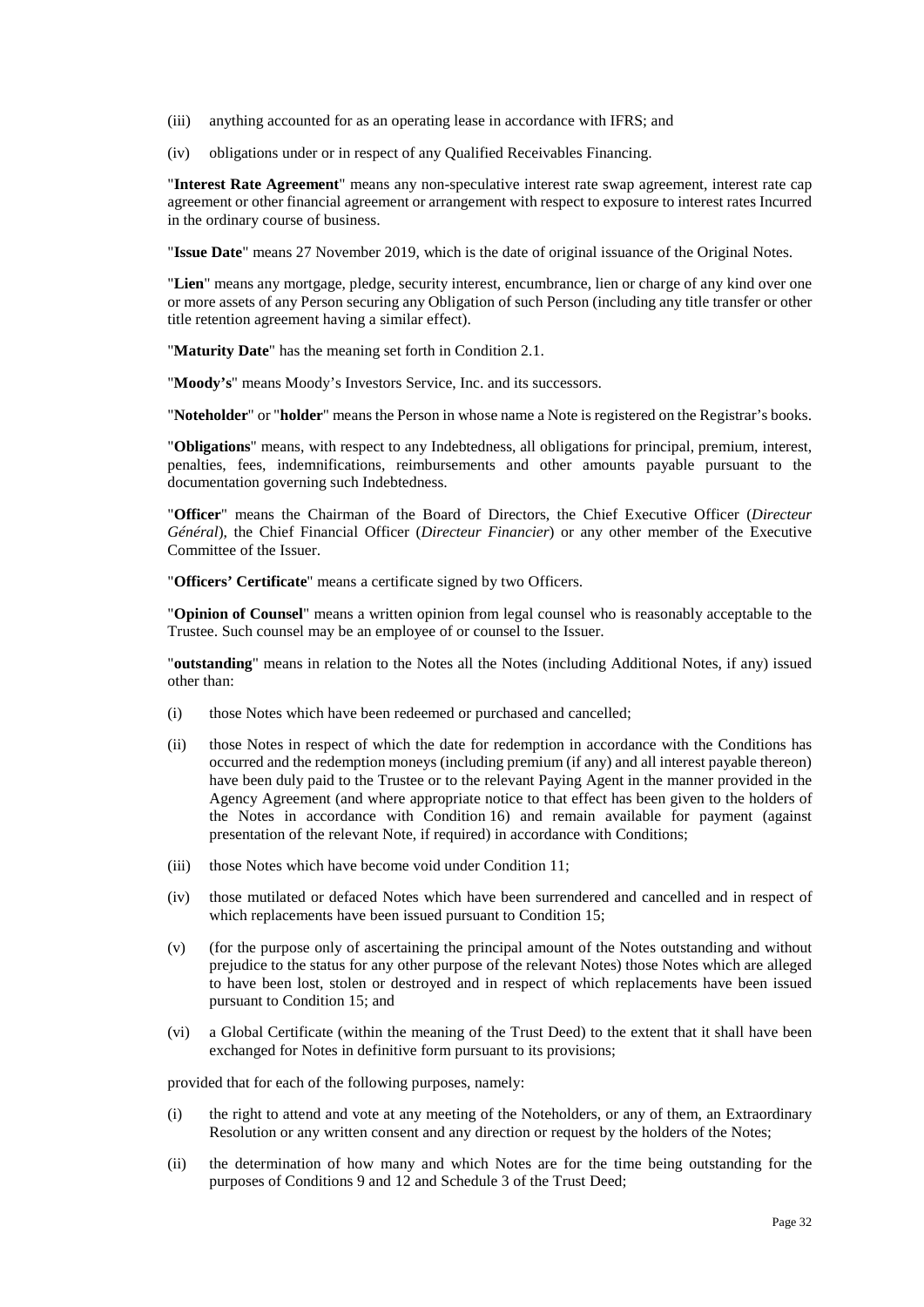- (iii) anything accounted for as an operating lease in accordance with IFRS; and
- (iv) obligations under or in respect of any Qualified Receivables Financing.

"**Interest Rate Agreement**" means any non-speculative interest rate swap agreement, interest rate cap agreement or other financial agreement or arrangement with respect to exposure to interest rates Incurred in the ordinary course of business.

"**Issue Date**" means 27 November 2019, which is the date of original issuance of the Original Notes.

"**Lien**" means any mortgage, pledge, security interest, encumbrance, lien or charge of any kind over one or more assets of any Person securing any Obligation of such Person (including any title transfer or other title retention agreement having a similar effect).

"**Maturity Date**" has the meaning set forth in Condition [2.1.](#page-6-2) 

"**Moody's**" means Moody's Investors Service, Inc. and its successors.

"**Noteholder**" or "**holder**" means the Person in whose name a Note is registered on the Registrar's books.

"**Obligations**" means, with respect to any Indebtedness, all obligations for principal, premium, interest, penalties, fees, indemnifications, reimbursements and other amounts payable pursuant to the documentation governing such Indebtedness.

"**Officer**" means the Chairman of the Board of Directors, the Chief Executive Officer (*Directeur Général*), the Chief Financial Officer (*Directeur Financier*) or any other member of the Executive Committee of the Issuer.

"**Officers' Certificate**" means a certificate signed by two Officers.

"**Opinion of Counsel**" means a written opinion from legal counsel who is reasonably acceptable to the Trustee. Such counsel may be an employee of or counsel to the Issuer.

"**outstanding**" means in relation to the Notes all the Notes (including Additional Notes, if any) issued other than:

- (i) those Notes which have been redeemed or purchased and cancelled;
- (ii) those Notes in respect of which the date for redemption in accordance with the Conditions has occurred and the redemption moneys (including premium (if any) and all interest payable thereon) have been duly paid to the Trustee or to the relevant Paying Agent in the manner provided in the Agency Agreement (and where appropriate notice to that effect has been given to the holders of the Notes in accordance with Conditio[n 16\)](#page-24-0) and remain available for payment (against presentation of the relevant Note, if required) in accordance with Conditions;
- (iii) those Notes which have become void under Condition [11;](#page-22-2)
- (iv) those mutilated or defaced Notes which have been surrendered and cancelled and in respect of which replacements have been issued pursuant to Condition [15;](#page-24-2)
- (v) (for the purpose only of ascertaining the principal amount of the Notes outstanding and without prejudice to the status for any other purpose of the relevant Notes) those Notes which are alleged to have been lost, stolen or destroyed and in respect of which replacements have been issued pursuant to Conditio[n 15;](#page-24-2) and
- (vi) a Global Certificate (within the meaning of the Trust Deed) to the extent that it shall have been exchanged for Notes in definitive form pursuant to its provisions;

provided that for each of the following purposes, namely:

- (i) the right to attend and vote at any meeting of the Noteholders, or any of them, an Extraordinary Resolution or any written consent and any direction or request by the holders of the Notes;
- (ii) the determination of how many and which Notes are for the time being outstanding for the purposes of Conditions [9 a](#page-20-4)n[d 12](#page-22-3) and Schedule 3 of the Trust Deed;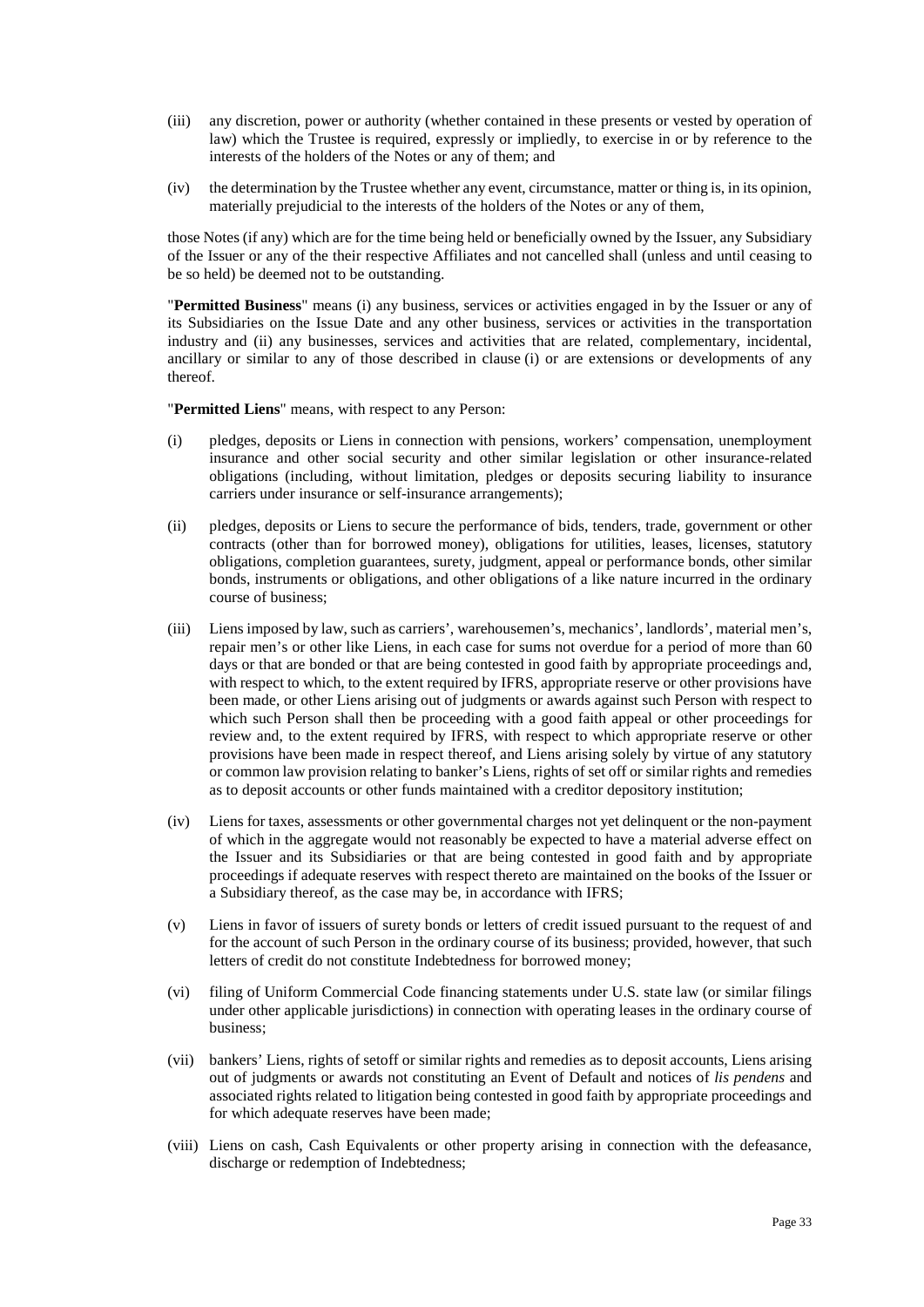- (iii) any discretion, power or authority (whether contained in these presents or vested by operation of law) which the Trustee is required, expressly or impliedly, to exercise in or by reference to the interests of the holders of the Notes or any of them; and
- (iv) the determination by the Trustee whether any event, circumstance, matter or thing is, in its opinion, materially prejudicial to the interests of the holders of the Notes or any of them,

those Notes (if any) which are for the time being held or beneficially owned by the Issuer, any Subsidiary of the Issuer or any of the their respective Affiliates and not cancelled shall (unless and until ceasing to be so held) be deemed not to be outstanding.

"**Permitted Business**" means (i) any business, services or activities engaged in by the Issuer or any of its Subsidiaries on the Issue Date and any other business, services or activities in the transportation industry and (ii) any businesses, services and activities that are related, complementary, incidental, ancillary or similar to any of those described in clause (i) or are extensions or developments of any thereof.

"**Permitted Liens**" means, with respect to any Person:

- <span id="page-34-0"></span>(i) pledges, deposits or Liens in connection with pensions, workers' compensation, unemployment insurance and other social security and other similar legislation or other insurance-related obligations (including, without limitation, pledges or deposits securing liability to insurance carriers under insurance or self-insurance arrangements);
- (ii) pledges, deposits or Liens to secure the performance of bids, tenders, trade, government or other contracts (other than for borrowed money), obligations for utilities, leases, licenses, statutory obligations, completion guarantees, surety, judgment, appeal or performance bonds, other similar bonds, instruments or obligations, and other obligations of a like nature incurred in the ordinary course of business;
- (iii) Liens imposed by law, such as carriers', warehousemen's, mechanics', landlords', material men's, repair men's or other like Liens, in each case for sums not overdue for a period of more than 60 days or that are bonded or that are being contested in good faith by appropriate proceedings and, with respect to which, to the extent required by IFRS, appropriate reserve or other provisions have been made, or other Liens arising out of judgments or awards against such Person with respect to which such Person shall then be proceeding with a good faith appeal or other proceedings for review and, to the extent required by IFRS, with respect to which appropriate reserve or other provisions have been made in respect thereof, and Liens arising solely by virtue of any statutory or common law provision relating to banker's Liens, rights of set off or similar rights and remedies as to deposit accounts or other funds maintained with a creditor depository institution;
- (iv) Liens for taxes, assessments or other governmental charges not yet delinquent or the non-payment of which in the aggregate would not reasonably be expected to have a material adverse effect on the Issuer and its Subsidiaries or that are being contested in good faith and by appropriate proceedings if adequate reserves with respect thereto are maintained on the books of the Issuer or a Subsidiary thereof, as the case may be, in accordance with IFRS;
- (v) Liens in favor of issuers of surety bonds or letters of credit issued pursuant to the request of and for the account of such Person in the ordinary course of its business; provided, however, that such letters of credit do not constitute Indebtedness for borrowed money;
- (vi) filing of Uniform Commercial Code financing statements under U.S. state law (or similar filings under other applicable jurisdictions) in connection with operating leases in the ordinary course of business;
- (vii) bankers' Liens, rights of setoff or similar rights and remedies as to deposit accounts, Liens arising out of judgments or awards not constituting an Event of Default and notices of *lis pendens* and associated rights related to litigation being contested in good faith by appropriate proceedings and for which adequate reserves have been made;
- (viii) Liens on cash, Cash Equivalents or other property arising in connection with the defeasance, discharge or redemption of Indebtedness;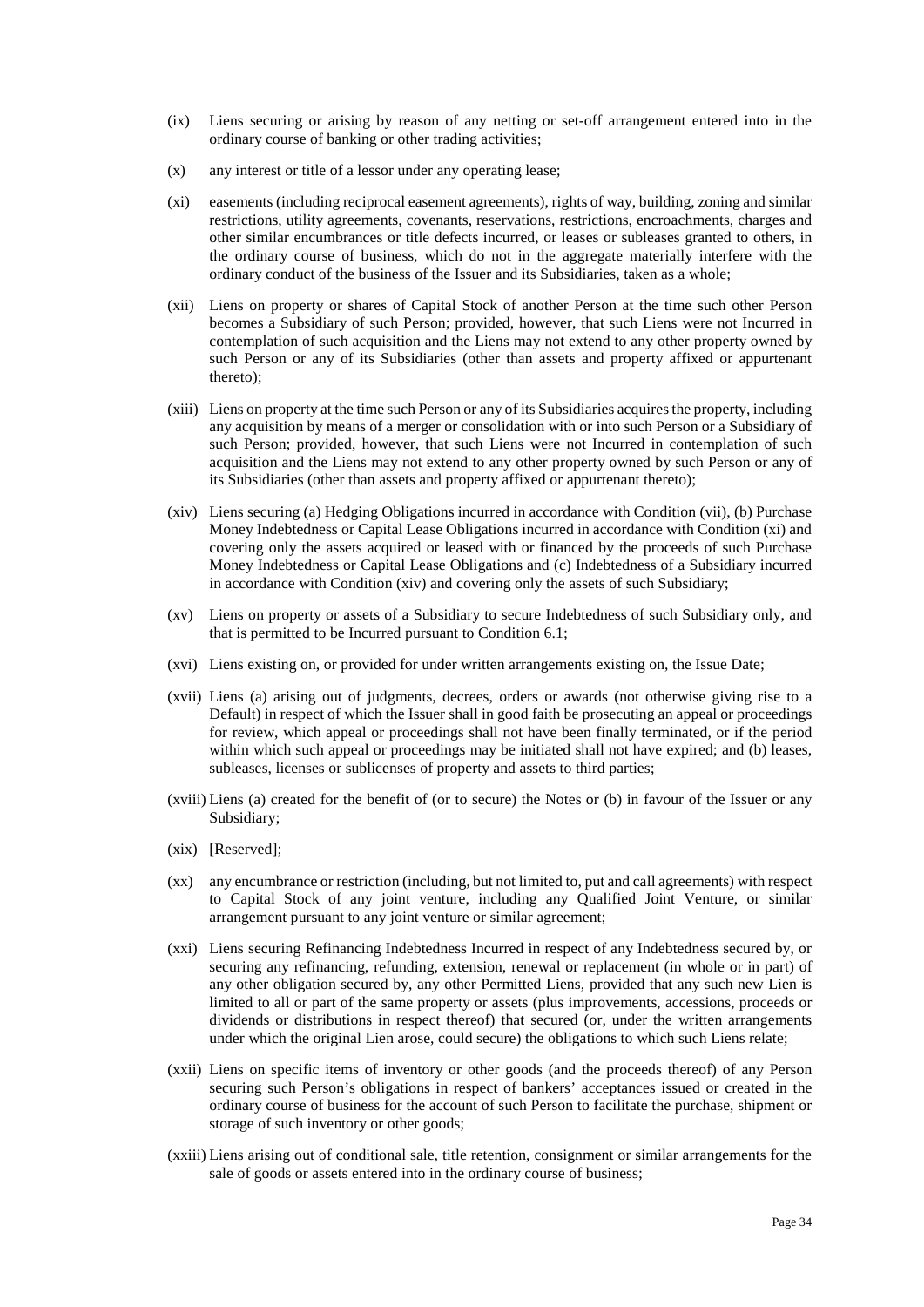- (ix) Liens securing or arising by reason of any netting or set-off arrangement entered into in the ordinary course of banking or other trading activities;
- (x) any interest or title of a lessor under any operating lease;
- (xi) easements (including reciprocal easement agreements), rights of way, building, zoning and similar restrictions, utility agreements, covenants, reservations, restrictions, encroachments, charges and other similar encumbrances or title defects incurred, or leases or subleases granted to others, in the ordinary course of business, which do not in the aggregate materially interfere with the ordinary conduct of the business of the Issuer and its Subsidiaries, taken as a whole;
- (xii) Liens on property or shares of Capital Stock of another Person at the time such other Person becomes a Subsidiary of such Person; provided, however, that such Liens were not Incurred in contemplation of such acquisition and the Liens may not extend to any other property owned by such Person or any of its Subsidiaries (other than assets and property affixed or appurtenant thereto);
- (xiii) Liens on property at the time such Person or any of its Subsidiaries acquires the property, including any acquisition by means of a merger or consolidation with or into such Person or a Subsidiary of such Person; provided, however, that such Liens were not Incurred in contemplation of such acquisition and the Liens may not extend to any other property owned by such Person or any of its Subsidiaries (other than assets and property affixed or appurtenant thereto);
- (xiv) Liens securing (a) Hedging Obligations incurred in accordance with Condition [\(vii\),](#page-13-7) (b) Purchase Money Indebtedness or Capital Lease Obligations incurred in accordance with Condition [\(xi\) a](#page-14-0)nd covering only the assets acquired or leased with or financed by the proceeds of such Purchase Money Indebtedness or Capital Lease Obligations and (c) Indebtedness of a Subsidiary incurred in accordance with Conditio[n \(xiv\)](#page-14-3) and covering only the assets of such Subsidiary;
- (xv) Liens on property or assets of a Subsidiary to secure Indebtedness of such Subsidiary only, and that is permitted to be Incurred pursuant to Condition [6.1;](#page-12-0)
- (xvi) Liens existing on, or provided for under written arrangements existing on, the Issue Date;
- (xvii) Liens (a) arising out of judgments, decrees, orders or awards (not otherwise giving rise to a Default) in respect of which the Issuer shall in good faith be prosecuting an appeal or proceedings for review, which appeal or proceedings shall not have been finally terminated, or if the period within which such appeal or proceedings may be initiated shall not have expired; and (b) leases, subleases, licenses or sublicenses of property and assets to third parties;
- (xviii) Liens (a) created for the benefit of (or to secure) the Notes or (b) in favour of the Issuer or any Subsidiary;
- (xix) [Reserved];
- (xx) any encumbrance or restriction (including, but not limited to, put and call agreements) with respect to Capital Stock of any joint venture, including any Qualified Joint Venture, or similar arrangement pursuant to any joint venture or similar agreement;
- (xxi) Liens securing Refinancing Indebtedness Incurred in respect of any Indebtedness secured by, or securing any refinancing, refunding, extension, renewal or replacement (in whole or in part) of any other obligation secured by, any other Permitted Liens, provided that any such new Lien is limited to all or part of the same property or assets (plus improvements, accessions, proceeds or dividends or distributions in respect thereof) that secured (or, under the written arrangements under which the original Lien arose, could secure) the obligations to which such Liens relate;
- (xxii) Liens on specific items of inventory or other goods (and the proceeds thereof) of any Person securing such Person's obligations in respect of bankers' acceptances issued or created in the ordinary course of business for the account of such Person to facilitate the purchase, shipment or storage of such inventory or other goods;
- (xxiii) Liens arising out of conditional sale, title retention, consignment or similar arrangements for the sale of goods or assets entered into in the ordinary course of business;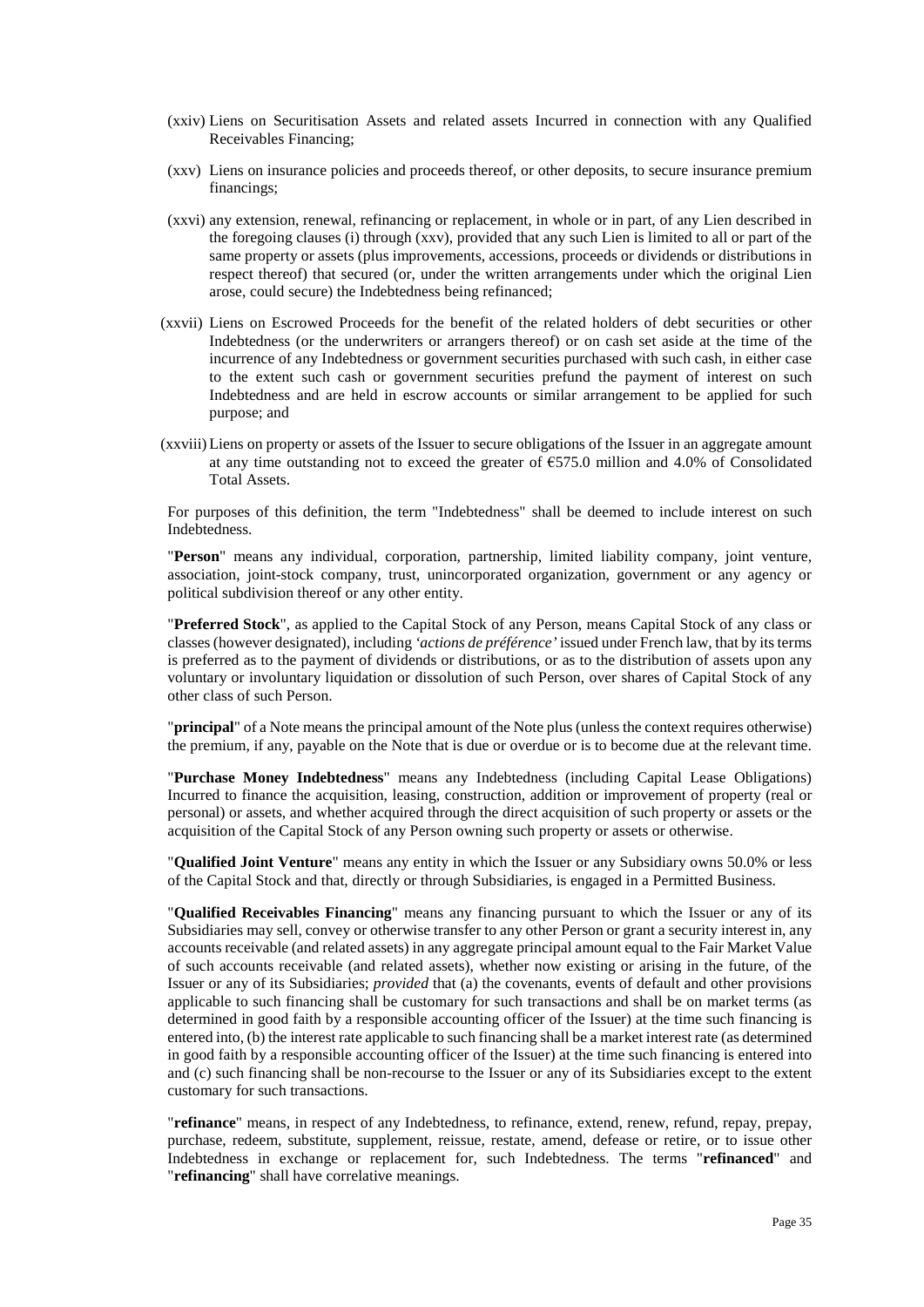- (xxiv) Liens on Securitisation Assets and related assets Incurred in connection with any Qualified Receivables Financing;
- <span id="page-36-0"></span>(xxv) Liens on insurance policies and proceeds thereof, or other deposits, to secure insurance premium financings;
- (xxvi) any extension, renewal, refinancing or replacement, in whole or in part, of any Lien described in the foregoing clauses [\(i\)](#page-34-0) through [\(xxv\),](#page-36-0) provided that any such Lien is limited to all or part of the same property or assets (plus improvements, accessions, proceeds or dividends or distributions in respect thereof) that secured (or, under the written arrangements under which the original Lien arose, could secure) the Indebtedness being refinanced;
- (xxvii) Liens on Escrowed Proceeds for the benefit of the related holders of debt securities or other Indebtedness (or the underwriters or arrangers thereof) or on cash set aside at the time of the incurrence of any Indebtedness or government securities purchased with such cash, in either case to the extent such cash or government securities prefund the payment of interest on such Indebtedness and are held in escrow accounts or similar arrangement to be applied for such purpose; and
- (xxviii) Liens on property or assets of the Issuer to secure obligations of the Issuer in an aggregate amount at any time outstanding not to exceed the greater of  $\epsilon$ 575.0 million and 4.0% of Consolidated Total Assets.

For purposes of this definition, the term "Indebtedness" shall be deemed to include interest on such Indebtedness.

"**Person**" means any individual, corporation, partnership, limited liability company, joint venture, association, joint-stock company, trust, unincorporated organization, government or any agency or political subdivision thereof or any other entity.

"**Preferred Stock**", as applied to the Capital Stock of any Person, means Capital Stock of any class or classes (however designated), including *'actions de préférence'* issued under French law, that by its terms is preferred as to the payment of dividends or distributions, or as to the distribution of assets upon any voluntary or involuntary liquidation or dissolution of such Person, over shares of Capital Stock of any other class of such Person.

"**principal**" of a Note means the principal amount of the Note plus (unless the context requires otherwise) the premium, if any, payable on the Note that is due or overdue or is to become due at the relevant time.

"**Purchase Money Indebtedness**" means any Indebtedness (including Capital Lease Obligations) Incurred to finance the acquisition, leasing, construction, addition or improvement of property (real or personal) or assets, and whether acquired through the direct acquisition of such property or assets or the acquisition of the Capital Stock of any Person owning such property or assets or otherwise.

"**Qualified Joint Venture**" means any entity in which the Issuer or any Subsidiary owns 50.0% or less of the Capital Stock and that, directly or through Subsidiaries, is engaged in a Permitted Business.

"**Qualified Receivables Financing**" means any financing pursuant to which the Issuer or any of its Subsidiaries may sell, convey or otherwise transfer to any other Person or grant a security interest in, any accounts receivable (and related assets) in any aggregate principal amount equal to the Fair Market Value of such accounts receivable (and related assets), whether now existing or arising in the future, of the Issuer or any of its Subsidiaries; *provided* that (a) the covenants, events of default and other provisions applicable to such financing shall be customary for such transactions and shall be on market terms (as determined in good faith by a responsible accounting officer of the Issuer) at the time such financing is entered into, (b) the interest rate applicable to such financing shall be a market interest rate (as determined in good faith by a responsible accounting officer of the Issuer) at the time such financing is entered into and (c) such financing shall be non-recourse to the Issuer or any of its Subsidiaries except to the extent customary for such transactions.

"**refinance**" means, in respect of any Indebtedness, to refinance, extend, renew, refund, repay, prepay, purchase, redeem, substitute, supplement, reissue, restate, amend, defease or retire, or to issue other Indebtedness in exchange or replacement for, such Indebtedness. The terms "**refinanced**" and "**refinancing**" shall have correlative meanings.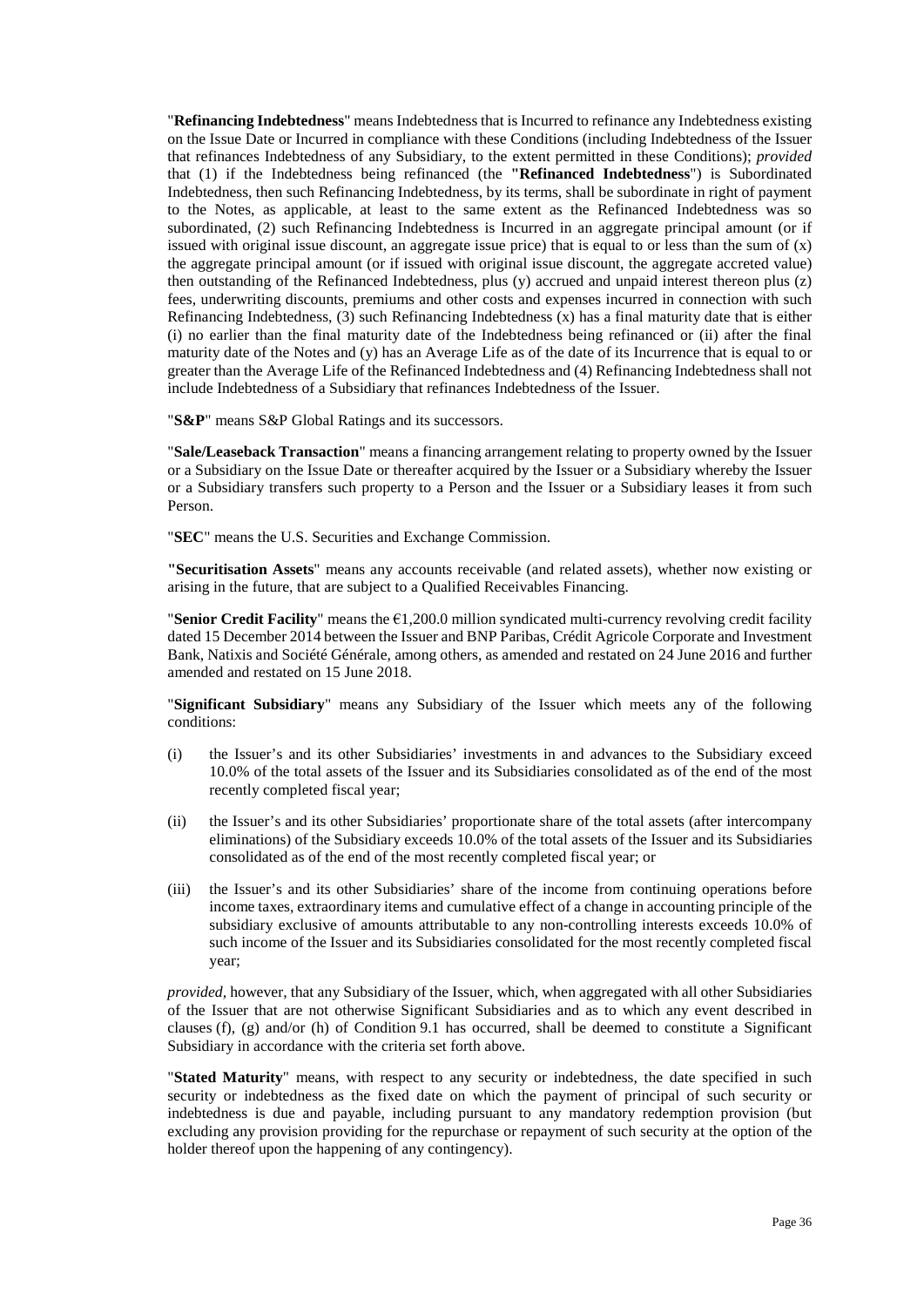"**Refinancing Indebtedness**" means Indebtedness that is Incurred to refinance any Indebtedness existing on the Issue Date or Incurred in compliance with these Conditions (including Indebtedness of the Issuer that refinances Indebtedness of any Subsidiary, to the extent permitted in these Conditions); *provided* that (1) if the Indebtedness being refinanced (the **"Refinanced Indebtedness**") is Subordinated Indebtedness, then such Refinancing Indebtedness, by its terms, shall be subordinate in right of payment to the Notes, as applicable, at least to the same extent as the Refinanced Indebtedness was so subordinated, (2) such Refinancing Indebtedness is Incurred in an aggregate principal amount (or if issued with original issue discount, an aggregate issue price) that is equal to or less than the sum of (x) the aggregate principal amount (or if issued with original issue discount, the aggregate accreted value) then outstanding of the Refinanced Indebtedness, plus (y) accrued and unpaid interest thereon plus (z) fees, underwriting discounts, premiums and other costs and expenses incurred in connection with such Refinancing Indebtedness, (3) such Refinancing Indebtedness (x) has a final maturity date that is either (i) no earlier than the final maturity date of the Indebtedness being refinanced or (ii) after the final maturity date of the Notes and (y) has an Average Life as of the date of its Incurrence that is equal to or greater than the Average Life of the Refinanced Indebtedness and (4) Refinancing Indebtedness shall not include Indebtedness of a Subsidiary that refinances Indebtedness of the Issuer.

"**S&P**" means S&P Global Ratings and its successors.

"**Sale/Leaseback Transaction**" means a financing arrangement relating to property owned by the Issuer or a Subsidiary on the Issue Date or thereafter acquired by the Issuer or a Subsidiary whereby the Issuer or a Subsidiary transfers such property to a Person and the Issuer or a Subsidiary leases it from such Person.

"**SEC**" means the U.S. Securities and Exchange Commission.

**"Securitisation Assets**" means any accounts receivable (and related assets), whether now existing or arising in the future, that are subject to a Qualified Receivables Financing.

"**Senior Credit Facility**" means the €1,200.0 million syndicated multi-currency revolving credit facility dated 15 December 2014 between the Issuer and BNP Paribas, Crédit Agricole Corporate and Investment Bank, Natixis and Société Générale, among others, as amended and restated on 24 June 2016 and further amended and restated on 15 June 2018.

"**Significant Subsidiary**" means any Subsidiary of the Issuer which meets any of the following conditions:

- (i) the Issuer's and its other Subsidiaries' investments in and advances to the Subsidiary exceed 10.0% of the total assets of the Issuer and its Subsidiaries consolidated as of the end of the most recently completed fiscal year;
- (ii) the Issuer's and its other Subsidiaries' proportionate share of the total assets (after intercompany eliminations) of the Subsidiary exceeds 10.0% of the total assets of the Issuer and its Subsidiaries consolidated as of the end of the most recently completed fiscal year; or
- (iii) the Issuer's and its other Subsidiaries' share of the income from continuing operations before income taxes, extraordinary items and cumulative effect of a change in accounting principle of the subsidiary exclusive of amounts attributable to any non-controlling interests exceeds 10.0% of such income of the Issuer and its Subsidiaries consolidated for the most recently completed fiscal year;

*provided,* however, that any Subsidiary of the Issuer, which, when aggregated with all other Subsidiaries of the Issuer that are not otherwise Significant Subsidiaries and as to which any event described in clauses [\(f\),](#page-20-0) [\(g\)](#page-20-1) and/or [\(h\)](#page-21-0) of Condition [9.1](#page-20-2) has occurred, shall be deemed to constitute a Significant Subsidiary in accordance with the criteria set forth above.

"**Stated Maturity**" means, with respect to any security or indebtedness, the date specified in such security or indebtedness as the fixed date on which the payment of principal of such security or indebtedness is due and payable, including pursuant to any mandatory redemption provision (but excluding any provision providing for the repurchase or repayment of such security at the option of the holder thereof upon the happening of any contingency).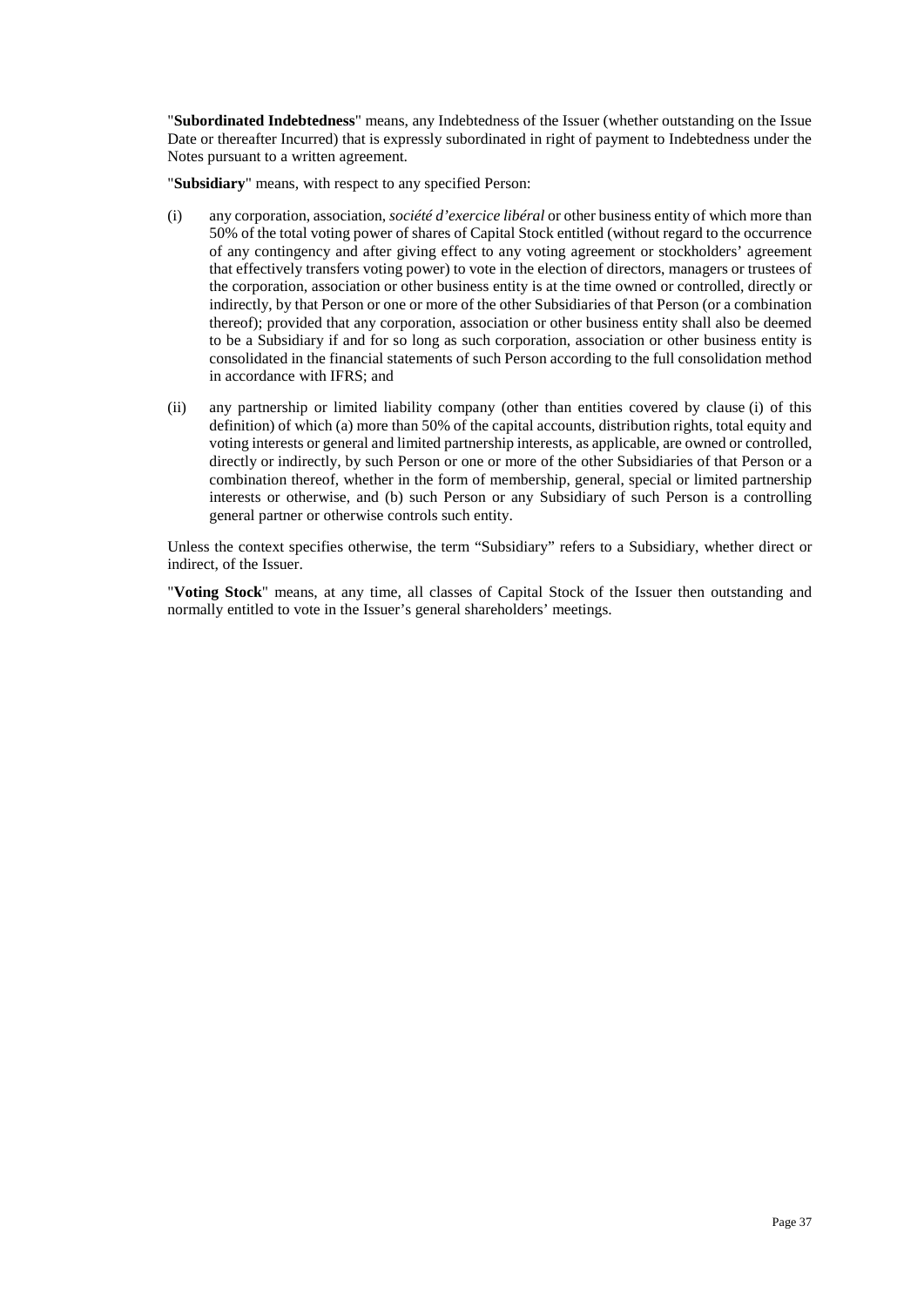"**Subordinated Indebtedness**" means, any Indebtedness of the Issuer (whether outstanding on the Issue Date or thereafter Incurred) that is expressly subordinated in right of payment to Indebtedness under the Notes pursuant to a written agreement.

"**Subsidiary**" means, with respect to any specified Person:

- <span id="page-38-0"></span>(i) any corporation, association, *société d'exercice libéral* or other business entity of which more than 50% of the total voting power of shares of Capital Stock entitled (without regard to the occurrence of any contingency and after giving effect to any voting agreement or stockholders' agreement that effectively transfers voting power) to vote in the election of directors, managers or trustees of the corporation, association or other business entity is at the time owned or controlled, directly or indirectly, by that Person or one or more of the other Subsidiaries of that Person (or a combination thereof); provided that any corporation, association or other business entity shall also be deemed to be a Subsidiary if and for so long as such corporation, association or other business entity is consolidated in the financial statements of such Person according to the full consolidation method in accordance with IFRS; and
- (ii) any partnership or limited liability company (other than entities covered by clause [\(i\)](#page-38-0) of this definition) of which (a) more than 50% of the capital accounts, distribution rights, total equity and voting interests or general and limited partnership interests, as applicable, are owned or controlled, directly or indirectly, by such Person or one or more of the other Subsidiaries of that Person or a combination thereof, whether in the form of membership, general, special or limited partnership interests or otherwise, and (b) such Person or any Subsidiary of such Person is a controlling general partner or otherwise controls such entity.

Unless the context specifies otherwise, the term "Subsidiary" refers to a Subsidiary, whether direct or indirect, of the Issuer.

"**Voting Stock**" means, at any time, all classes of Capital Stock of the Issuer then outstanding and normally entitled to vote in the Issuer's general shareholders' meetings.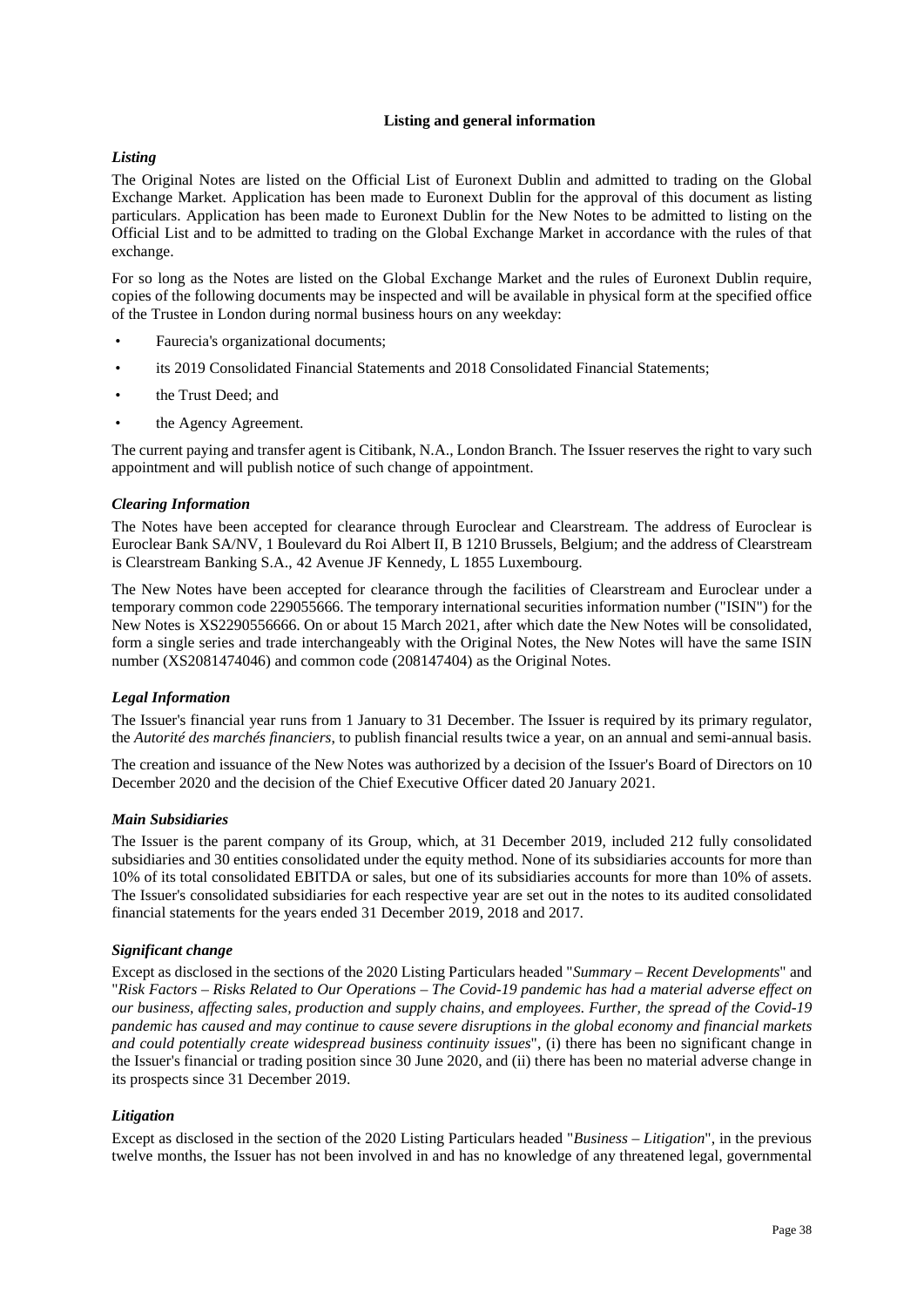## **Listing and general information**

# <span id="page-39-0"></span>*Listing*

The Original Notes are listed on the Official List of Euronext Dublin and admitted to trading on the Global Exchange Market. Application has been made to Euronext Dublin for the approval of this document as listing particulars. Application has been made to Euronext Dublin for the New Notes to be admitted to listing on the Official List and to be admitted to trading on the Global Exchange Market in accordance with the rules of that exchange.

For so long as the Notes are listed on the Global Exchange Market and the rules of Euronext Dublin require, copies of the following documents may be inspected and will be available in physical form at the specified office of the Trustee in London during normal business hours on any weekday:

- Faurecia's organizational documents;
- its 2019 Consolidated Financial Statements and 2018 Consolidated Financial Statements;
- the Trust Deed; and
- the Agency Agreement.

The current paying and transfer agent is Citibank, N.A., London Branch. The Issuer reserves the right to vary such appointment and will publish notice of such change of appointment.

# *Clearing Information*

The Notes have been accepted for clearance through Euroclear and Clearstream. The address of Euroclear is Euroclear Bank SA/NV, 1 Boulevard du Roi Albert II, B 1210 Brussels, Belgium; and the address of Clearstream is Clearstream Banking S.A., 42 Avenue JF Kennedy, L 1855 Luxembourg.

The New Notes have been accepted for clearance through the facilities of Clearstream and Euroclear under a temporary common code 229055666. The temporary international securities information number ("ISIN") for the New Notes is XS2290556666. On or about 15 March 2021, after which date the New Notes will be consolidated, form a single series and trade interchangeably with the Original Notes, the New Notes will have the same ISIN number (XS2081474046) and common code (208147404) as the Original Notes.

# *Legal Information*

The Issuer's financial year runs from 1 January to 31 December. The Issuer is required by its primary regulator, the *Autorité des marchés financiers*, to publish financial results twice a year, on an annual and semi-annual basis.

The creation and issuance of the New Notes was authorized by a decision of the Issuer's Board of Directors on 10 December 2020 and the decision of the Chief Executive Officer dated 20 January 2021.

# *Main Subsidiaries*

The Issuer is the parent company of its Group, which, at 31 December 2019, included 212 fully consolidated subsidiaries and 30 entities consolidated under the equity method. None of its subsidiaries accounts for more than 10% of its total consolidated EBITDA or sales, but one of its subsidiaries accounts for more than 10% of assets. The Issuer's consolidated subsidiaries for each respective year are set out in the notes to its audited consolidated financial statements for the years ended 31 December 2019, 2018 and 2017.

# *Significant change*

Except as disclosed in the sections of the 2020 Listing Particulars headed "*Summary – Recent Developments*" and "*Risk Factors – Risks Related to Our Operations – The Covid-19 pandemic has had a material adverse effect on our business, affecting sales, production and supply chains, and employees. Further, the spread of the Covid-19 pandemic has caused and may continue to cause severe disruptions in the global economy and financial markets and could potentially create widespread business continuity issues*", (i) there has been no significant change in the Issuer's financial or trading position since 30 June 2020, and (ii) there has been no material adverse change in its prospects since 31 December 2019.

# *Litigation*

Except as disclosed in the section of the 2020 Listing Particulars headed "*Business – Litigation*", in the previous twelve months, the Issuer has not been involved in and has no knowledge of any threatened legal, governmental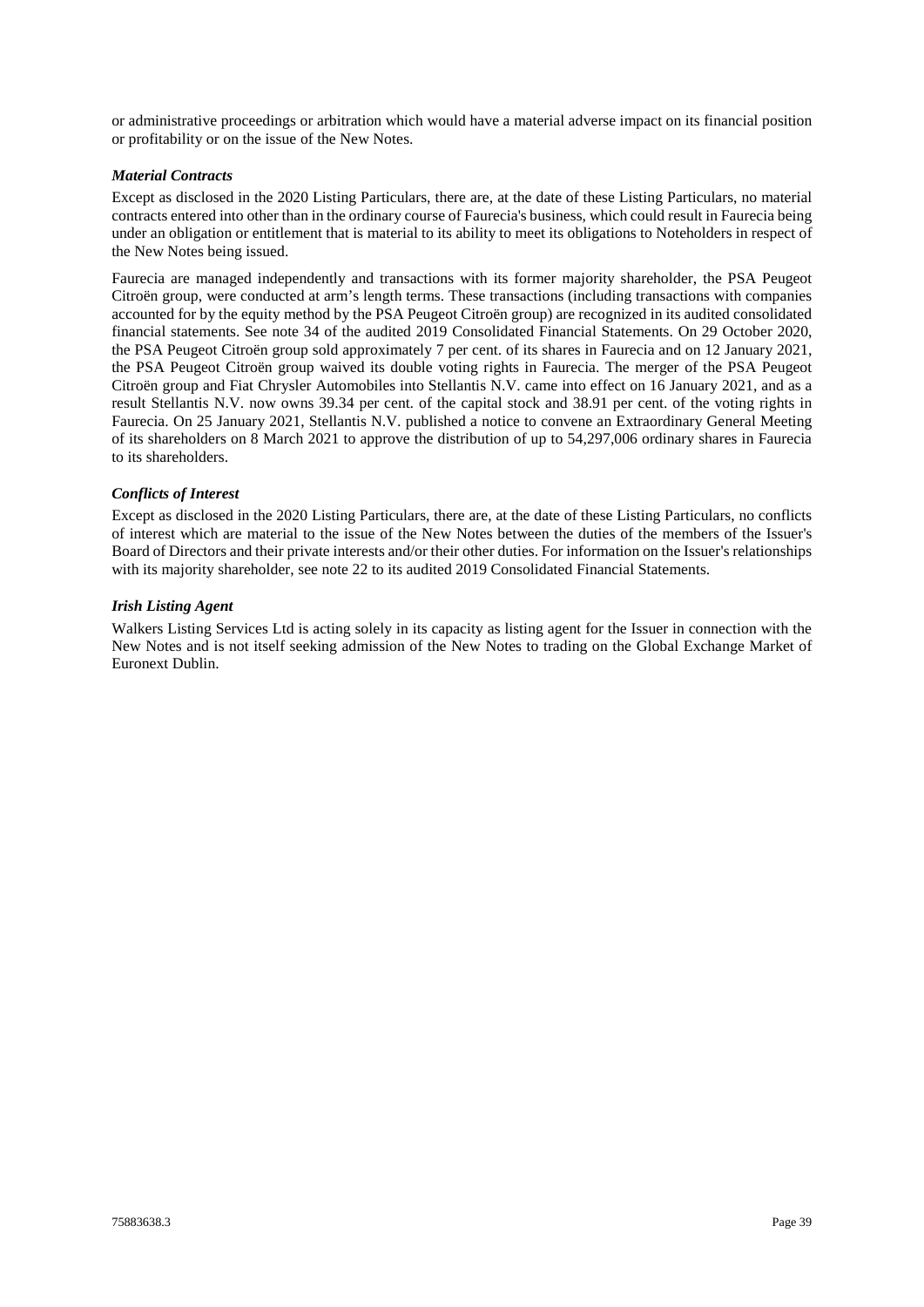or administrative proceedings or arbitration which would have a material adverse impact on its financial position or profitability or on the issue of the New Notes.

## *Material Contracts*

Except as disclosed in the 2020 Listing Particulars, there are, at the date of these Listing Particulars, no material contracts entered into other than in the ordinary course of Faurecia's business, which could result in Faurecia being under an obligation or entitlement that is material to its ability to meet its obligations to Noteholders in respect of the New Notes being issued.

Faurecia are managed independently and transactions with its former majority shareholder, the PSA Peugeot Citroën group, were conducted at arm's length terms. These transactions (including transactions with companies accounted for by the equity method by the PSA Peugeot Citroën group) are recognized in its audited consolidated financial statements. See note 34 of the audited 2019 Consolidated Financial Statements. On 29 October 2020, the PSA Peugeot Citroën group sold approximately 7 per cent. of its shares in Faurecia and on 12 January 2021, the PSA Peugeot Citroën group waived its double voting rights in Faurecia. The merger of the PSA Peugeot Citroën group and Fiat Chrysler Automobiles into Stellantis N.V. came into effect on 16 January 2021, and as a result Stellantis N.V. now owns 39.34 per cent. of the capital stock and 38.91 per cent. of the voting rights in Faurecia. On 25 January 2021, Stellantis N.V. published a notice to convene an Extraordinary General Meeting of its shareholders on 8 March 2021 to approve the distribution of up to 54,297,006 ordinary shares in Faurecia to its shareholders.

## *Conflicts of Interest*

Except as disclosed in the 2020 Listing Particulars, there are, at the date of these Listing Particulars, no conflicts of interest which are material to the issue of the New Notes between the duties of the members of the Issuer's Board of Directors and their private interests and/or their other duties. For information on the Issuer's relationships with its majority shareholder, see note 22 to its audited 2019 Consolidated Financial Statements.

## *Irish Listing Agent*

Walkers Listing Services Ltd is acting solely in its capacity as listing agent for the Issuer in connection with the New Notes and is not itself seeking admission of the New Notes to trading on the Global Exchange Market of Euronext Dublin.